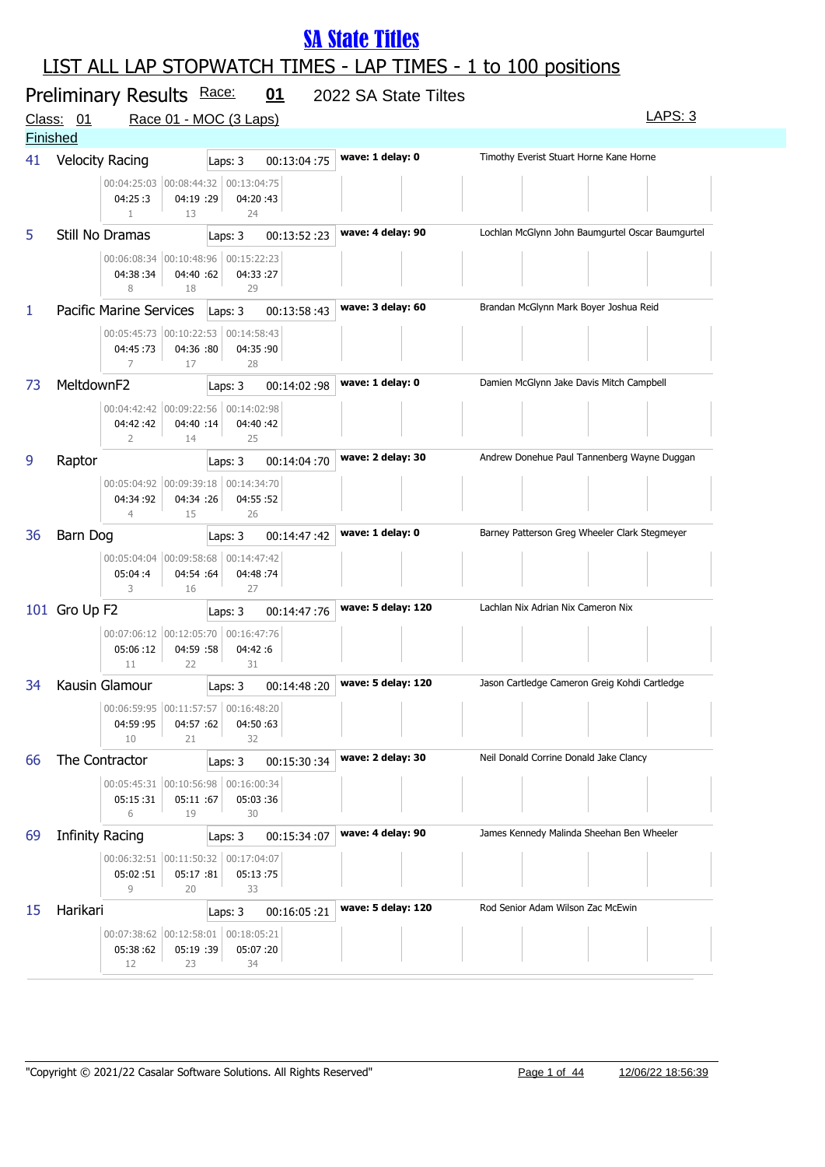|                 | Preliminary Results Race:<br>Class: 01 |                                                        |                 | Race 01 - MOC (3 Laps)                                | 01          | 2022 SA State Tiltes | LAPS: 3                                          |
|-----------------|----------------------------------------|--------------------------------------------------------|-----------------|-------------------------------------------------------|-------------|----------------------|--------------------------------------------------|
| <b>Finished</b> |                                        |                                                        |                 |                                                       |             |                      |                                                  |
| 41              | <b>Velocity Racing</b>                 |                                                        |                 | Laps: 3                                               | 00:13:04:75 | wave: 1 delay: 0     | Timothy Everist Stuart Horne Kane Horne          |
|                 |                                        | 00:04:25:03 00:08:44:32<br>04:25:3<br>$\mathbf{1}$     | 04:19 :29<br>13 | 00:13:04:75<br>04:20:43<br>24                         |             |                      |                                                  |
| 5               | Still No Dramas                        |                                                        |                 | Laps: 3                                               | 00:13:52:23 | wave: 4 delay: 90    | Lochlan McGlynn John Baumgurtel Oscar Baumgurtel |
|                 |                                        | 04:38:34<br>8                                          | 04:40 :62<br>18 | 00:06:08:34 00:10:48:96 00:15:22:23<br>04:33:27<br>29 |             |                      |                                                  |
| 1               | <b>Pacific Marine Services</b>         |                                                        |                 | Laps: 3                                               | 00:13:58:43 | wave: 3 delay: 60    | Brandan McGlynn Mark Boyer Joshua Reid           |
|                 |                                        | 00:05:45:73 00:10:22:53<br>04:45:73<br>$\overline{7}$  | 04:36 :80<br>17 | 00:14:58:43<br>04:35 :90<br>28                        |             |                      |                                                  |
| 73              | MeltdownF2                             |                                                        |                 | Laps: 3                                               | 00:14:02:98 | wave: 1 delay: 0     | Damien McGlynn Jake Davis Mitch Campbell         |
|                 |                                        | 00:04:42:42 00:09:22:56<br>04:42:42<br>$\overline{2}$  | 04:40 :14<br>14 | 00:14:02:98<br>04:40:42<br>25                         |             |                      |                                                  |
| 9               | Raptor                                 |                                                        |                 | Laps: 3                                               | 00:14:04:70 | wave: 2 delay: 30    | Andrew Donehue Paul Tannenberg Wayne Duggan      |
|                 |                                        | 00:05:04:92 00:09:39:18<br>04:34 :92<br>$\overline{4}$ | 04:34 :26<br>15 | 00:14:34:70<br>04:55 :52<br>26                        |             |                      |                                                  |
| 36              | Barn Dog                               |                                                        |                 | Laps: 3                                               | 00:14:47:42 | wave: 1 delay: 0     | Barney Patterson Greg Wheeler Clark Stegmeyer    |
|                 |                                        | 00:05:04:04 00:09:58:68<br>05:04:4<br>3                | 04:54 :64<br>16 | 00:14:47:42<br>04:48:74<br>27                         |             |                      |                                                  |
|                 | 101 Gro Up F2                          |                                                        |                 | Laps: 3                                               | 00:14:47:76 | wave: 5 delay: 120   | Lachlan Nix Adrian Nix Cameron Nix               |
|                 |                                        | 00:07:06:12 00:12:05:70<br>05:06:12<br>11              | 04:59 :58<br>22 | 00:16:47:76<br>04:42:6<br>31                          |             |                      |                                                  |
| 34              | Kausin Glamour                         |                                                        |                 | Laps: 3                                               | 00:14:48:20 | wave: 5 delay: 120   | Jason Cartledge Cameron Greig Kohdi Cartledge    |
|                 |                                        | 00:06:59:95 00:11:57:57<br>04:59:95<br>10              | 04:57 :62<br>21 | 00:16:48:20<br>04:50:63<br>32                         |             |                      |                                                  |
| 66              | The Contractor                         |                                                        |                 | Laps: 3                                               | 00:15:30:34 | wave: 2 delay: 30    | Neil Donald Corrine Donald Jake Clancy           |
|                 |                                        | 05:15:31<br>6                                          | 05:11 :67<br>19 | 00:05:45:31 00:10:56:98 00:16:00:34<br>05:03:36<br>30 |             |                      |                                                  |
| 69              | Infinity Racing                        |                                                        |                 | Laps: 3                                               | 00:15:34:07 | wave: 4 delay: 90    | James Kennedy Malinda Sheehan Ben Wheeler        |
|                 |                                        | 05:02:51<br>9                                          | 05:17 :81<br>20 | 00:06:32:51 00:11:50:32 00:17:04:07<br>05:13:75<br>33 |             |                      |                                                  |
| 15              | Harikari                               |                                                        |                 | Laps: 3                                               | 00:16:05:21 | wave: 5 delay: 120   | Rod Senior Adam Wilson Zac McEwin                |
|                 |                                        | 05:38:62<br>12                                         | 05:19 :39<br>23 | 00:07:38:62 00:12:58:01 00:18:05:21<br>05:07:20<br>34 |             |                      |                                                  |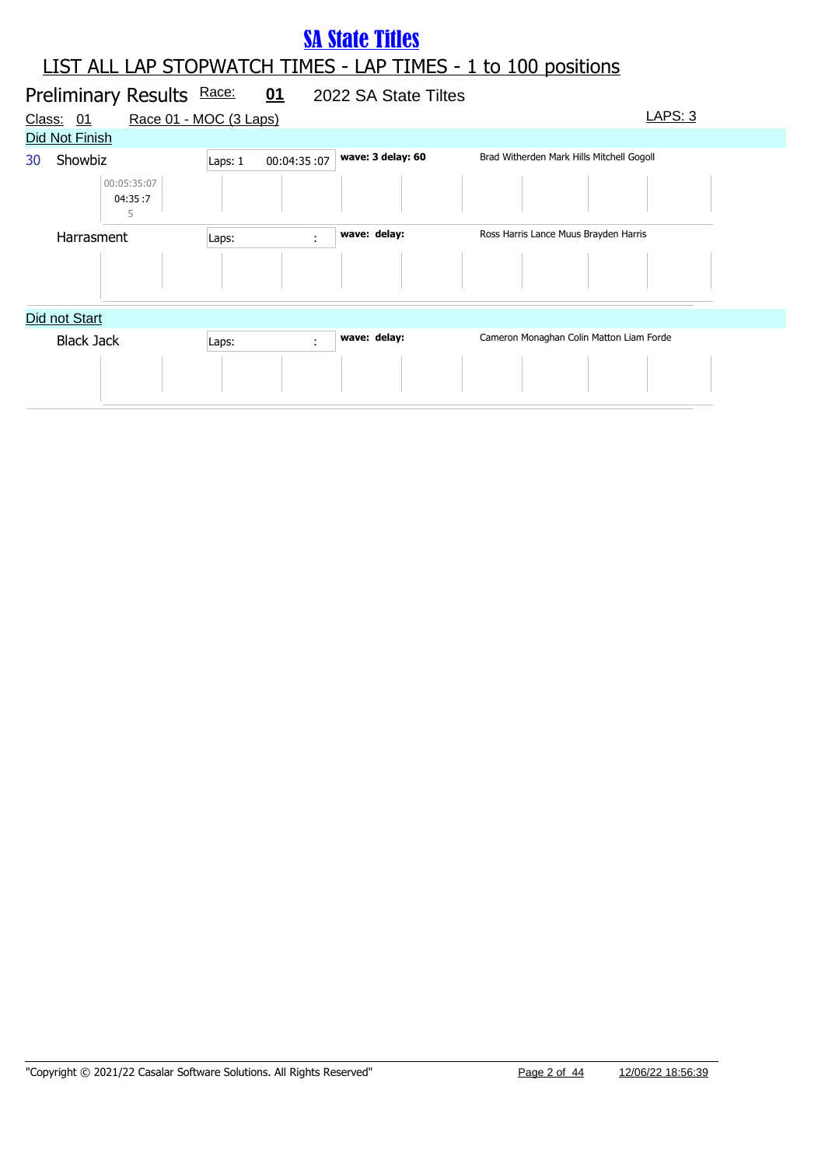#### LIST ALL LAP STOPWATCH TIMES - LAP TIMES - 1 to 100 positions **SA State Titles**

|        | Preliminary Results Race:   | 01                     | 2022 SA State Tiltes |                                           |
|--------|-----------------------------|------------------------|----------------------|-------------------------------------------|
| Class: | 01                          | Race 01 - MOC (3 Laps) |                      | LAPS: 3                                   |
|        | Did Not Finish              |                        |                      |                                           |
| 30     | Showbiz                     | 00:04:35:07<br>Laps: 1 | wave: 3 delay: 60    | Brad Witherden Mark Hills Mitchell Gogoll |
|        | 00:05:35:07<br>04:35:7<br>5 |                        |                      |                                           |
|        | Harrasment                  | Laps:                  | wave: delay:<br>÷    | Ross Harris Lance Muus Brayden Harris     |
|        |                             |                        |                      |                                           |
|        | Did not Start               |                        |                      |                                           |
|        | <b>Black Jack</b>           | Laps:                  | wave: delay:<br>÷    | Cameron Monaghan Colin Matton Liam Forde  |
|        |                             |                        |                      |                                           |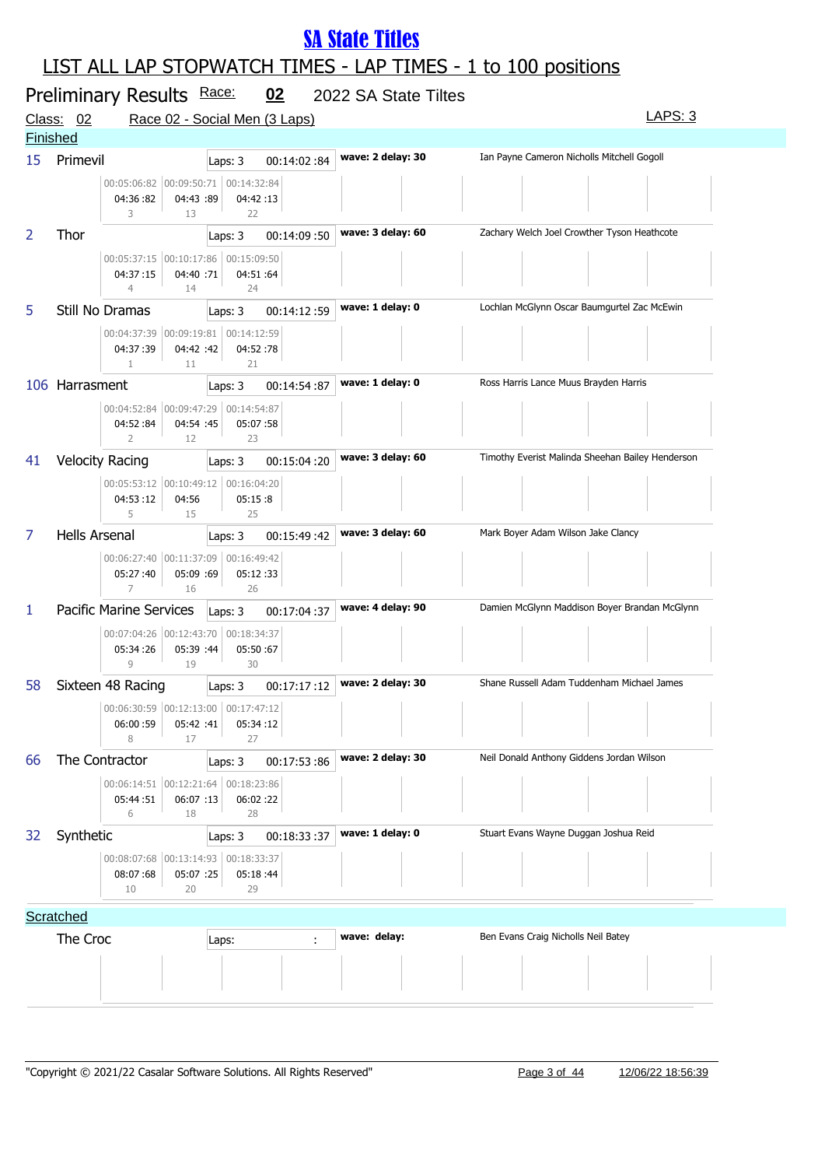|                 | Preliminary Results Race:  |                                                                                     | 02          | 2022 SA State Tiltes |                                                  |  |
|-----------------|----------------------------|-------------------------------------------------------------------------------------|-------------|----------------------|--------------------------------------------------|--|
|                 | Class: 02                  | Race 02 - Social Men (3 Laps)                                                       |             |                      | LAPS: 3                                          |  |
| <b>Finished</b> |                            |                                                                                     |             |                      |                                                  |  |
| 15              | Primevil<br>04:36:82<br>3  | Laps: 3<br>00:05:06:82 00:09:50:71 00:14:32:84<br>04:43 :89<br>04:42:13<br>22<br>13 | 00:14:02:84 | wave: 2 delay: 30    | Ian Payne Cameron Nicholls Mitchell Gogoll       |  |
| 2               | Thor                       | Laps: 3                                                                             | 00:14:09:50 | wave: 3 delay: 60    | Zachary Welch Joel Crowther Tyson Heathcote      |  |
|                 | 04:37:15<br>$\overline{4}$ | 00:05:37:15 00:10:17:86 00:15:09:50<br>04:40 :71<br>04:51:64<br>14<br>24            |             |                      |                                                  |  |
| 5.              | Still No Dramas            | Laps: 3                                                                             | 00:14:12:59 | wave: 1 delay: 0     | Lochlan McGlynn Oscar Baumgurtel Zac McEwin      |  |
|                 | 04:37:39                   | 00:04:37:39 00:09:19:81 00:14:12:59<br>04:42 :42<br>04:52:78<br>21<br>11            |             |                      |                                                  |  |
|                 | 106 Harrasment             | Laps: 3                                                                             | 00:14:54:87 | wave: 1 delay: 0     | Ross Harris Lance Muus Brayden Harris            |  |
|                 | 04:52:84<br>$\overline{2}$ | 00:04:52:84 00:09:47:29 00:14:54:87<br>04:54 :45<br>05:07:58<br>12<br>23            |             |                      |                                                  |  |
| 41              | <b>Velocity Racing</b>     | Laps: 3                                                                             | 00:15:04:20 | wave: 3 delay: 60    | Timothy Everist Malinda Sheehan Bailey Henderson |  |
|                 | 04:53:12<br>5              | 00:05:53:12 00:10:49:12 00:16:04:20<br>04:56<br>05:15:8<br>15<br>25                 |             |                      |                                                  |  |
| 7               | <b>Hells Arsenal</b>       | Laps: 3                                                                             | 00:15:49:42 | wave: 3 delay: 60    | Mark Boyer Adam Wilson Jake Clancy               |  |
|                 | 05:27:40<br>$\overline{7}$ | 00:06:27:40 00:11:37:09<br>00:16:49:42<br>05:09 :69<br>05:12:33<br>16<br>26         |             |                      |                                                  |  |
| 1               | Pacific Marine Services    | Laps: 3                                                                             | 00:17:04:37 | wave: 4 delay: 90    | Damien McGlynn Maddison Boyer Brandan McGlynn    |  |
|                 | 05:34:26<br>$\overline{9}$ | 00:07:04:26 00:12:43:70 00:18:34:37<br>05:39 :44<br>05:50:67<br>19<br>30            |             |                      |                                                  |  |
| 58              | Sixteen 48 Racing          | Laps: 3                                                                             | 00:17:17:12 | wave: 2 delay: 30    | Shane Russell Adam Tuddenham Michael James       |  |
|                 | 06:00:59<br>8              | 00:06:30:59 00:12:13:00<br>00:17:47:12<br>05:42 :41<br>05:34:12<br>27<br>17         |             |                      | <b>Contract</b>                                  |  |
| 66              | The Contractor             | Laps: 3                                                                             | 00:17:53:86 | wave: 2 delay: 30    | Neil Donald Anthony Giddens Jordan Wilson        |  |
|                 | 05:44:51<br>6              | 00:06:14:51 00:12:21:64<br>00:18:23:86<br>06:07 :13<br>06:02:22<br>18<br>28         |             |                      |                                                  |  |
| 32              | Synthetic                  | Laps: 3                                                                             | 00:18:33:37 | wave: 1 delay: 0     | Stuart Evans Wayne Duggan Joshua Reid            |  |
|                 | 08:07:68<br>10             | 00:08:07:68 00:13:14:93 00:18:33:37<br>05:07 :25<br>05:18:44<br>20<br>29            |             |                      |                                                  |  |
|                 | Scratched                  |                                                                                     |             |                      |                                                  |  |
|                 | The Croc                   | Laps:                                                                               | ÷           | wave: delay:         | Ben Evans Craig Nicholls Neil Batey              |  |
|                 |                            |                                                                                     |             |                      |                                                  |  |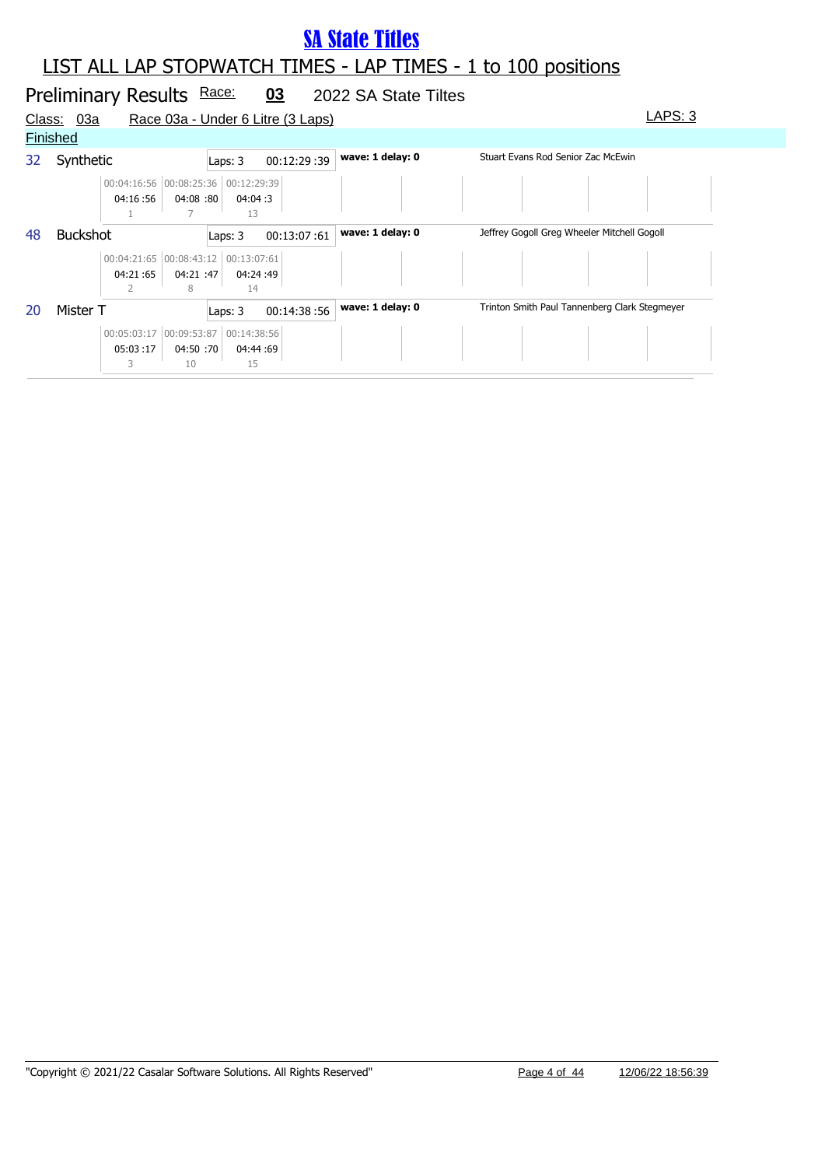### LIST ALL LAP STOPWATCH TIMES - LAP TIMES - 1 to 100 positions

#### Preliminary Results Race: 03 2022 SA State Tiltes Class: 03a Race 03a - Under 6 Litre (3 Laps) Class: 03a LAPS: 3 **Finished** 32 Synthetic **Laps: 3 00:12:29 :39 wave: 1 delay: 0** Stuart Evans Rod Senior Zac McEwin 04:16 :56 00:04:16:56 00:08:25:36 00:12:29:39 04:08 :80 04:04 :80 :3 1 7 13 48 Buckshot **wave: 1 delay: 0** Jeffrey Gogoll Greg Wheeler Mitchell Gogoll Laps: 3 00:13:07 :61 04:21 :65 00:04:21:65 00:08:43:12 00:13:07:61 04:21:47 04:24 :47 :49 2 8 14 20 Mister T **Laps: 3** 00:14:38 :56 **wave: 1 delay: 0** Trinton Smith Paul Tannenberg Clark Stegmeyer 05:03 :17 00:05:03:17 00:09:53:87 00:14:38:56 04:50 04:44 :70 :69 3 10 15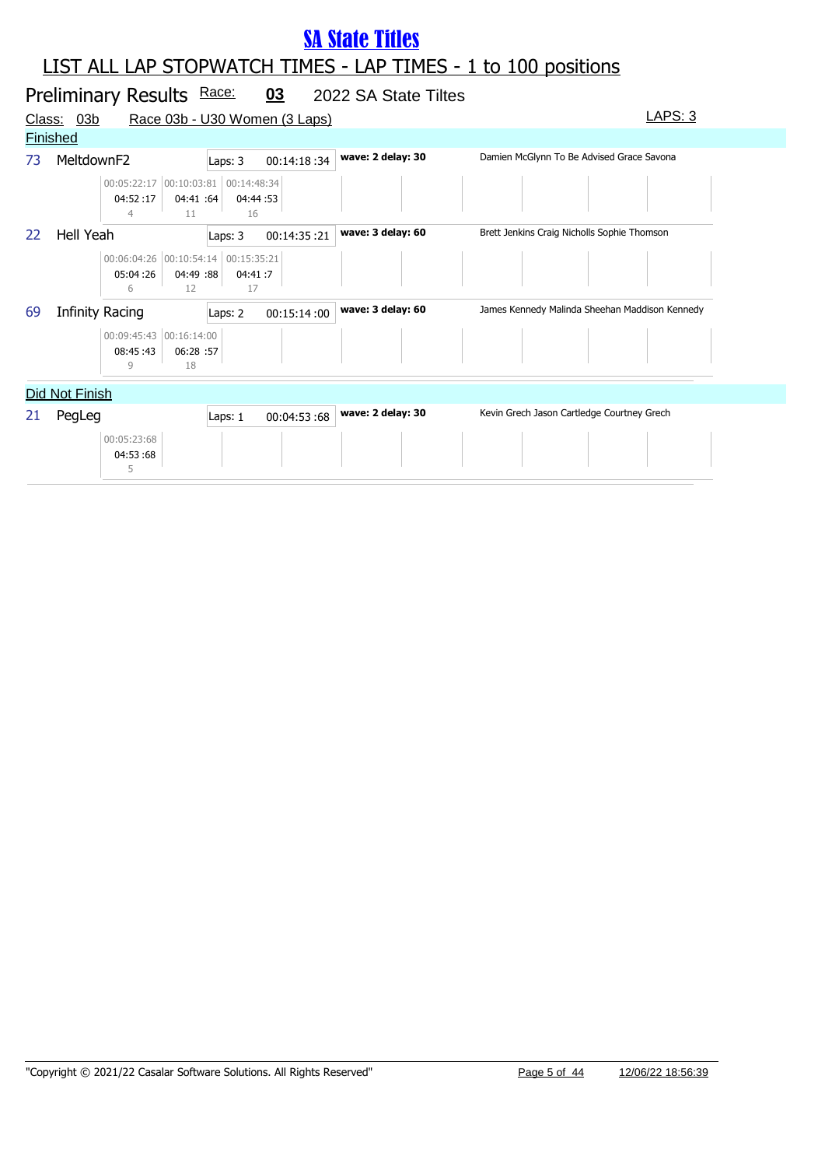|    |                        | Preliminary Results Race:                            |                 |                | 03                            | 2022 SA State Tiltes |                                                |  |
|----|------------------------|------------------------------------------------------|-----------------|----------------|-------------------------------|----------------------|------------------------------------------------|--|
|    | Class: 03b             |                                                      |                 |                | Race 03b - U30 Women (3 Laps) |                      | <u>LAPS: 3</u>                                 |  |
|    | <b>Finished</b>        |                                                      |                 |                |                               |                      |                                                |  |
| 73 | MeltdownF2             |                                                      |                 | Laps: 3        | 00:14:18:34                   | wave: 2 delay: 30    | Damien McGlynn To Be Advised Grace Savona      |  |
|    |                        | 00:05:22:17 00:10:03:81 00:14:48:34<br>04:52:17<br>4 | 04:41 :64<br>11 | 04:44:53<br>16 |                               |                      |                                                |  |
| 22 | Hell Yeah              |                                                      |                 | Laps: 3        | 00:14:35:21                   | wave: 3 delay: 60    | Brett Jenkins Craig Nicholls Sophie Thomson    |  |
|    |                        | 00:06:04:26 00:10:54:14 00:15:35:21<br>05:04:26<br>6 | 04:49 :88<br>12 | 04:41:7<br>17  |                               |                      |                                                |  |
| 69 | <b>Infinity Racing</b> |                                                      |                 | Laps: 2        | 00:15:14:00                   | wave: 3 delay: 60    | James Kennedy Malinda Sheehan Maddison Kennedy |  |
|    |                        | 00:09:45:43 00:16:14:00<br>08:45:43<br>9             | 06:28 :57<br>18 |                |                               |                      |                                                |  |
|    | Did Not Finish         |                                                      |                 |                |                               |                      |                                                |  |
| 21 | PegLeg                 |                                                      |                 | Laps: 1        | 00:04:53:68                   | wave: 2 delay: 30    | Kevin Grech Jason Cartledge Courtney Grech     |  |
|    |                        | 00:05:23:68<br>04:53:68<br>5                         |                 |                |                               |                      |                                                |  |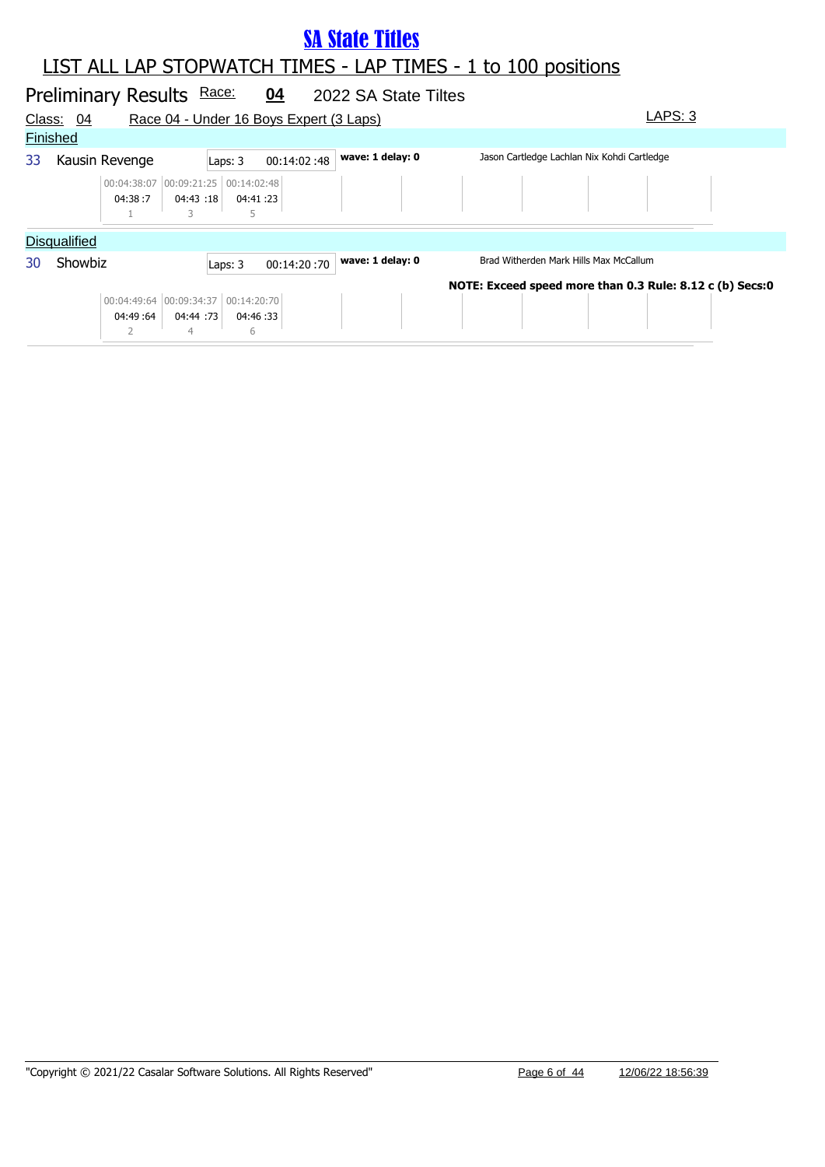|    |                     | Preliminary Results Race:                       |          |                          | 04                                      | 2022 SA State Tiltes |                                                          |
|----|---------------------|-------------------------------------------------|----------|--------------------------|-----------------------------------------|----------------------|----------------------------------------------------------|
|    | Class: 04           |                                                 |          |                          | Race 04 - Under 16 Boys Expert (3 Laps) |                      | LAPS: 3                                                  |
|    | <b>Finished</b>     |                                                 |          |                          |                                         |                      |                                                          |
| 33 |                     | Kausin Revenge                                  |          | Laps: 3                  | 00:14:02:48                             | wave: 1 delay: 0     | Jason Cartledge Lachlan Nix Kohdi Cartledge              |
|    |                     | 00:04:38:07 00:09:21:25 00:14:02:48<br>04:38:7  | 04:43:18 | 04:41 :23                |                                         |                      |                                                          |
|    | <b>Disqualified</b> |                                                 |          |                          |                                         |                      |                                                          |
| 30 | Showbiz             |                                                 |          | Laps: 3                  | 00:14:20:70                             | wave: 1 delay: 0     | Brad Witherden Mark Hills Max McCallum                   |
|    |                     | 00:04:49:64 00:09:34:37 00:14:20:70<br>04:49:64 |          | 04:44 :73 04:46 :33<br>6 |                                         |                      | NOTE: Exceed speed more than 0.3 Rule: 8.12 c (b) Secs:0 |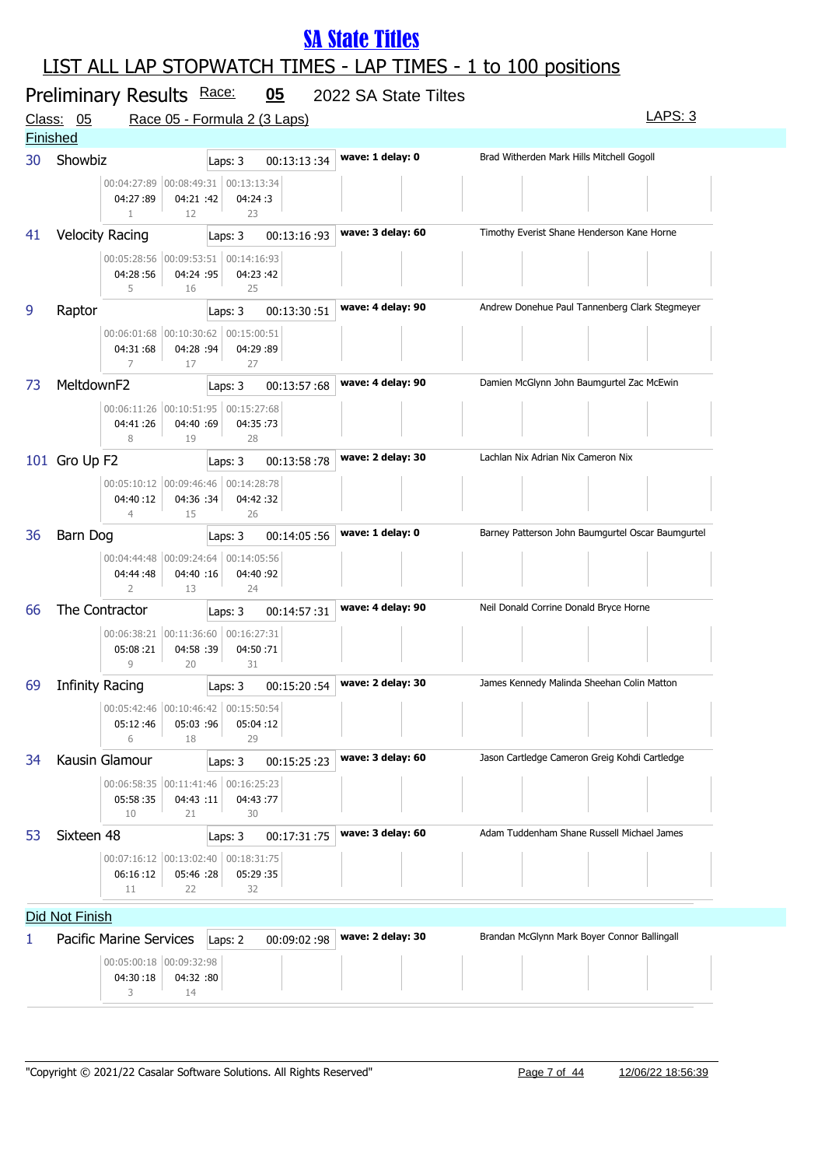|    | Preliminary Results Race:  |                                                                          | 05          | 2022 SA State Tiltes                                                                                            |                                                                   |
|----|----------------------------|--------------------------------------------------------------------------|-------------|-----------------------------------------------------------------------------------------------------------------|-------------------------------------------------------------------|
|    | Class: 05                  | Race 05 - Formula 2 (3 Laps)                                             |             |                                                                                                                 | <b>LAPS: 3</b>                                                    |
|    | <b>Finished</b>            |                                                                          |             |                                                                                                                 |                                                                   |
| 30 | Showbiz                    | Laps: 3                                                                  | 00:13:13:34 | wave: 1 delay: 0                                                                                                | Brad Witherden Mark Hills Mitchell Gogoll                         |
|    | 04:27:89<br>$\mathbf{1}$   | 00:04:27:89 00:08:49:31 00:13:13:34<br>04:21 :42<br>04:24:3<br>12<br>23  |             |                                                                                                                 |                                                                   |
| 41 | <b>Velocity Racing</b>     | Laps: 3                                                                  | 00:13:16:93 | wave: 3 delay: 60                                                                                               | Timothy Everist Shane Henderson Kane Horne                        |
|    | 04:28:56<br>5              | 00:05:28:56 00:09:53:51 00:14:16:93<br>04:24 :95<br>04:23:42<br>16<br>25 |             |                                                                                                                 |                                                                   |
| 9  | Raptor                     | Laps: 3                                                                  | 00:13:30:51 | wave: 4 delay: 90                                                                                               | Andrew Donehue Paul Tannenberg Clark Stegmeyer                    |
|    | 04:31:68<br>$\overline{7}$ | 00:06:01:68 00:10:30:62 00:15:00:51<br>04:28 :94<br>04:29:89<br>17<br>27 |             |                                                                                                                 |                                                                   |
| 73 | MeltdownF2                 | Laps: 3                                                                  | 00:13:57:68 | wave: 4 delay: 90                                                                                               | Damien McGlynn John Baumgurtel Zac McEwin                         |
|    | 04:41:26<br>8              | 00:06:11:26 00:10:51:95 00:15:27:68<br>04:40 :69<br>04:35:73<br>28<br>19 |             |                                                                                                                 |                                                                   |
|    | 101 Gro Up F2              | Laps: 3                                                                  | 00:13:58:78 | wave: 2 delay: 30                                                                                               | Lachlan Nix Adrian Nix Cameron Nix                                |
|    | 04:40:12<br>$\overline{4}$ | 00:05:10:12 00:09:46:46 00:14:28:78<br>04:36 :34<br>04:42:32<br>15<br>26 |             |                                                                                                                 |                                                                   |
| 36 | Barn Dog                   | Laps: 3                                                                  | 00:14:05:56 | wave: 1 delay: 0                                                                                                | Barney Patterson John Baumgurtel Oscar Baumgurtel                 |
|    | 04:44:48<br>$\overline{2}$ | 00:04:44:48 00:09:24:64 00:14:05:56<br>04:40 :16<br>04:40:92<br>24<br>13 |             |                                                                                                                 |                                                                   |
| 66 | The Contractor             | Laps: 3                                                                  | 00:14:57:31 | wave: 4 delay: 90                                                                                               | Neil Donald Corrine Donald Bryce Horne                            |
|    | 05:08:21<br>$\overline{9}$ | 00:06:38:21 00:11:36:60 00:16:27:31<br>04:58 :39<br>04:50:71<br>20<br>31 |             |                                                                                                                 |                                                                   |
| 69 | Infinity Racing            | Laps: 3                                                                  | 00:15:20:54 | wave: 2 delay: 30                                                                                               | James Kennedy Malinda Sheehan Colin Matton                        |
|    | 05:12:46<br>6              | 00:05:42:46 00:10:46:42 00:15:50:54 <br>05:03 :96<br>18<br>29            | 05:04:12    | the contract of the contract of the contract of the contract of the contract of the contract of the contract of | the contract of the contract of the<br>the company of the company |
| 34 | Kausin Glamour             | Laps: 3                                                                  | 00:15:25:23 | wave: 3 delay: 60                                                                                               | Jason Cartledge Cameron Greig Kohdi Cartledge                     |
|    | 05:58:35<br>10             | 00:06:58:35 00:11:41:46 00:16:25:23<br>04:43 :11<br>30<br>21             | 04:43:77    |                                                                                                                 |                                                                   |
| 53 | Sixteen 48                 | Laps: 3                                                                  | 00:17:31:75 | wave: 3 delay: 60                                                                                               | Adam Tuddenham Shane Russell Michael James                        |
|    | 06:16:12<br>11             | 00:07:16:12 00:13:02:40 00:18:31:75<br>05:46 :28<br>05:29:35<br>32<br>22 |             |                                                                                                                 |                                                                   |
|    | Did Not Finish             |                                                                          |             |                                                                                                                 |                                                                   |
| 1  | Pacific Marine Services    | Laps: 2                                                                  | 00:09:02:98 | wave: 2 delay: 30                                                                                               | Brandan McGlynn Mark Boyer Connor Ballingall                      |
|    | 04:30:18<br>3              | 00:05:00:18 00:09:32:98<br>04:32 :80<br>14                               |             |                                                                                                                 |                                                                   |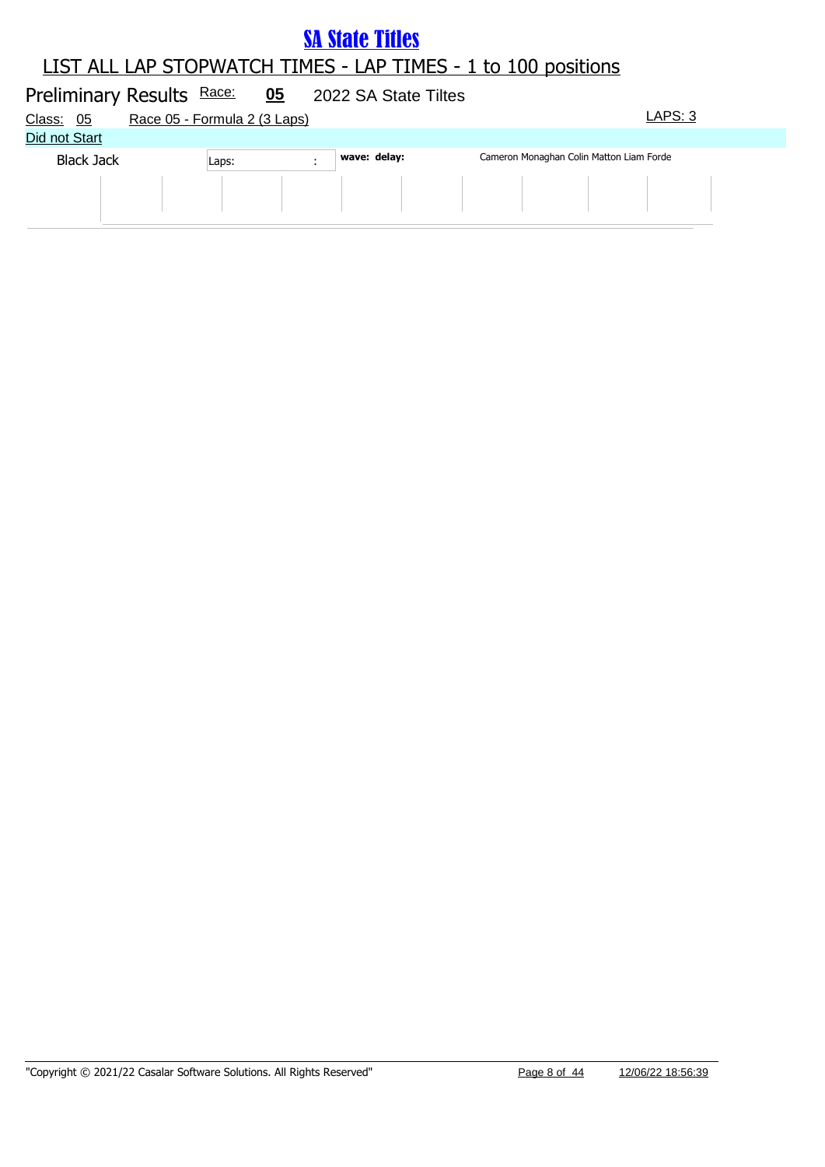|       | 05                        |                              |              |                      |         |                                          |
|-------|---------------------------|------------------------------|--------------|----------------------|---------|------------------------------------------|
|       |                           |                              |              |                      | LAPS: 3 |                                          |
|       |                           |                              |              |                      |         |                                          |
| Laps: |                           |                              |              |                      |         |                                          |
|       |                           |                              |              |                      |         |                                          |
|       | Preliminary Results Race: | Race 05 - Formula 2 (3 Laps) | wave: delay: | 2022 SA State Tiltes |         | Cameron Monaghan Colin Matton Liam Forde |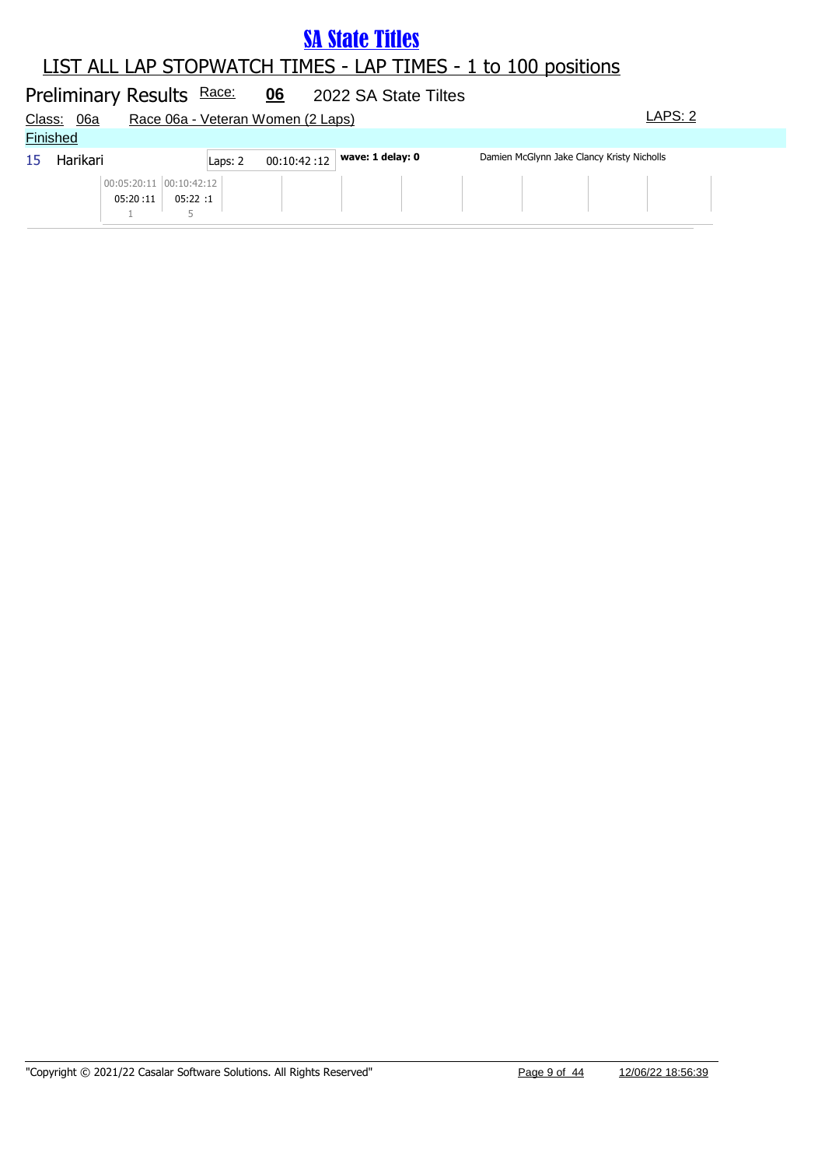#### LIST ALL LAP STOPWATCH TIMES - LAP TIMES - 1 to 100 positions

#### Preliminary Results Race: 06 2022 SA State Tiltes Class: 06a Race 06a - Veteran Women (2 Laps) LAPS: 2 **Finished** 15 Harikari **Laps: 2** 00:10:42 :12 **wave: 1 delay: 0** Damien McGlynn Jake Clancy Kristy Nicholls 05:20 :11 00:05:20:11 00:10:42:12 05:22 :1 1 5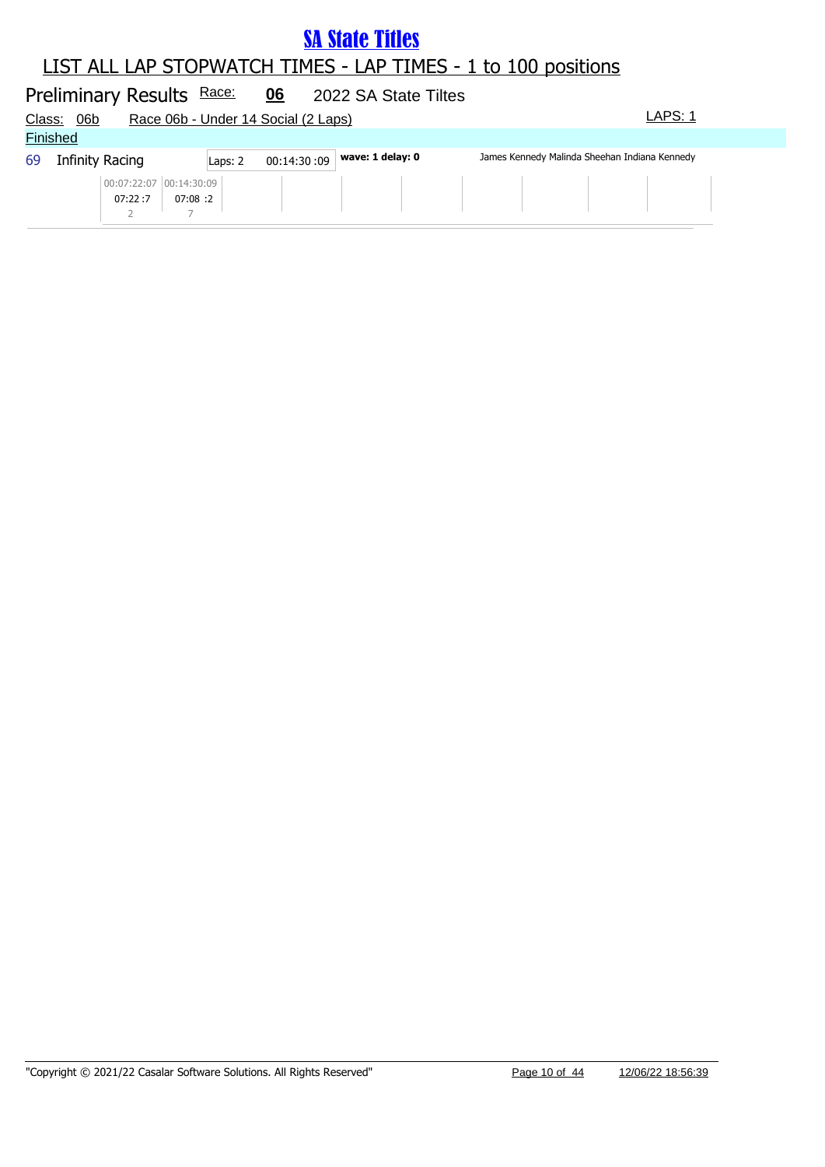#### LIST ALL LAP STOPWATCH TIMES - LAP TIMES - 1 to 100 positions

#### Preliminary Results Race: 06 2022 SA State Tiltes Class: 06b Race 06b - Under 14 Social (2 Laps) Class: 06b LAPS: 1 **Finished** 69 Infinity Racing **wave: 1 delay: 0** James Kennedy Malinda Sheehan Indiana Kennedy Laps: 2 00:14:30 :09 07:22 :7 00:07:22:07 00:14:30:09 07:08 :2 2 7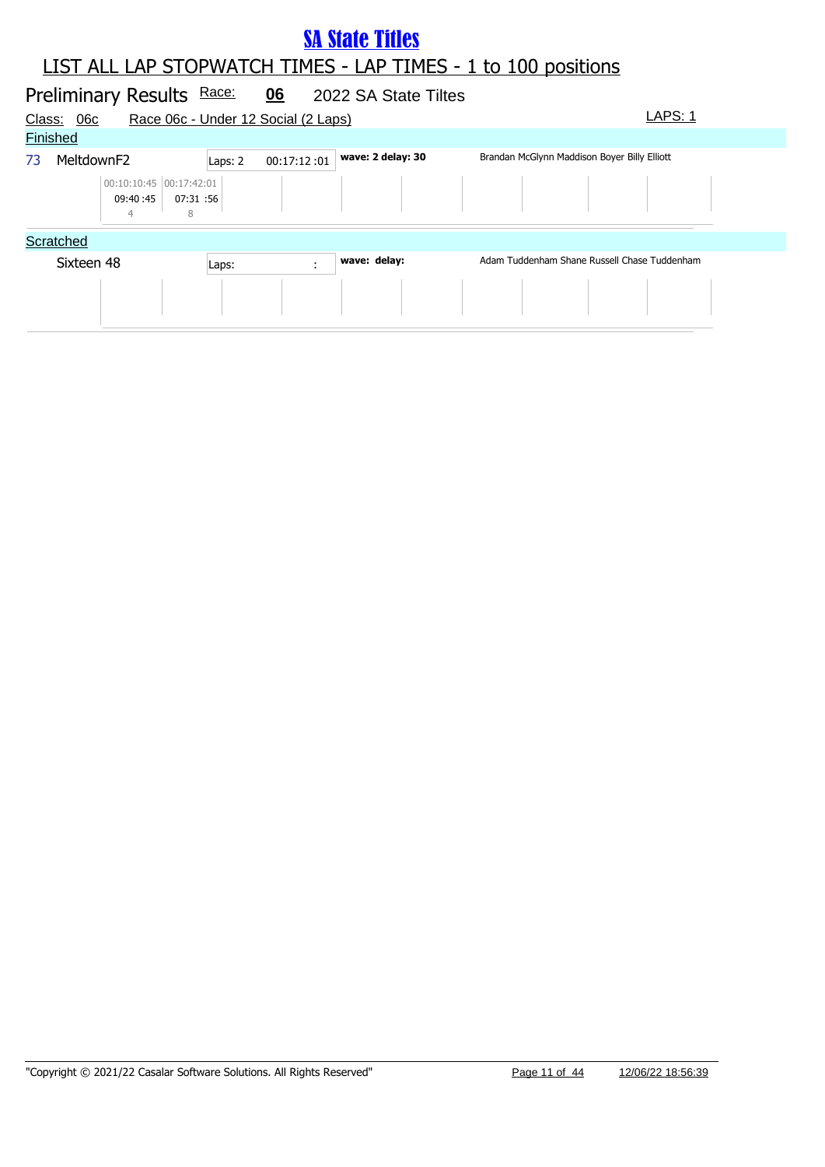#### LIST ALL LAP STOPWATCH TIMES - LAP TIMES - 1 to 100 positions **SA State Titles**

#### Preliminary Results Race: 06 2022 SA State Tiltes Class: 06c Race 06c - Under 12 Social (2 Laps) Class: 06c LAPS: 1 **Finished** 73 MeltdownF2 Laps: 2 00:17:12 :01 wave: 2 delay: 30 Brandan McGlynn Maddison Boyer Billy Elliott 09:40 :45 00:10:10:45 00:17:42:01 07:31 :56 4 8 **Scratched** Sixteen 48 **Laps: wave: delay:** Adam Tuddenham Shane Russell Chase Tuddenham Laps: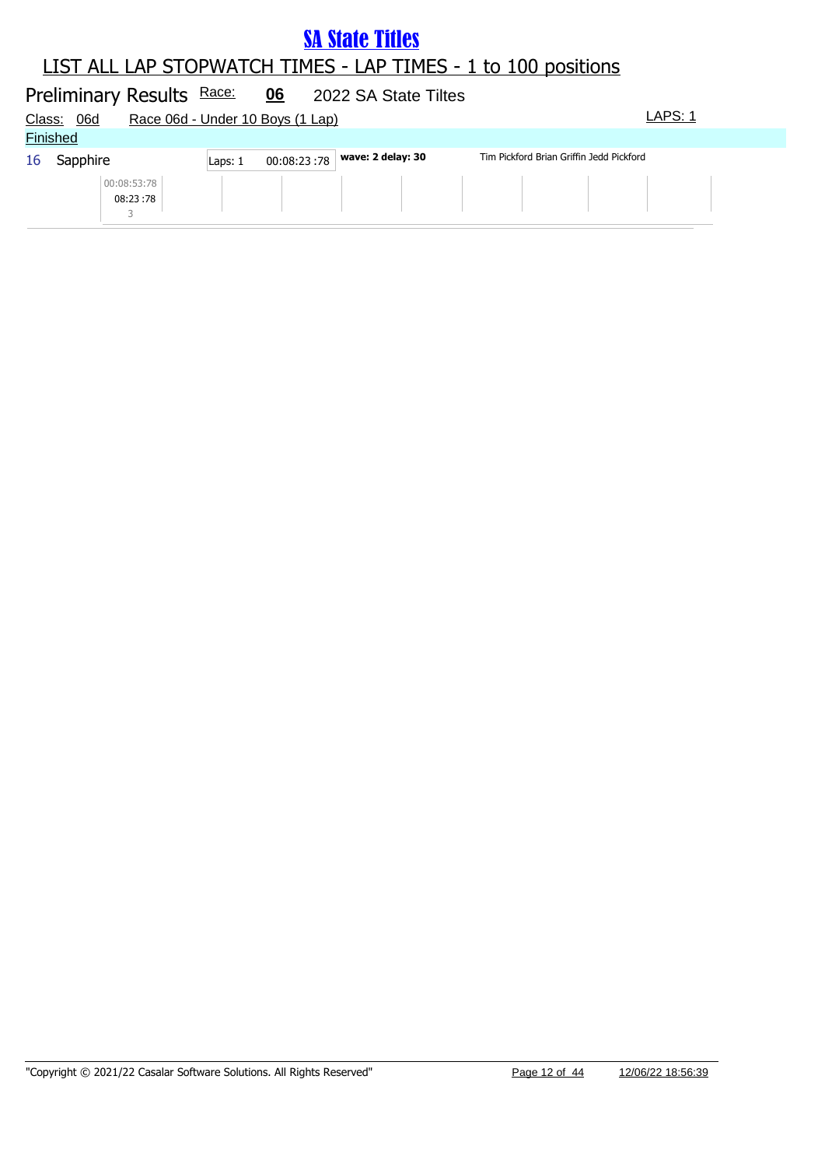|        | Preliminary Results Race: |                         |         | 06                               | 2022 SA State Tiltes |                                          |         |
|--------|---------------------------|-------------------------|---------|----------------------------------|----------------------|------------------------------------------|---------|
| Class: | <u>06d</u>                |                         |         | Race 06d - Under 10 Boys (1 Lap) |                      |                                          | LAPS: 1 |
|        | <b>Finished</b>           |                         |         |                                  |                      |                                          |         |
| 16     | Sapphire                  |                         | Laps: 1 | 00:08:23:78                      | wave: 2 delay: 30    | Tim Pickford Brian Griffin Jedd Pickford |         |
|        |                           | 00:08:53:78<br>08:23:78 |         |                                  |                      |                                          |         |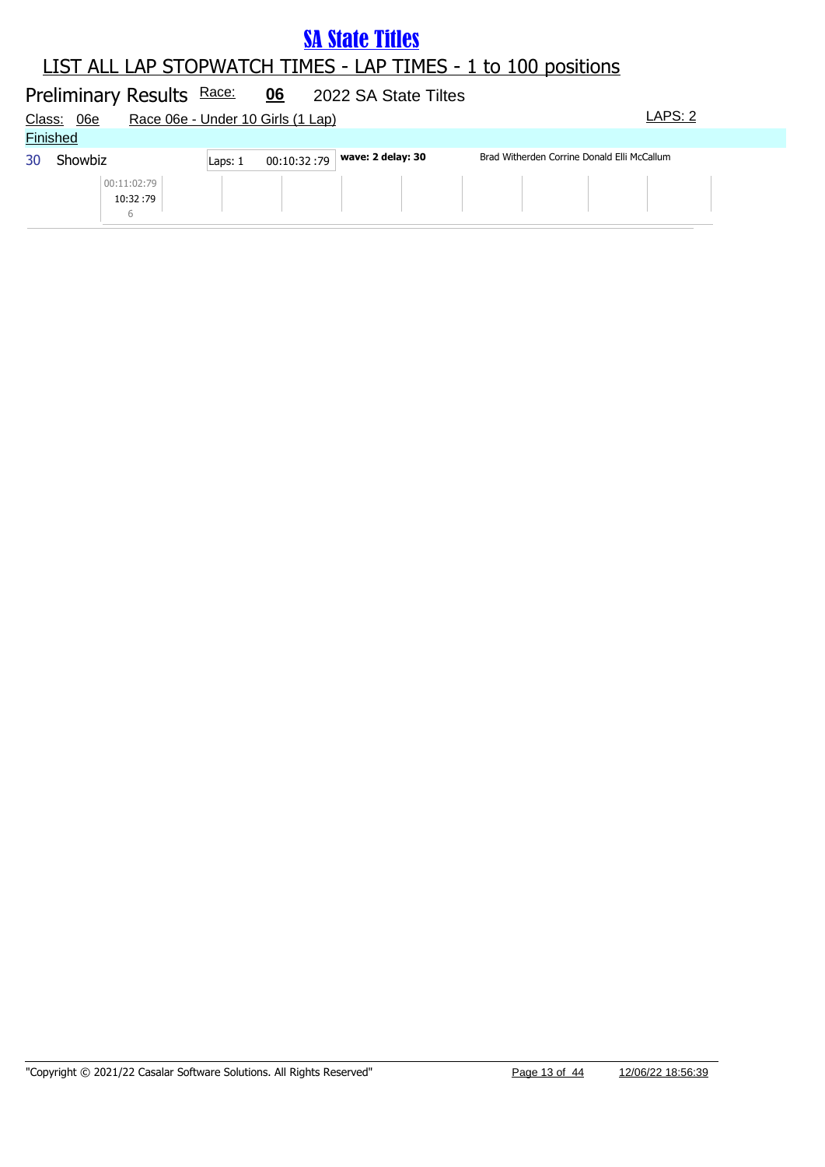|        | Preliminary Results Race: |                          |         | 06                                | 2022 SA State Tiltes |                                             |         |  |
|--------|---------------------------|--------------------------|---------|-----------------------------------|----------------------|---------------------------------------------|---------|--|
| Class: | 06e                       |                          |         | Race 06e - Under 10 Girls (1 Lap) |                      |                                             | LAPS: 2 |  |
|        | <b>Finished</b>           |                          |         |                                   |                      |                                             |         |  |
| 30     | Showbiz                   |                          | Laps: 1 | 00:10:32:79                       | wave: 2 delay: 30    | Brad Witherden Corrine Donald Elli McCallum |         |  |
|        |                           | 00:11:02:79<br>10:32 :79 |         |                                   |                      |                                             |         |  |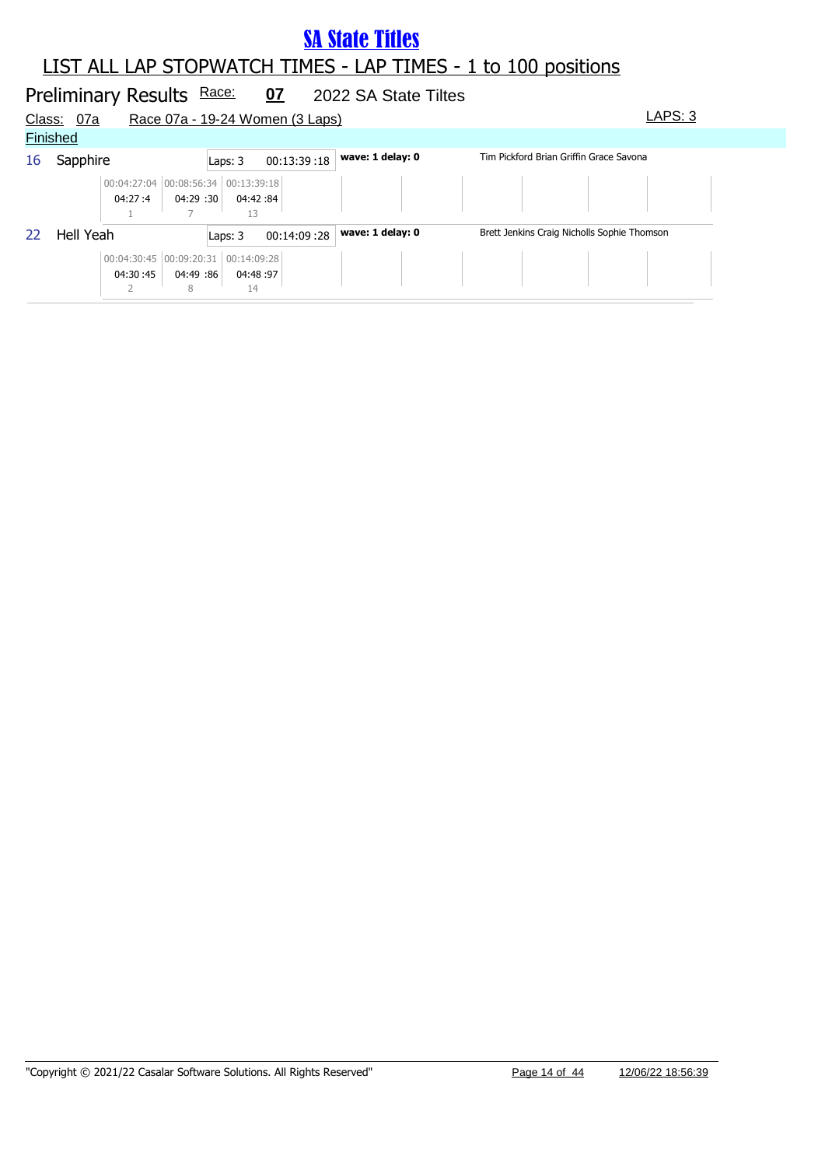#### LIST ALL LAP STOPWATCH TIMES - LAP TIMES - 1 to 100 positions

#### Preliminary Results Race: 07 2022 SA State Tiltes Class: 07a Race 07a - 19-24 Women (3 Laps) LAPS: 3 **Finished** 16 Sapphire **Laps: 3** 00:13:39:18 **wave: 1 delay: 0** Tim Pickford Brian Griffin Grace Savona 04:27 :4 00:04:27:04 00:08:56:34 00:13:39:18 04:29 :30 04:42 :30 :84 1 7 13 22 Hell Yeah **Laps: 3** 00:14:09 :28 **wave: 1 delay: 0** Brett Jenkins Craig Nicholls Sophie Thomson 04:30 :45 00:04:30:45 00:09:20:31 00:14:09:28 04:49 :86 04:48 :86 :97 2 8 14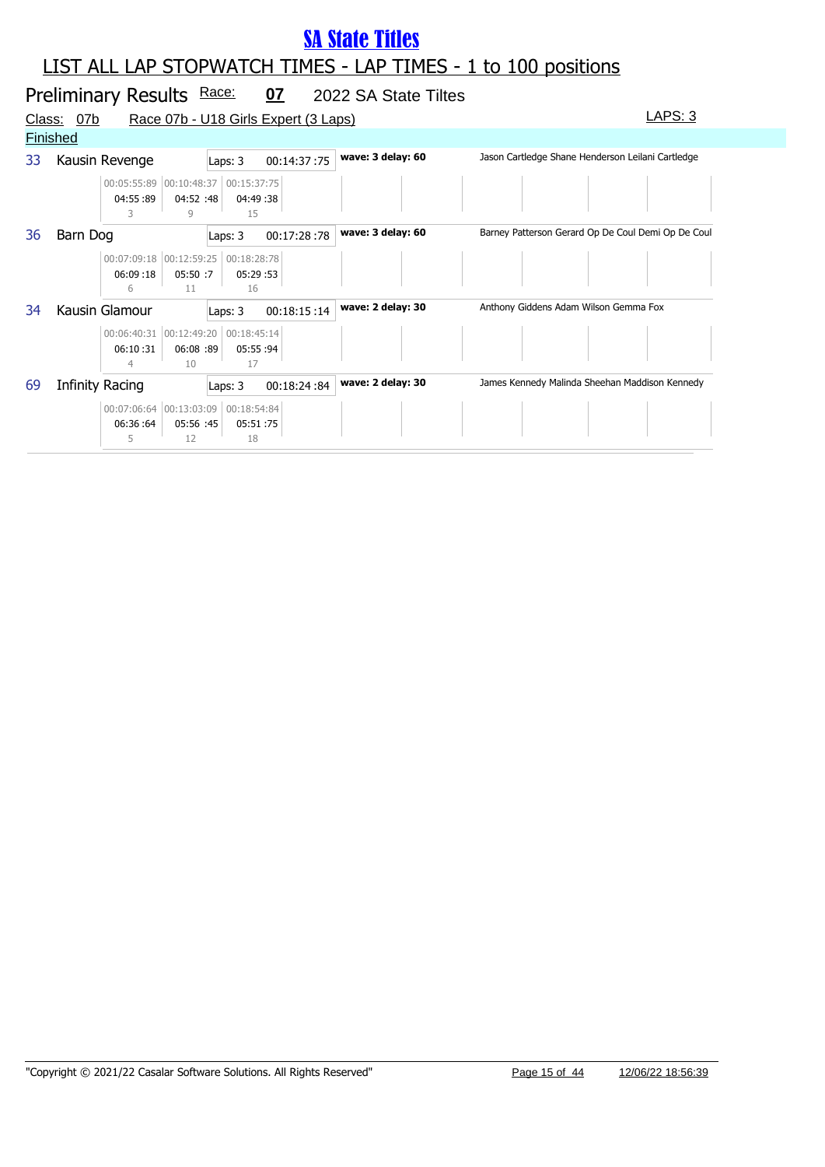|                 |                 | Preliminary Results Race:                |                 |                                | <u>07</u>                            | 2022 SA State Tiltes |                                                    |
|-----------------|-----------------|------------------------------------------|-----------------|--------------------------------|--------------------------------------|----------------------|----------------------------------------------------|
| <u>Class:</u>   | 07b             |                                          |                 |                                | Race 07b - U18 Girls Expert (3 Laps) |                      | LAPS: 3                                            |
| <b>Finished</b> |                 |                                          |                 |                                |                                      |                      |                                                    |
| 33              |                 | Kausin Revenge                           |                 | Laps: 3                        | 00:14:37:75                          | wave: 3 delay: 60    | Jason Cartledge Shane Henderson Leilani Cartledge  |
|                 |                 | 00:05:55:89 00:10:48:37<br>04:55:89<br>3 | 04:52 :48<br>9  | 00:15:37:75<br>04:49:38<br>15  |                                      |                      |                                                    |
| 36              | Barn Dog        |                                          |                 | Laps: 3                        | 00:17:28:78                          | wave: 3 delay: 60    | Barney Patterson Gerard Op De Coul Demi Op De Coul |
|                 |                 | 00:07:09:18 00:12:59:25<br>06:09:18<br>6 | 05:50:7<br>11   | 00:18:28:78<br>05:29:53<br>16  |                                      |                      |                                                    |
| 34              |                 | Kausin Glamour                           |                 | Laps: 3                        | 00:18:15:14                          | wave: 2 delay: 30    | Anthony Giddens Adam Wilson Gemma Fox              |
|                 |                 | 00:06:40:31 00:12:49:20<br>06:10:31<br>4 | 06:08:89<br>10  | 00:18:45:14<br>05:55 :94<br>17 |                                      |                      |                                                    |
| 69              | Infinity Racing |                                          |                 | Laps: 3                        | 00:18:24:84                          | wave: 2 delay: 30    | James Kennedy Malinda Sheehan Maddison Kennedy     |
|                 |                 | 00:07:06:64 00:13:03:09<br>06:36:64<br>5 | 05:56 :45<br>12 | 00:18:54:84<br>05:51:75<br>18  |                                      |                      |                                                    |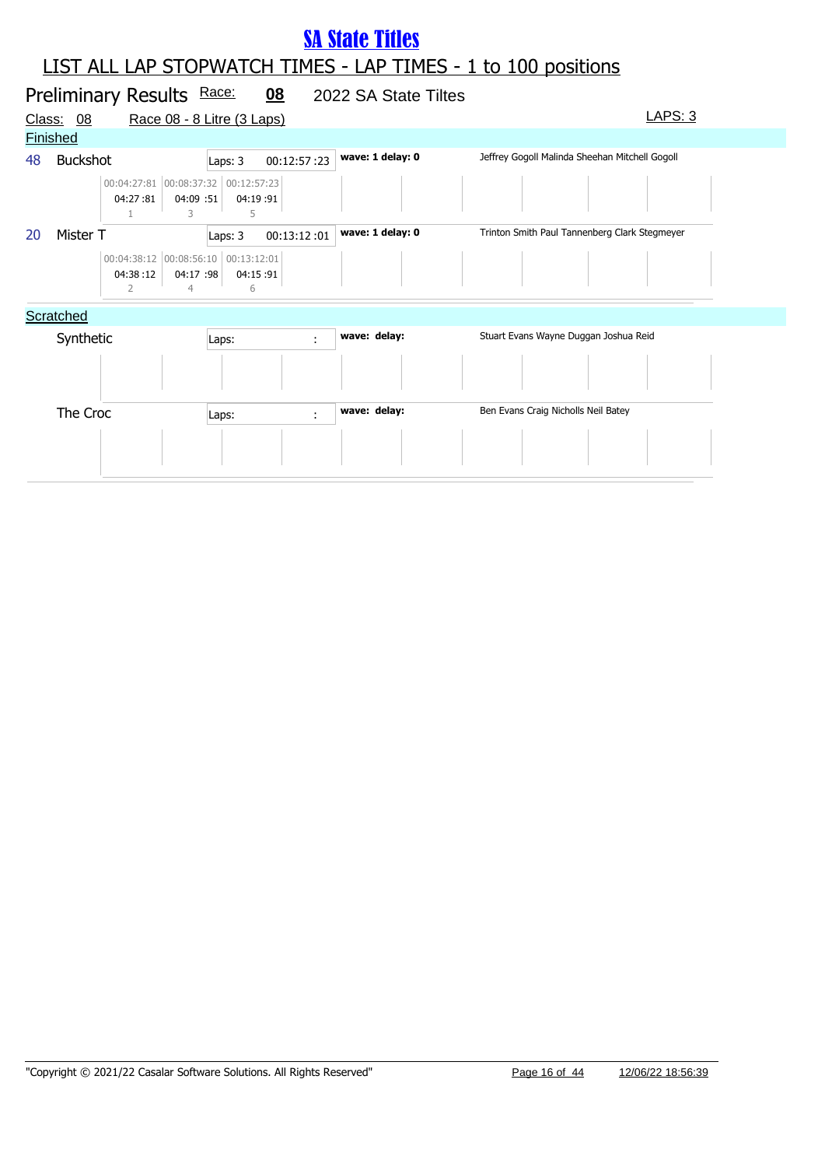#### LIST ALL LAP STOPWATCH TIMES - LAP TIMES - 1 to 100 positions **SA State Titles**

|                 |                            |                                                      |         | 08                                                  |                                                                                                                                  |                      |                                                                                                                                                                                 |
|-----------------|----------------------------|------------------------------------------------------|---------|-----------------------------------------------------|----------------------------------------------------------------------------------------------------------------------------------|----------------------|---------------------------------------------------------------------------------------------------------------------------------------------------------------------------------|
| Class:<br>08    |                            |                                                      |         |                                                     |                                                                                                                                  |                      | LAPS: 3                                                                                                                                                                         |
| <b>Finished</b> |                            |                                                      |         |                                                     |                                                                                                                                  |                      |                                                                                                                                                                                 |
|                 |                            |                                                      | Laps: 3 | 00:12:57:23                                         | wave: 1 delay: 0                                                                                                                 |                      |                                                                                                                                                                                 |
|                 | 04:27:81<br>$\mathbf{1}$   | 3                                                    | 5       |                                                     |                                                                                                                                  |                      |                                                                                                                                                                                 |
|                 |                            |                                                      | Laps: 3 | 00:13:12:01                                         | wave: 1 delay: 0                                                                                                                 |                      |                                                                                                                                                                                 |
|                 | 04:38:12<br>$\overline{2}$ | 4                                                    | 6       |                                                     |                                                                                                                                  |                      |                                                                                                                                                                                 |
| Scratched       |                            |                                                      |         |                                                     |                                                                                                                                  |                      |                                                                                                                                                                                 |
|                 |                            |                                                      | Laps:   | ÷                                                   | wave: delay:                                                                                                                     |                      |                                                                                                                                                                                 |
|                 |                            |                                                      | Laps:   | ÷                                                   | wave: delay:                                                                                                                     |                      |                                                                                                                                                                                 |
|                 |                            | <b>Buckshot</b><br>Mister T<br>Synthetic<br>The Croc |         | Preliminary Results Race:<br>04:09 :51<br>04:17 :98 | Race 08 - 8 Litre (3 Laps)<br>00:04:27:81 00:08:37:32 00:12:57:23<br>04:19:91<br>00:04:38:12 00:08:56:10 00:13:12:01<br>04:15:91 | 2022 SA State Tiltes | Jeffrey Gogoll Malinda Sheehan Mitchell Gogoll<br>Trinton Smith Paul Tannenberg Clark Stegmeyer<br>Stuart Evans Wayne Duggan Joshua Reid<br>Ben Evans Craig Nicholls Neil Batey |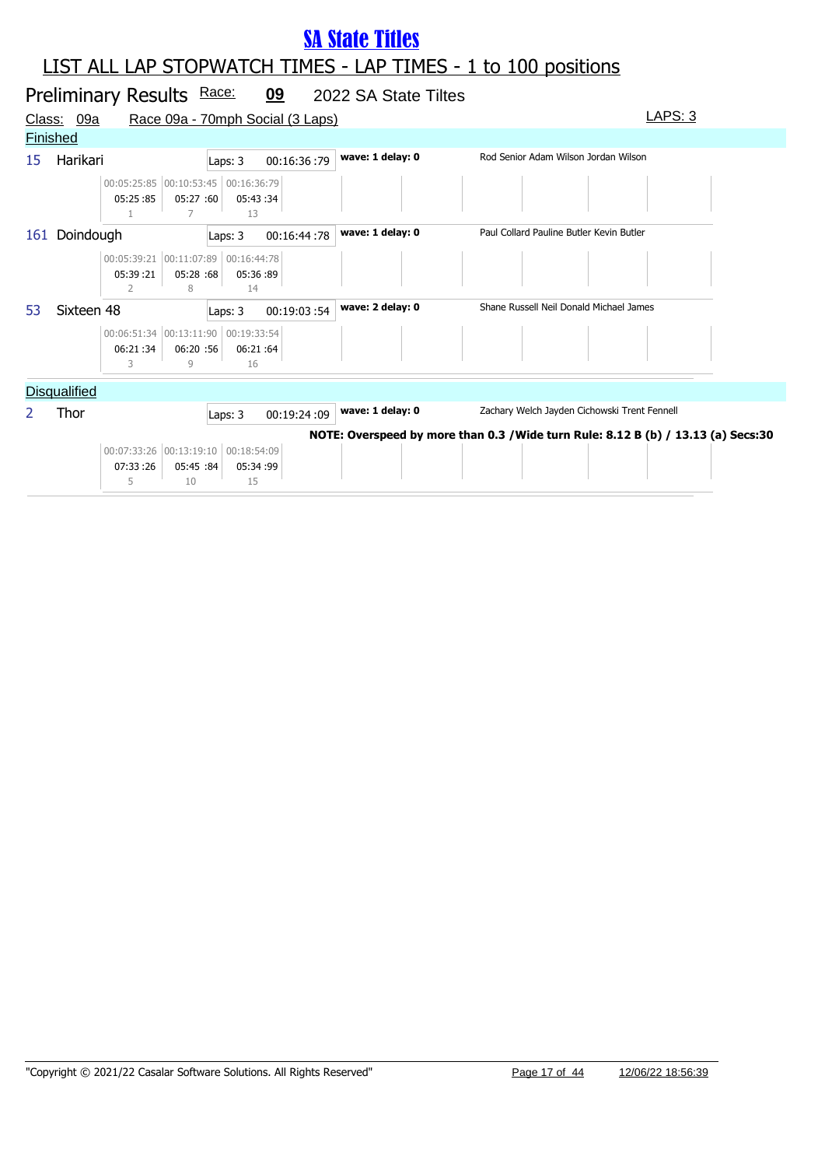|     |                     | Preliminary Results Race:                |                 |                               | 09                               | 2022 SA State Tiltes |                                                                                   |
|-----|---------------------|------------------------------------------|-----------------|-------------------------------|----------------------------------|----------------------|-----------------------------------------------------------------------------------|
|     | Class: 09a          |                                          |                 |                               | Race 09a - 70mph Social (3 Laps) |                      | LAPS: 3                                                                           |
|     | <b>Finished</b>     |                                          |                 |                               |                                  |                      |                                                                                   |
| 15  | Harikari            |                                          |                 | Laps: 3                       | 00:16:36:79                      | wave: 1 delay: 0     | Rod Senior Adam Wilson Jordan Wilson                                              |
|     |                     | 00:05:25:85 00:10:53:45<br>05:25:85      | 05:27 :60<br>7  | 00:16:36:79<br>05:43:34<br>13 |                                  |                      |                                                                                   |
| 161 | Doindough           |                                          |                 | Laps: 3                       | 00:16:44:78                      | wave: 1 delay: 0     | Paul Collard Pauline Butler Kevin Butler                                          |
|     |                     | 00:05:39:21 00:11:07:89<br>05:39:21<br>2 | 05:28 :68<br>8  | 00:16:44:78<br>05:36:89<br>14 |                                  |                      |                                                                                   |
| 53  | Sixteen 48          |                                          |                 | Laps: 3                       | 00:19:03:54                      | wave: 2 delay: 0     | Shane Russell Neil Donald Michael James                                           |
|     |                     | 00:06:51:34 00:13:11:90<br>06:21:34<br>3 | 06:20:56<br>9   | 00:19:33:54<br>06:21:64<br>16 |                                  |                      |                                                                                   |
|     | <b>Disqualified</b> |                                          |                 |                               |                                  |                      |                                                                                   |
| 2   | Thor                |                                          |                 | Laps: 3                       | 00:19:24:09                      | wave: 1 delay: 0     | Zachary Welch Jayden Cichowski Trent Fennell                                      |
|     |                     |                                          |                 |                               |                                  |                      | NOTE: Overspeed by more than 0.3 / Wide turn Rule: 8.12 B (b) / 13.13 (a) Secs:30 |
|     |                     | 00:07:33:26 00:13:19:10                  |                 | 00:18:54:09                   |                                  |                      |                                                                                   |
|     |                     | 07:33:26<br>5                            | 05:45 :84<br>10 | 05:34:99<br>15                |                                  |                      |                                                                                   |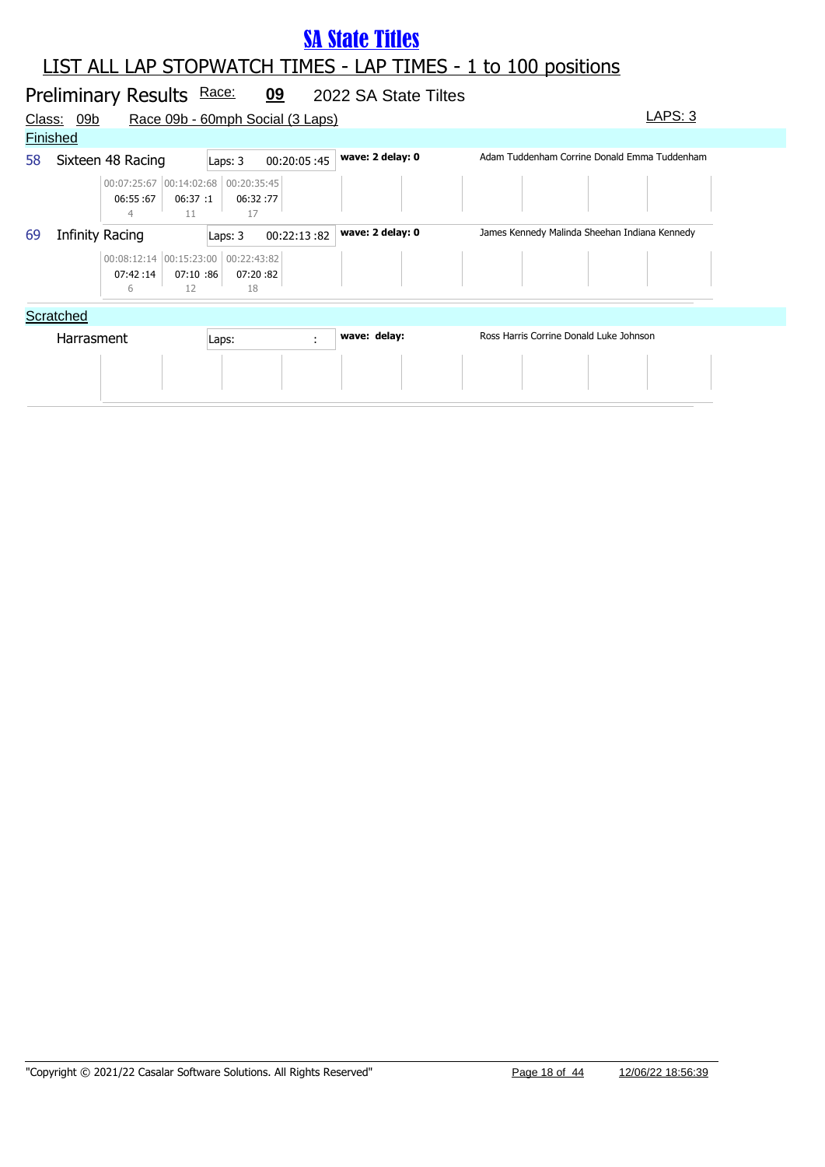|                 |                 | Preliminary Results Race:                            |                |                | 09                               | 2022 SA State Tiltes |                                               |         |  |
|-----------------|-----------------|------------------------------------------------------|----------------|----------------|----------------------------------|----------------------|-----------------------------------------------|---------|--|
| Class:          | <u>09b</u>      |                                                      |                |                | Race 09b - 60mph Social (3 Laps) |                      |                                               | LAPS: 3 |  |
| <b>Finished</b> |                 |                                                      |                |                |                                  |                      |                                               |         |  |
| 58              |                 | Sixteen 48 Racing                                    |                | Laps: 3        | 00:20:05:45                      | wave: 2 delay: 0     | Adam Tuddenham Corrine Donald Emma Tuddenham  |         |  |
|                 |                 | 00:07:25:67 00:14:02:68 00:20:35:45<br>06:55:67<br>4 | 06:37:1<br>11  | 06:32:77<br>17 |                                  |                      |                                               |         |  |
| 69              | Infinity Racing |                                                      |                | Laps: 3        | 00:22:13:82                      | wave: 2 delay: 0     | James Kennedy Malinda Sheehan Indiana Kennedy |         |  |
|                 |                 | 00:08:12:14 00:15:23:00 00:22:43:82<br>07:42:14<br>6 | 07:10:86<br>12 | 07:20:82<br>18 |                                  |                      |                                               |         |  |
|                 | Scratched       |                                                      |                |                |                                  |                      |                                               |         |  |
|                 | Harrasment      |                                                      |                | Laps:          | $\mathcal{L}_{\mathcal{A}}$      | wave: delay:         | Ross Harris Corrine Donald Luke Johnson       |         |  |
|                 |                 |                                                      |                |                |                                  |                      |                                               |         |  |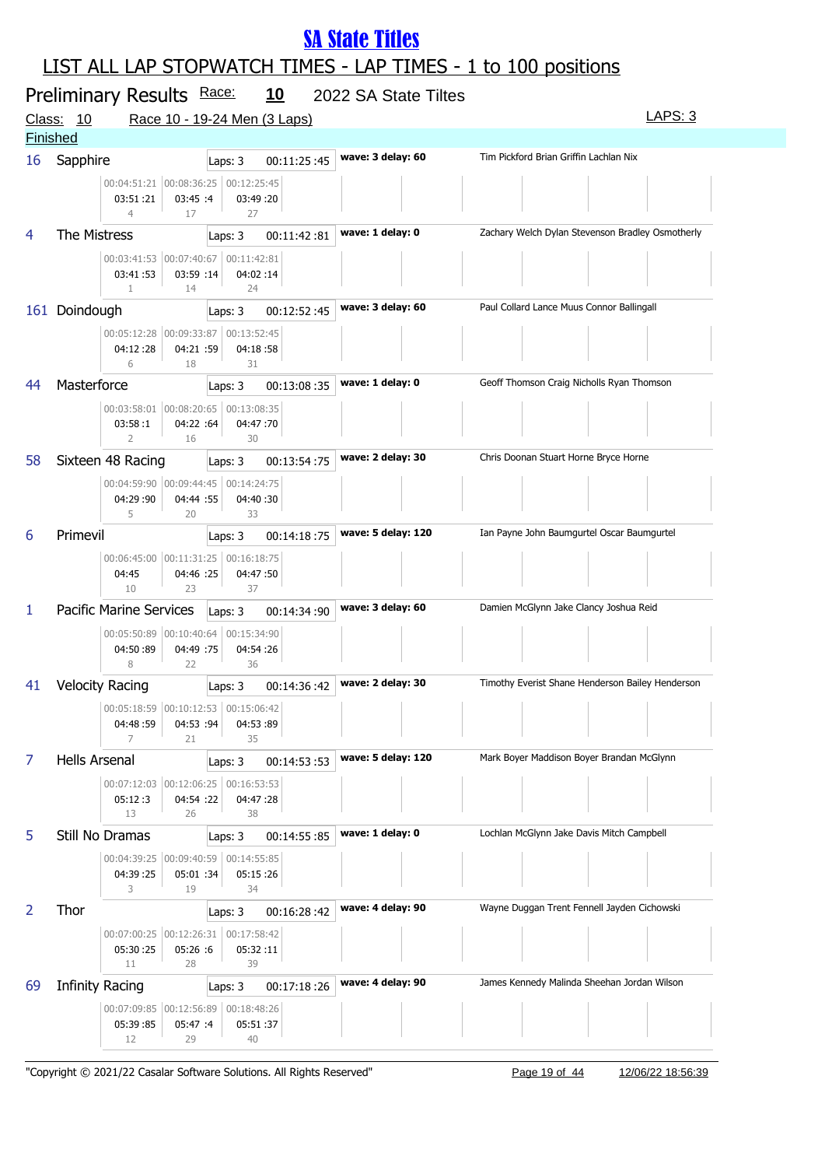### LIST ALL LAP STOPWATCH TIMES - LAP TIMES - 1 to 100 positions

|               | Preliminary Results Race: |                                                       |                 |                                                         | <u>10</u>   | 2022 SA State Tiltes |                                                  | LAPS: 3 |
|---------------|---------------------------|-------------------------------------------------------|-----------------|---------------------------------------------------------|-------------|----------------------|--------------------------------------------------|---------|
| <u>Class:</u> | 10<br><b>Finished</b>     |                                                       |                 | Race 10 - 19-24 Men (3 Laps)                            |             |                      |                                                  |         |
| 16            | Sapphire                  |                                                       |                 | Laps: 3                                                 | 00:11:25:45 | wave: 3 delay: 60    | Tim Pickford Brian Griffin Lachlan Nix           |         |
|               |                           | 03:51:21<br>$\overline{4}$                            | 03:45:4<br>17   | 00:04:51:21 00:08:36:25 00:12:25:45<br>03:49 :20<br>27  |             |                      |                                                  |         |
| 4             | The Mistress              |                                                       |                 | Laps: 3                                                 | 00:11:42:81 | wave: 1 delay: 0     | Zachary Welch Dylan Stevenson Bradley Osmotherly |         |
|               |                           | 03:41:53<br>$\mathbf{1}$                              | 03:59 :14<br>14 | 00:03:41:53 00:07:40:67 00:11:42:81<br>04:02:14<br>24   |             |                      |                                                  |         |
|               | 161 Doindough             |                                                       |                 | Laps: 3                                                 | 00:12:52:45 | wave: 3 delay: 60    | Paul Collard Lance Muus Connor Ballingall        |         |
|               |                           | 00:05:12:28 00:09:33:87<br>04:12:28<br>6              | 04:21 :59<br>18 | 00:13:52:45<br>04:18:58<br>31                           |             |                      |                                                  |         |
| 44            | Masterforce               |                                                       |                 | Laps: 3                                                 | 00:13:08:35 | wave: 1 delay: 0     | Geoff Thomson Craig Nicholls Ryan Thomson        |         |
|               |                           | 03:58:1<br>$\overline{2}$                             | 04:22 :64<br>16 | 00:03:58:01 00:08:20:65 00:13:08:35<br>04:47 :70<br>30  |             |                      |                                                  |         |
| 58            | Sixteen 48 Racing         |                                                       |                 | Laps: 3                                                 | 00:13:54:75 | wave: 2 delay: 30    | Chris Doonan Stuart Horne Bryce Horne            |         |
|               |                           | 00:04:59:90 00:09:44:45<br>04:29 :90<br>5             | 04:44 :55<br>20 | 00:14:24:75<br>04:40:30<br>33                           |             |                      |                                                  |         |
| 6             | Primevil                  |                                                       |                 | Laps: 3                                                 | 00:14:18:75 | wave: 5 delay: 120   | Ian Payne John Baumgurtel Oscar Baumgurtel       |         |
|               |                           | 00:06:45:00 00:11:31:25<br>04:45<br>10                | 04:46 :25<br>23 | 00:16:18:75<br>04:47:50<br>37                           |             |                      |                                                  |         |
| 1             |                           | Pacific Marine Services                               |                 | Laps: 3                                                 | 00:14:34:90 | wave: 3 delay: 60    | Damien McGlynn Jake Clancy Joshua Reid           |         |
|               |                           | 00:05:50:89 00:10:40:64<br>04:50:89<br>8              | 04:49 :75<br>22 | 00:15:34:90<br>04:54 :26<br>36                          |             |                      |                                                  |         |
| 41            | <b>Velocity Racing</b>    |                                                       |                 | Laps: 3                                                 | 00:14:36:42 | wave: 2 delay: 30    | Timothy Everist Shane Henderson Bailey Henderson |         |
|               |                           | 00:05:18:59 00:10:12:53<br>04:48:59<br>$\overline{7}$ | 04:53 :94<br>21 | 00:15:06:42<br>04:53:89<br>35                           |             |                      |                                                  |         |
| 7             | <b>Hells Arsenal</b>      |                                                       |                 | Laps: 3                                                 | 00:14:53:53 | wave: 5 delay: 120   | Mark Boyer Maddison Boyer Brandan McGlynn        |         |
|               |                           | 05:12:3<br>13                                         | 04:54 :22<br>26 | 00:07:12:03  00:12:06:25  00:16:53:53<br>04:47:28<br>38 |             |                      |                                                  |         |
| 5             | Still No Dramas           |                                                       |                 | Laps: 3                                                 | 00:14:55:85 | wave: 1 delay: 0     | Lochlan McGlynn Jake Davis Mitch Campbell        |         |
|               |                           | 04:39 :25<br>3                                        | 05:01 :34<br>19 | 00:04:39:25 00:09:40:59 00:14:55:85<br>05:15:26<br>34   |             |                      |                                                  |         |
| 2             | Thor                      |                                                       |                 | Laps: 3                                                 | 00:16:28:42 | wave: 4 delay: 90    | Wayne Duggan Trent Fennell Jayden Cichowski      |         |
|               |                           | 00:07:00:25 00:12:26:31<br>05:30:25<br>11             | 05:26 :6<br>28  | 00:17:58:42<br>05:32:11<br>39                           |             |                      |                                                  |         |
| 69            | <b>Infinity Racing</b>    |                                                       |                 | Laps: 3                                                 | 00:17:18:26 | wave: 4 delay: 90    | James Kennedy Malinda Sheehan Jordan Wilson      |         |
|               |                           | 00:07:09:85 00:12:56:89<br>05:39:85<br>12             | 05:47 :4<br>29  | 00:18:48:26<br>05:51:37<br>40                           |             |                      |                                                  |         |

"Copyright © 2021/22 Casalar Software Solutions. All Rights Reserved" Page 19 of 44 12/06/22 18:56:39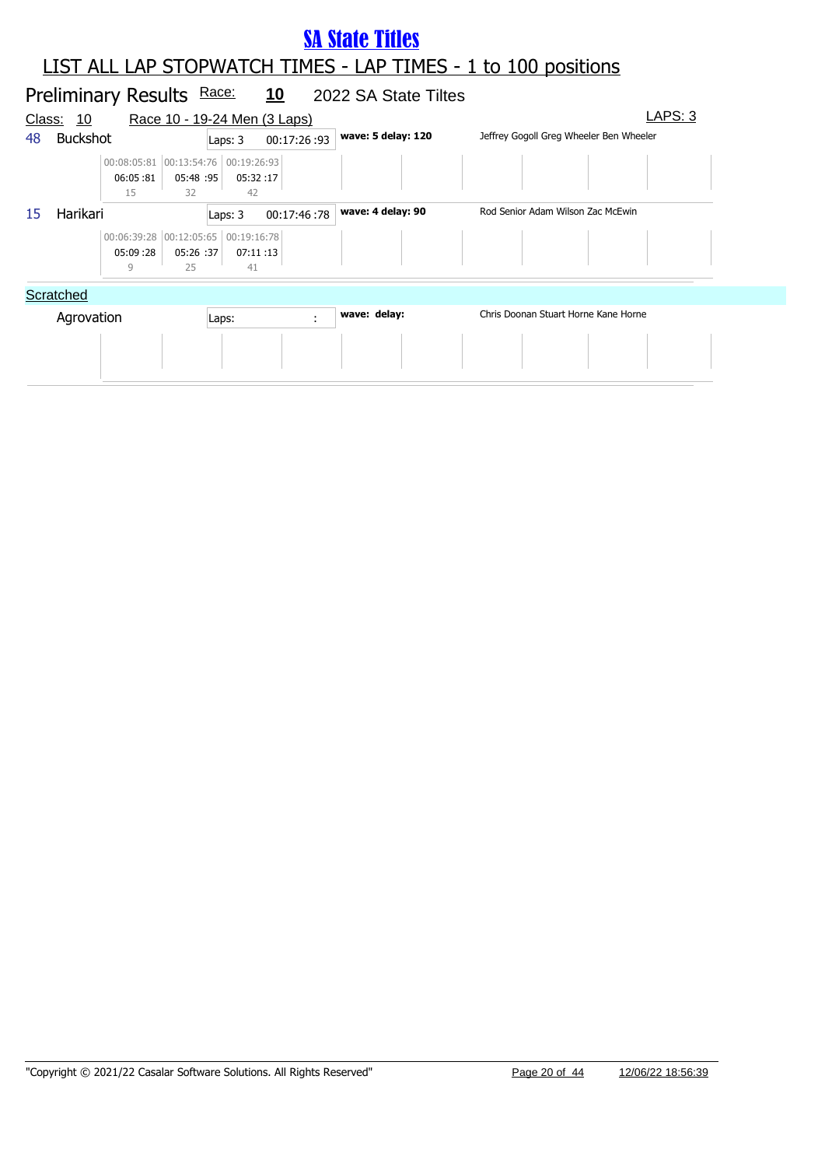#### Preliminary Results Race: 10 2022 SA State Tiltes Class: 10 Race 10 - 19-24 Men (3 Laps) LAPS: 3 LIST ALL LAP STOPWATCH TIMES - LAP TIMES - 1 to 100 positions **SA State Titles** 48 Buckshot **wave: 5 delay: 120** Jeffrey Gogoll Greg Wheeler Ben Wheeler Laps: 3 00:17:26 :93 06:05 :81 00:08:05:81 00:13:54:76 00:19:26:93 05:48 05:32 :95 :17 15 32 42 15 Harikari **Warish Laps: 3 00:17:46 :78 wave: 4 delay: 90** Rod Senior Adam Wilson Zac McEwin 05:09 :28 00:06:39:28 00:12:05:65 00:19:16:78 05:26 :37 :37 07:11 :13 9 25 41 **Scratched** Agrovation **Laps: wave: delay:** Chris Doonan Stuart Horne Kane Horne Laps: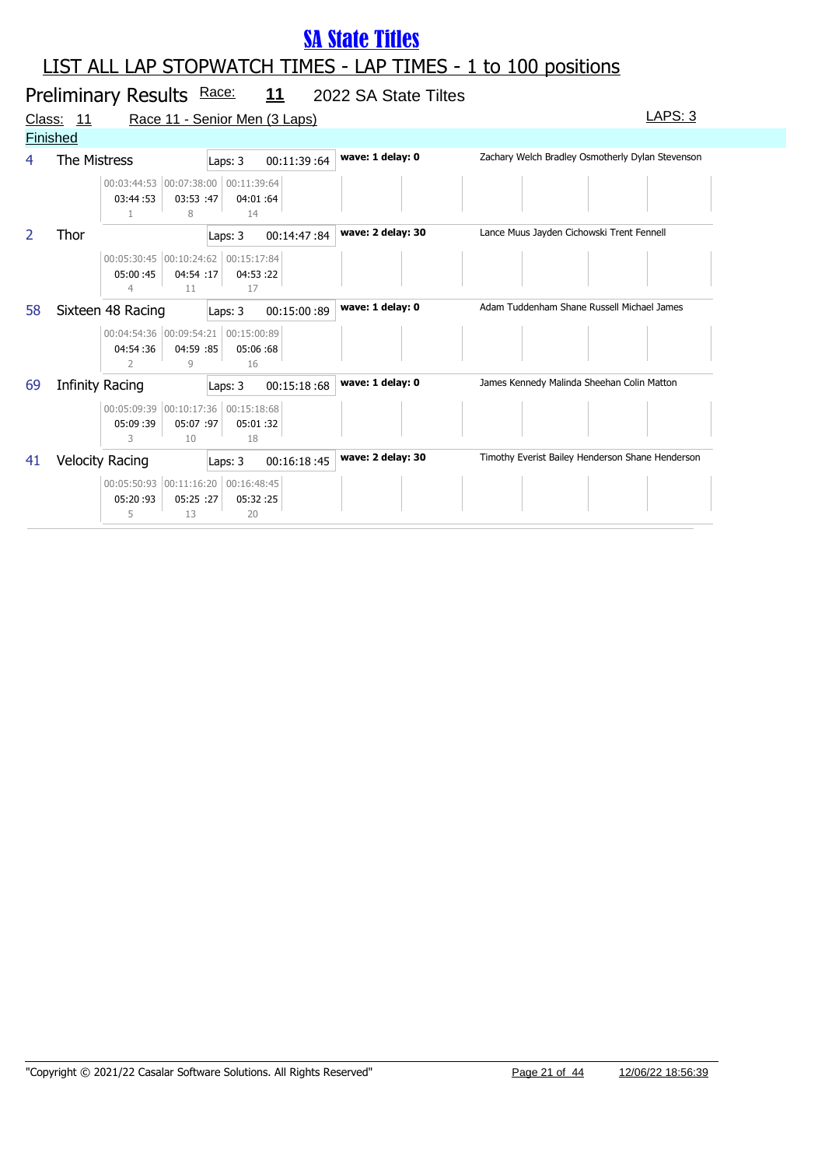|                 | Preliminary Results Race: 11<br>2022 SA State Tiltes |                                                                         |                               |                   |                                                  |  |  |  |  |  |
|-----------------|------------------------------------------------------|-------------------------------------------------------------------------|-------------------------------|-------------------|--------------------------------------------------|--|--|--|--|--|
|                 | Class: 11                                            |                                                                         | Race 11 - Senior Men (3 Laps) |                   | <b>LAPS: 3</b>                                   |  |  |  |  |  |
| <b>Finished</b> |                                                      |                                                                         |                               |                   |                                                  |  |  |  |  |  |
| 4               | The Mistress                                         |                                                                         | 00:11:39:64<br>Laps: 3        | wave: 1 delay: 0  | Zachary Welch Bradley Osmotherly Dylan Stevenson |  |  |  |  |  |
|                 |                                                      | 00:03:44:53 00:07:38:00 00:11:39:64<br>03:44:53<br>03:53 :47<br>8       | 04:01:64<br>14                |                   |                                                  |  |  |  |  |  |
| 2               | Thor                                                 |                                                                         | Laps: 3<br>00:14:47:84        | wave: 2 delay: 30 | Lance Muus Jayden Cichowski Trent Fennell        |  |  |  |  |  |
|                 |                                                      | 00:05:30:45 00:10:24:62 00:15:17:84<br>05:00:45<br>04:54:17<br>4<br>11  | 04:53:22<br>17                |                   |                                                  |  |  |  |  |  |
| 58              |                                                      | Sixteen 48 Racing                                                       | 00:15:00:89<br>Laps: 3        | wave: 1 delay: 0  | Adam Tuddenham Shane Russell Michael James       |  |  |  |  |  |
|                 |                                                      | 00:04:54:36 00:09:54:21 00:15:00:89<br>04:54:36<br>04:59 :85<br>2<br>9  | 05:06:68<br>16                |                   |                                                  |  |  |  |  |  |
| 69              |                                                      | Infinity Racing                                                         | 00:15:18:68<br>Laps: 3        | wave: 1 delay: 0  | James Kennedy Malinda Sheehan Colin Matton       |  |  |  |  |  |
|                 |                                                      | 00:05:09:39 00:10:17:36<br>05:07 :97<br>05:09:39<br>3<br>10             | 00:15:18:68<br>05:01:32<br>18 |                   |                                                  |  |  |  |  |  |
| 41              |                                                      | <b>Velocity Racing</b>                                                  | 00:16:18:45<br>Laps: 3        | wave: 2 delay: 30 | Timothy Everist Bailey Henderson Shane Henderson |  |  |  |  |  |
|                 |                                                      | 00:05:50:93 00:11:16:20 00:16:48:45<br>05:20:93<br>05:25 :27<br>5<br>13 | 05:32:25<br>20                |                   |                                                  |  |  |  |  |  |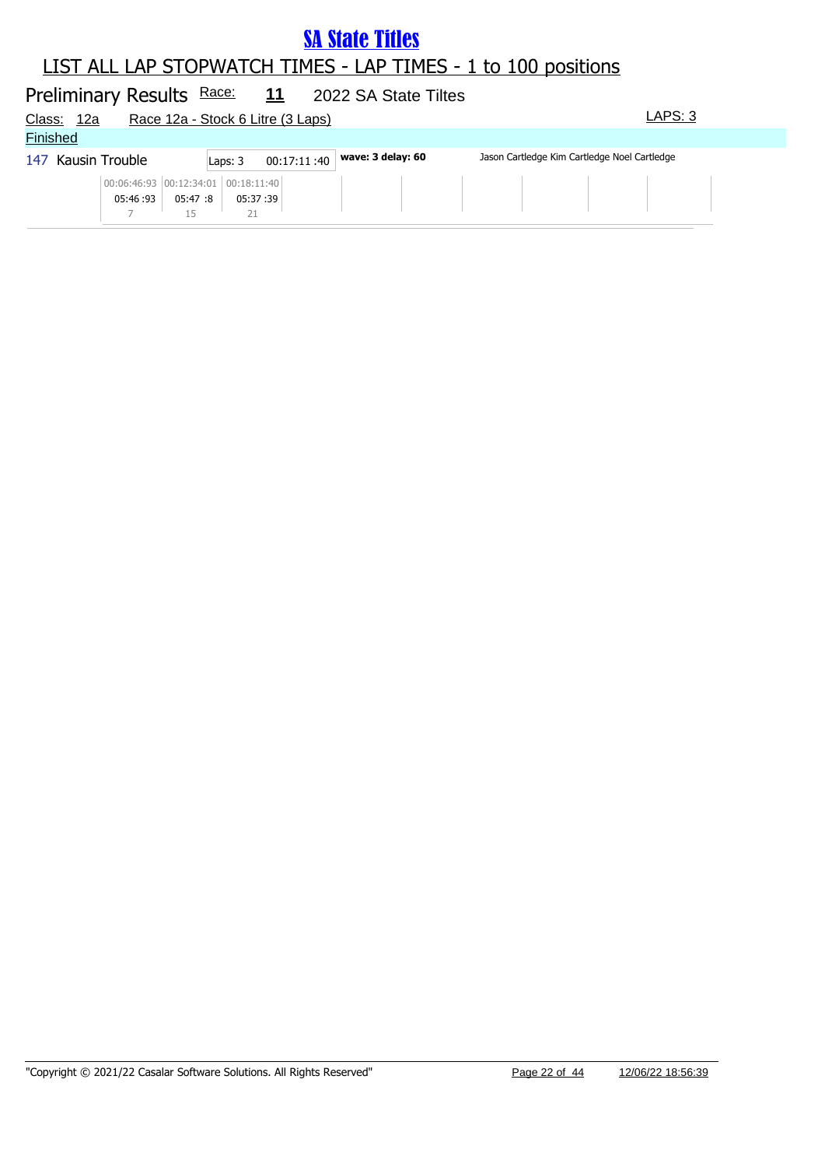#### LIST ALL LAP STOPWATCH TIMES - LAP TIMES - 1 to 100 positions

#### Preliminary Results Race: **11** 2022 SA State Tiltes Race 12a - Stock 6 Litre (3 Laps) LAPS: 3

| <u>Glass.</u>   | ⊺∠a                |                                                 |         |                        | Race 12a - Stock 6 Little (3 Laps) |                   |                                              | <b>______</b> |  |
|-----------------|--------------------|-------------------------------------------------|---------|------------------------|------------------------------------|-------------------|----------------------------------------------|---------------|--|
| <b>Finished</b> |                    |                                                 |         |                        |                                    |                   |                                              |               |  |
|                 | 147 Kausin Trouble |                                                 |         | 00:17:11:40<br>Laps: 3 |                                    | wave: 3 delay: 60 | Jason Cartledge Kim Cartledge Noel Cartledge |               |  |
|                 |                    | 00:06:46:93 00:12:34:01 00:18:11:40<br>05:46:93 | 05:47:8 | 05:37 :39              |                                    |                   |                                              |               |  |
|                 |                    |                                                 |         |                        |                                    |                   |                                              |               |  |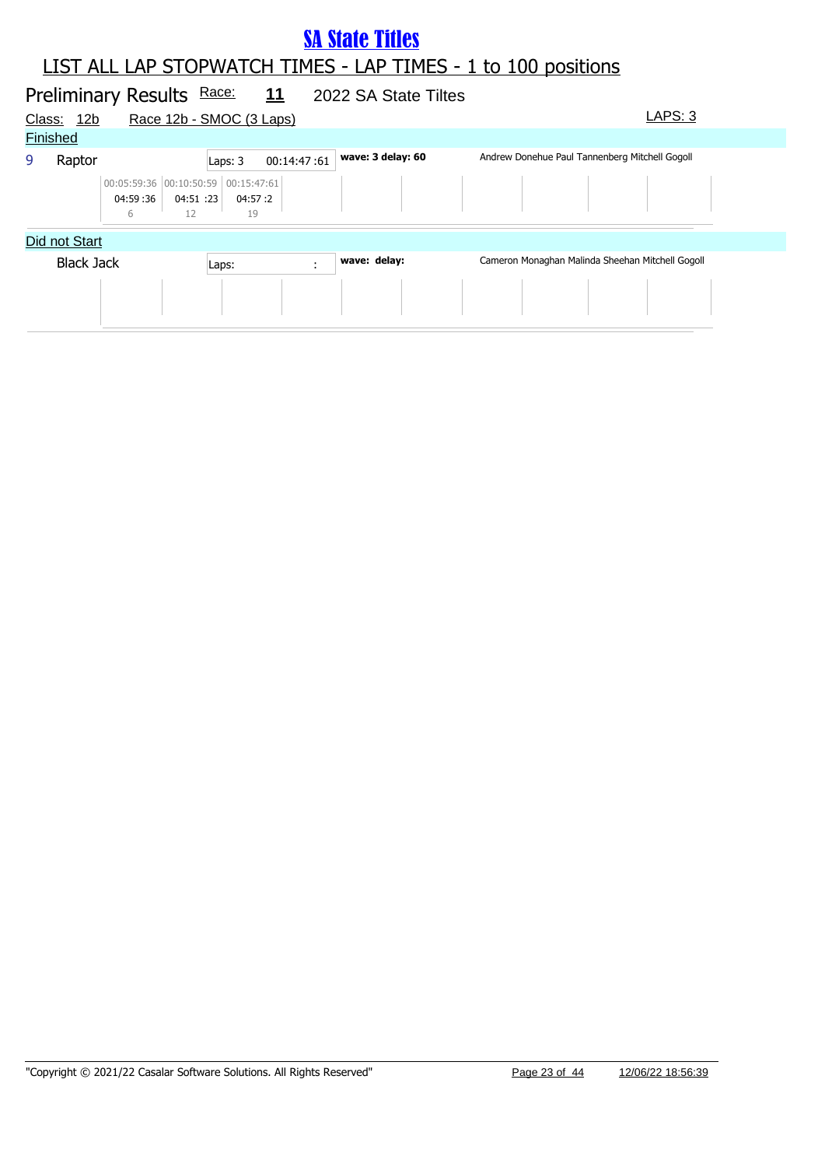#### LIST ALL LAP STOPWATCH TIMES - LAP TIMES - 1 to 100 positions **SA State Titles**

|        |                   | Preliminary Results Race:                            |                 |                          | $\frac{11}{1}$ | 2022 SA State Tiltes |                                                  |         |  |
|--------|-------------------|------------------------------------------------------|-----------------|--------------------------|----------------|----------------------|--------------------------------------------------|---------|--|
| Class: | 12 <sub>b</sub>   |                                                      |                 | Race 12b - SMOC (3 Laps) |                |                      |                                                  | LAPS: 3 |  |
|        | <b>Finished</b>   |                                                      |                 |                          |                |                      |                                                  |         |  |
| 9      | Raptor            |                                                      |                 | Laps: 3                  | 00:14:47:61    | wave: 3 delay: 60    | Andrew Donehue Paul Tannenberg Mitchell Gogoll   |         |  |
|        |                   | 00:05:59:36 00:10:50:59 00:15:47:61<br>04:59:36<br>6 | 04:51 :23<br>12 | 04:57 :2<br>19           |                |                      |                                                  |         |  |
|        | Did not Start     |                                                      |                 |                          |                |                      |                                                  |         |  |
|        | <b>Black Jack</b> |                                                      |                 | Laps:                    | ÷              | wave: delay:         | Cameron Monaghan Malinda Sheehan Mitchell Gogoll |         |  |
|        |                   |                                                      |                 |                          |                |                      |                                                  |         |  |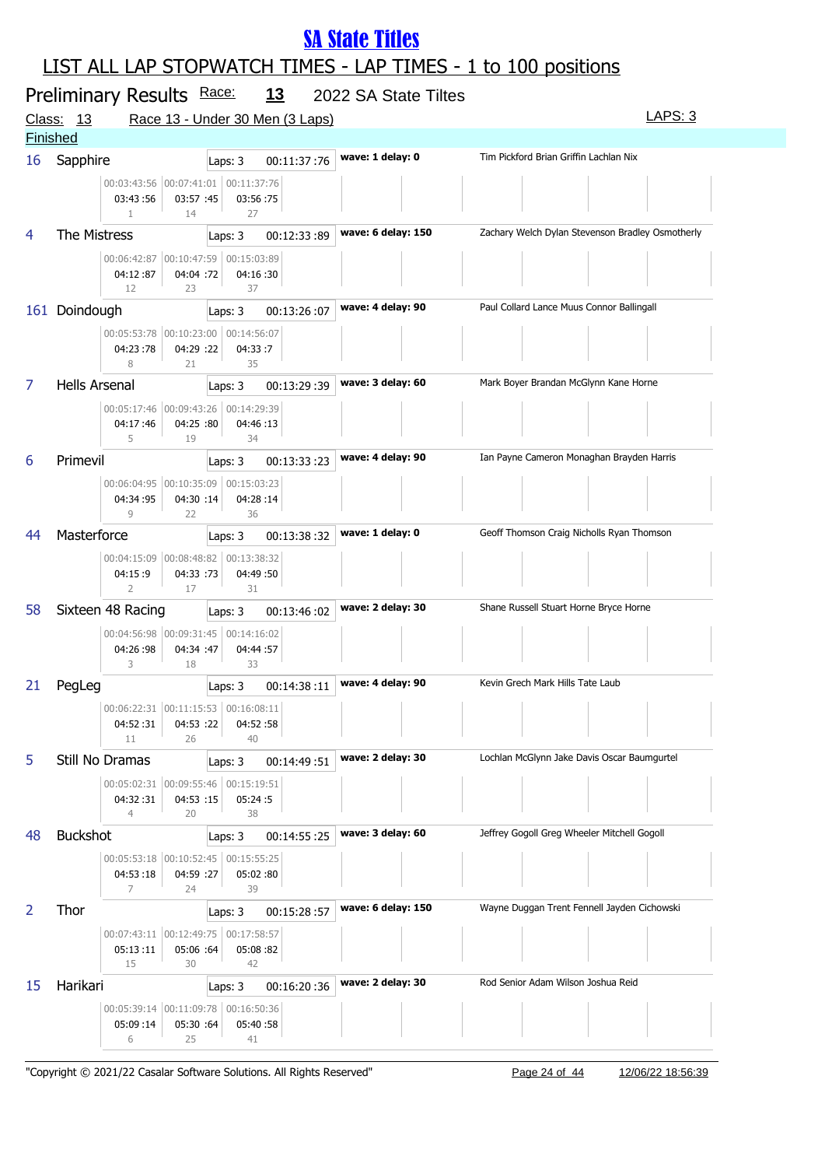### LIST ALL LAP STOPWATCH TIMES - LAP TIMES - 1 to 100 positions

|    | Preliminary Results Race:                                                            | <u>13</u>                       | 2022 SA State Tiltes |                                                  |
|----|--------------------------------------------------------------------------------------|---------------------------------|----------------------|--------------------------------------------------|
|    | Class: 13                                                                            | Race 13 - Under 30 Men (3 Laps) |                      | LAPS: 3                                          |
|    | <b>Finished</b>                                                                      |                                 |                      |                                                  |
| 16 | Sapphire                                                                             | 00:11:37:76<br>Laps: 3          | wave: 1 delay: 0     | Tim Pickford Brian Griffin Lachlan Nix           |
|    | 00:03:43:56 00:07:41:01 00:11:37:76<br>03:43:56<br>03:57 :45<br>$\mathbf{1}$<br>14   | 03:56:75<br>27                  |                      |                                                  |
|    | The Mistress                                                                         | 00:12:33:89<br>Laps: 3          | wave: 6 delay: 150   | Zachary Welch Dylan Stevenson Bradley Osmotherly |
|    | 00:06:42:87 00:10:47:59 00:15:03:89<br>04:12:87<br>04:04 :72<br>12<br>23             | 04:16:30<br>37                  |                      |                                                  |
|    | 161 Doindough                                                                        | Laps: 3<br>00:13:26:07          | wave: 4 delay: 90    | Paul Collard Lance Muus Connor Ballingall        |
|    | 00:05:53:78 00:10:23:00<br>04:23:78<br>04:29 :22<br>8<br>21                          | 00:14:56:07<br>04:33:7<br>35    |                      |                                                  |
| 7  | <b>Hells Arsenal</b>                                                                 | 00:13:29:39<br>Laps: 3          | wave: 3 delay: 60    | Mark Boyer Brandan McGlynn Kane Horne            |
|    | 00:05:17:46 00:09:43:26<br>04:17:46<br>04:25 :80<br>5<br>19                          | 00:14:29:39<br>04:46:13<br>34   |                      |                                                  |
| 6  | Primevil                                                                             | 00:13:33:23<br>Laps: 3          | wave: 4 delay: 90    | Ian Payne Cameron Monaghan Brayden Harris        |
|    | 00:06:04:95 00:10:35:09<br>04:34:95<br>04:30 :14<br>9<br>22                          | 00:15:03:23<br>04:28:14<br>36   |                      |                                                  |
| 44 | Masterforce                                                                          | 00:13:38:32<br>Laps: 3          | wave: 1 delay: 0     | Geoff Thomson Craig Nicholls Ryan Thomson        |
|    | 00:04:15:09 00:08:48:82 00:13:38:32<br>04:15:9<br>04:33 :73<br>$\overline{2}$<br>17  | 04:49 :50<br>31                 |                      |                                                  |
| 58 | Sixteen 48 Racing                                                                    | 00:13:46:02<br>Laps: 3          | wave: 2 delay: 30    | Shane Russell Stuart Horne Bryce Horne           |
|    | 00:04:56:98 00:09:31:45 00:14:16:02<br>04:26:98<br>04:34 :47<br>3<br>18              | 04:44 :57<br>33                 |                      |                                                  |
| 21 | PegLeg                                                                               | 00:14:38:11<br>Laps: 3          | wave: 4 delay: 90    | Kevin Grech Mark Hills Tate Laub                 |
|    | 00:06:22:31 00:11:15:53<br>04:53 :22<br>04:52:31<br>11<br>26                         | 00:16:08:11<br>04:52:58<br>40   |                      |                                                  |
| 5  | Still No Dramas                                                                      | 00:14:49:51<br>Laps: 3          | wave: 2 delay: 30    | Lochlan McGlynn Jake Davis Oscar Baumgurtel      |
|    | 00:05:02:31 00:09:55:46 00:15:19:51<br>04:32:31<br>04:53 :15<br>$\overline{4}$<br>20 | 05:24:5<br>38                   |                      |                                                  |
| 48 | <b>Buckshot</b>                                                                      | 00:14:55:25<br>Laps: 3          | wave: 3 delay: 60    | Jeffrey Gogoll Greg Wheeler Mitchell Gogoll      |
|    | 00:05:53:18 00:10:52:45 00:15:55:25<br>04:59 :27<br>04:53:18<br>7<br>24              | 05:02:80<br>39                  |                      |                                                  |
| 2  | Thor                                                                                 | 00:15:28:57<br>Laps: 3          | wave: 6 delay: 150   | Wayne Duggan Trent Fennell Jayden Cichowski      |
|    | 00:07:43:11 00:12:49:75 00:17:58:57<br>05:06 :64<br>05:13:11<br>15<br>30             | 05:08:82<br>42                  |                      |                                                  |
| 15 | Harikari                                                                             | 00:16:20:36<br>Laps: 3          | wave: 2 delay: 30    | Rod Senior Adam Wilson Joshua Reid               |
|    | 00:05:39:14 00:11:09:78 00:16:50:36<br>05:30 :64<br>05:09:14<br>25<br>6              | 05:40:58<br>41                  |                      |                                                  |

"Copyright © 2021/22 Casalar Software Solutions. All Rights Reserved" Page 24 of 44 12/06/22 18:56:39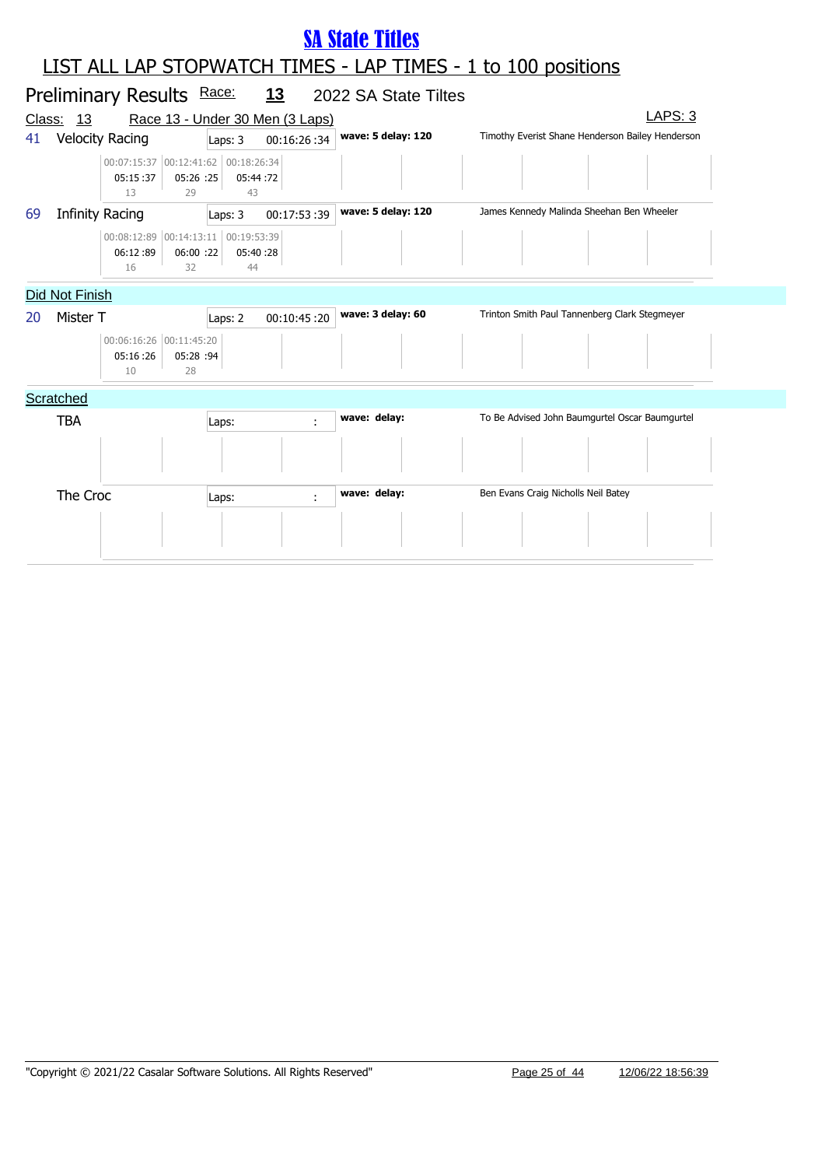|        | <b>SA State Titles</b> |                                                       |                 |                |                                 |                      |                                                                      |         |  |  |
|--------|------------------------|-------------------------------------------------------|-----------------|----------------|---------------------------------|----------------------|----------------------------------------------------------------------|---------|--|--|
|        |                        |                                                       |                 |                |                                 |                      | <b>LIST ALL LAP STOPWATCH TIMES - LAP TIMES - 1 to 100 positions</b> |         |  |  |
|        |                        | Preliminary Results Race:                             |                 |                | <u>13</u>                       | 2022 SA State Tiltes |                                                                      |         |  |  |
| Class: | 13                     |                                                       |                 |                | Race 13 - Under 30 Men (3 Laps) |                      |                                                                      | LAPS: 3 |  |  |
| 41     |                        | <b>Velocity Racing</b>                                |                 | Laps: 3        | 00:16:26:34                     | wave: 5 delay: 120   | Timothy Everist Shane Henderson Bailey Henderson                     |         |  |  |
|        |                        | 00:07:15:37 00:12:41:62 00:18:26:34<br>05:15:37<br>13 | 05:26 :25<br>29 | 05:44:72<br>43 |                                 |                      |                                                                      |         |  |  |
| 69     |                        | <b>Infinity Racing</b>                                |                 | Laps: 3        | 00:17:53:39                     | wave: 5 delay: 120   | James Kennedy Malinda Sheehan Ben Wheeler                            |         |  |  |
|        |                        | 00:08:12:89 00:14:13:11 00:19:53:39<br>06:12:89<br>16 | 06:00:22<br>32  | 05:40:28<br>44 |                                 |                      |                                                                      |         |  |  |
|        | Did Not Finish         |                                                       |                 |                |                                 |                      |                                                                      |         |  |  |
| 20     | Mister T               |                                                       |                 | Laps: 2        | 00:10:45:20                     | wave: 3 delay: 60    | Trinton Smith Paul Tannenberg Clark Stegmeyer                        |         |  |  |
|        |                        | 00:06:16:26 00:11:45:20<br>05:16:26<br>10             | 05:28 :94<br>28 |                |                                 |                      |                                                                      |         |  |  |
|        | Scratched              |                                                       |                 |                |                                 |                      |                                                                      |         |  |  |
|        | <b>TBA</b>             |                                                       |                 | Laps:          |                                 | wave: delay:         | To Be Advised John Baumgurtel Oscar Baumgurtel                       |         |  |  |
|        |                        |                                                       |                 |                |                                 |                      |                                                                      |         |  |  |
|        | The Croc               |                                                       |                 | Laps:          | ÷                               | wave: delay:         | Ben Evans Craig Nicholls Neil Batey                                  |         |  |  |
|        |                        |                                                       |                 |                |                                 |                      |                                                                      |         |  |  |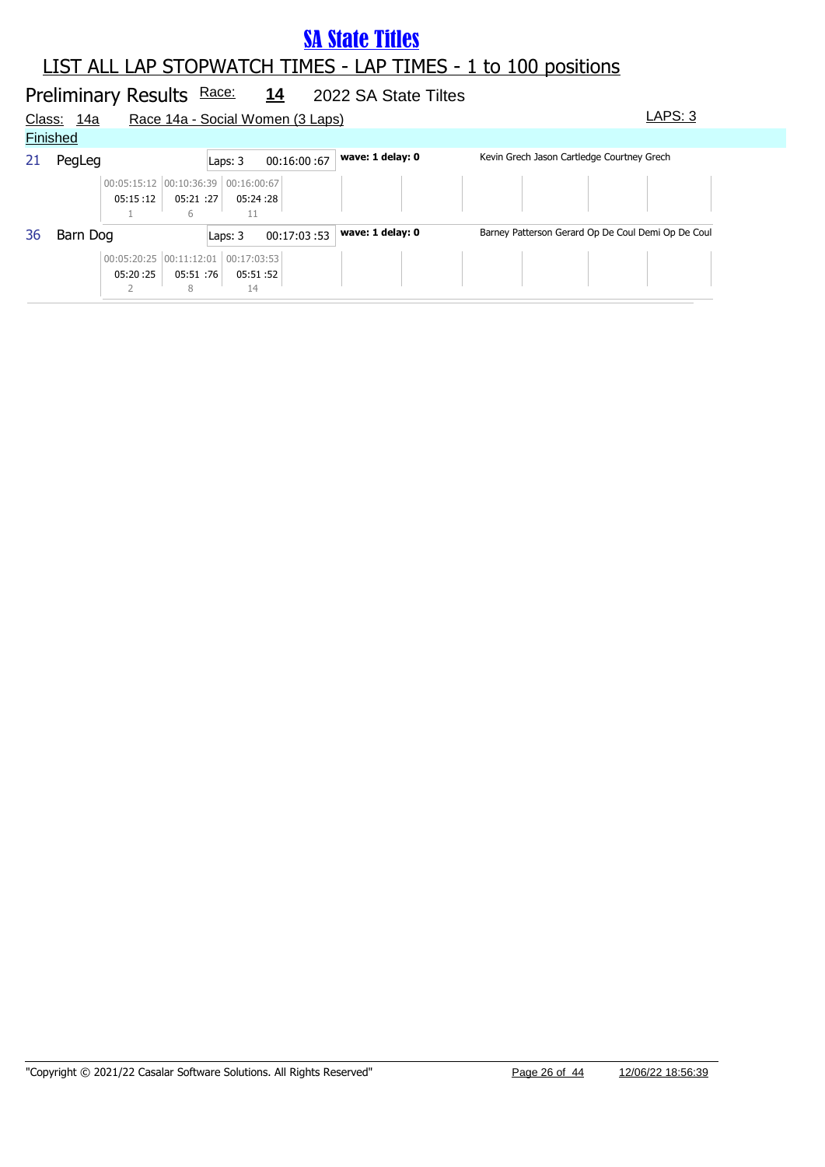#### LIST ALL LAP STOPWATCH TIMES - LAP TIMES - 1 to 100 positions

# Preliminary Results Race: 14 2022 SA State Tiltes

| Class: | <u> 14a</u> |                                         |                |                   | Race 14a - Social Women (3 Laps) |                  |                                                    | LAPS: 3 |
|--------|-------------|-----------------------------------------|----------------|-------------------|----------------------------------|------------------|----------------------------------------------------|---------|
|        | Finished    |                                         |                |                   |                                  |                  |                                                    |         |
| 21     | PegLeg      |                                         |                | Laps: 3           | 00:16:00:67                      | wave: 1 delay: 0 | Kevin Grech Jason Cartledge Courtney Grech         |         |
|        |             | 00:05:15:12 00:10:36:39<br>05:15:12     | 05:21:27<br>6  | 00:16:00:67       | 05:24 :28                        |                  |                                                    |         |
| 36     | Barn Dog    |                                         |                | Laps: 3           | 00:17:03:53                      | wave: 1 delay: 0 | Barney Patterson Gerard Op De Coul Demi Op De Coul |         |
|        |             | $00:05:20:25$ $00:11:12:01$<br>05:20:25 | 05:51 :76<br>8 | 00:17:03:53<br>14 | 05:51 :52                        |                  |                                                    |         |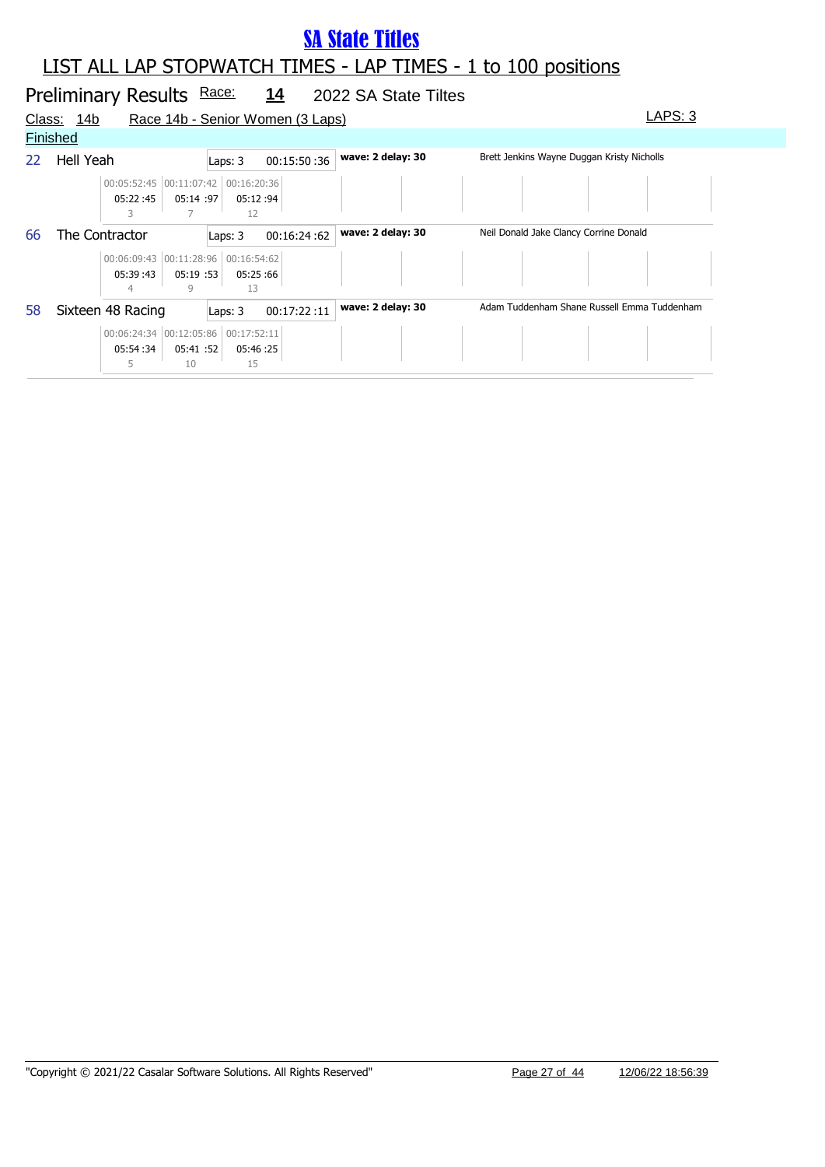### LIST ALL LAP STOPWATCH TIMES - LAP TIMES - 1 to 100 positions

#### Preliminary Results Race: 14 2022 SA State Tiltes Class: 14b Race 14b - Senior Women (3 Laps) Class: 14b LAPS: 3 **Finished** 22 Hell Yeah **Laps: 3** 00:15:50 :36 **wave: 2 delay: 30** Brett Jenkins Wayne Duggan Kristy Nicholls 05:22 :45 00:05:52:45 00:11:07:42 00:16:20:36 05:14 05:12 :97 :94 3 7 12 66 The Contractor **Laps: 3** 00:16:24 :62 **wave: 2 delay: 30** Neil Donald Jake Clancy Corrine Donald 05:39 :43 00:06:09:43 00:11:28:96 00:16:54:62  $05:19:53$ 05:25 :53 :66 4 9 13 58 Sixteen 48 Racing Laps: 3 00:17:22 :11 **wave: 2 delay: 30** Adam Tuddenham Shane Russell Emma Tuddenham 05:54 :34 00:06:24:34 00:12:05:86 00:17:52:11 05:41 05:46 :52 :25 5 10 15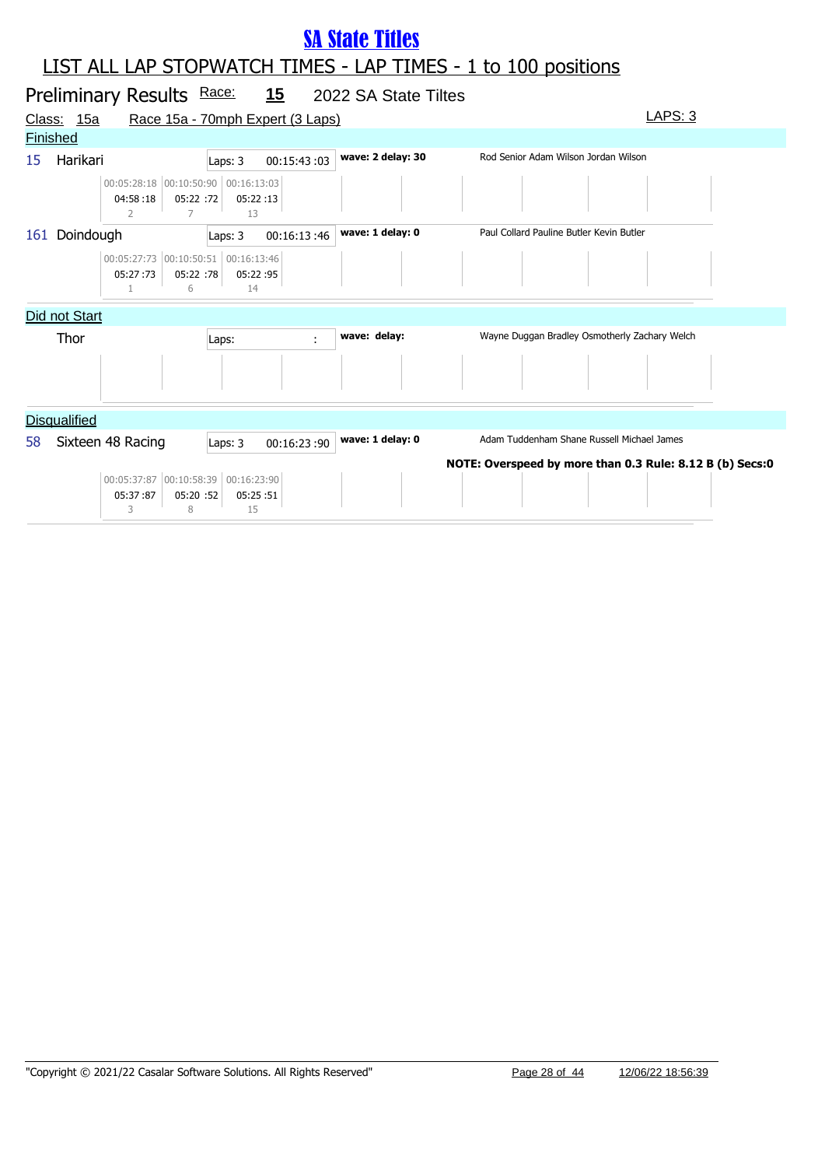|                 |                     | Preliminary Results Race:                            |                             |                               | <u>15</u>                        | 2022 SA State Tiltes |                                                          |
|-----------------|---------------------|------------------------------------------------------|-----------------------------|-------------------------------|----------------------------------|----------------------|----------------------------------------------------------|
|                 | Class: 15a          |                                                      |                             |                               | Race 15a - 70mph Expert (3 Laps) |                      | <b>LAPS: 3</b>                                           |
| <b>Finished</b> |                     |                                                      |                             |                               |                                  |                      |                                                          |
| 15              | Harikari            |                                                      |                             | Laps: 3                       | 00:15:43:03                      | wave: 2 delay: 30    | Rod Senior Adam Wilson Jordan Wilson                     |
|                 |                     | 00:05:28:18 00:10:50:90 00:16:13:03<br>04:58:18<br>2 | 05:22 :72<br>$\overline{7}$ | 05:22:13<br>13                |                                  |                      |                                                          |
| 161             | Doindough           |                                                      |                             | Laps: 3                       | 00:16:13:46                      | wave: 1 delay: 0     | Paul Collard Pauline Butler Kevin Butler                 |
|                 |                     | 00:05:27:73 00:10:50:51<br>05:27:73                  | 05:22 :78<br>6              | 00:16:13:46<br>05:22:95<br>14 |                                  |                      |                                                          |
|                 | Did not Start       |                                                      |                             |                               |                                  |                      |                                                          |
|                 | Thor                |                                                      |                             | Laps:                         | ÷                                | wave: delay:         | Wayne Duggan Bradley Osmotherly Zachary Welch            |
|                 |                     |                                                      |                             |                               |                                  |                      |                                                          |
|                 | <b>Disqualified</b> |                                                      |                             |                               |                                  |                      |                                                          |
| 58              |                     | Sixteen 48 Racing                                    |                             | Laps: 3                       | 00:16:23:90                      | wave: 1 delay: 0     | Adam Tuddenham Shane Russell Michael James               |
|                 |                     | 00:05:37:87 00:10:58:39<br>05:37:87<br>3             | 05:20 :52<br>8              | 00:16:23:90<br>05:25:51<br>15 |                                  |                      | NOTE: Overspeed by more than 0.3 Rule: 8.12 B (b) Secs:0 |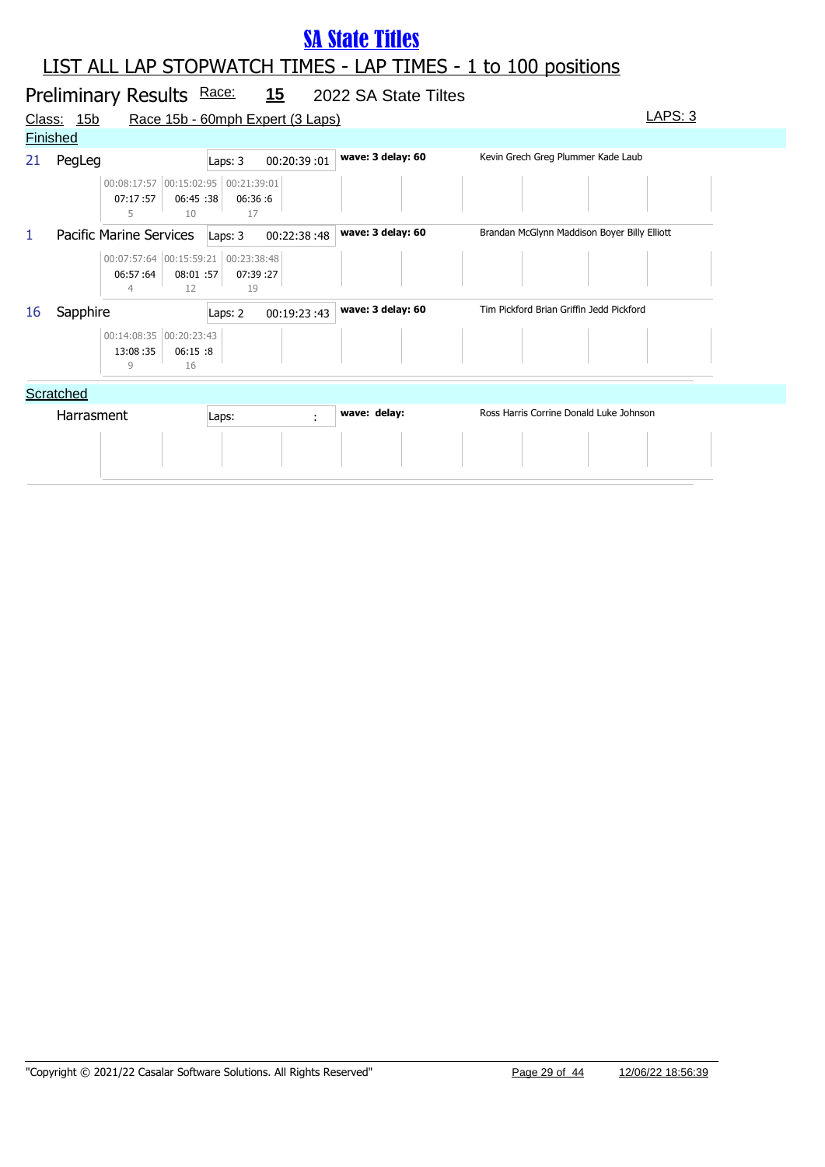|    |                   | Preliminary Results Race:                                         |                 |                 | <u>15</u>                        | 2022 SA State Tiltes |                                              |  |
|----|-------------------|-------------------------------------------------------------------|-----------------|-----------------|----------------------------------|----------------------|----------------------------------------------|--|
|    | <u>Class: 15b</u> |                                                                   |                 |                 | Race 15b - 60mph Expert (3 Laps) |                      | LAPS: 3                                      |  |
|    | <b>Finished</b>   |                                                                   |                 |                 |                                  |                      |                                              |  |
| 21 | PegLeg            |                                                                   |                 | Laps: 3         | 00:20:39:01                      | wave: 3 delay: 60    | Kevin Grech Greg Plummer Kade Laub           |  |
|    |                   | 00:08:17:57 00:15:02:95 00:21:39:01<br>07:17:57<br>5              | 06:45 :38<br>10 | 06:36:6<br>17   |                                  |                      |                                              |  |
| 1  |                   | Pacific Marine Services                                           |                 | Laps: 3         | 00:22:38:48                      | wave: 3 delay: 60    | Brandan McGlynn Maddison Boyer Billy Elliott |  |
|    |                   | 00:07:57:64 00:15:59:21 00:23:38:48<br>06:57:64<br>$\overline{4}$ | 08:01 :57<br>12 | 07:39 :27<br>19 |                                  |                      |                                              |  |
| 16 | Sapphire          |                                                                   |                 | Laps: 2         | 00:19:23:43                      | wave: 3 delay: 60    | Tim Pickford Brian Griffin Jedd Pickford     |  |
|    |                   | 00:14:08:35 00:20:23:43<br>13:08:35<br>9                          | 06:15:8<br>16   |                 |                                  |                      |                                              |  |
|    | Scratched         |                                                                   |                 |                 |                                  |                      |                                              |  |
|    | Harrasment        |                                                                   |                 | Laps:           | ÷                                | wave: delay:         | Ross Harris Corrine Donald Luke Johnson      |  |
|    |                   |                                                                   |                 |                 |                                  |                      |                                              |  |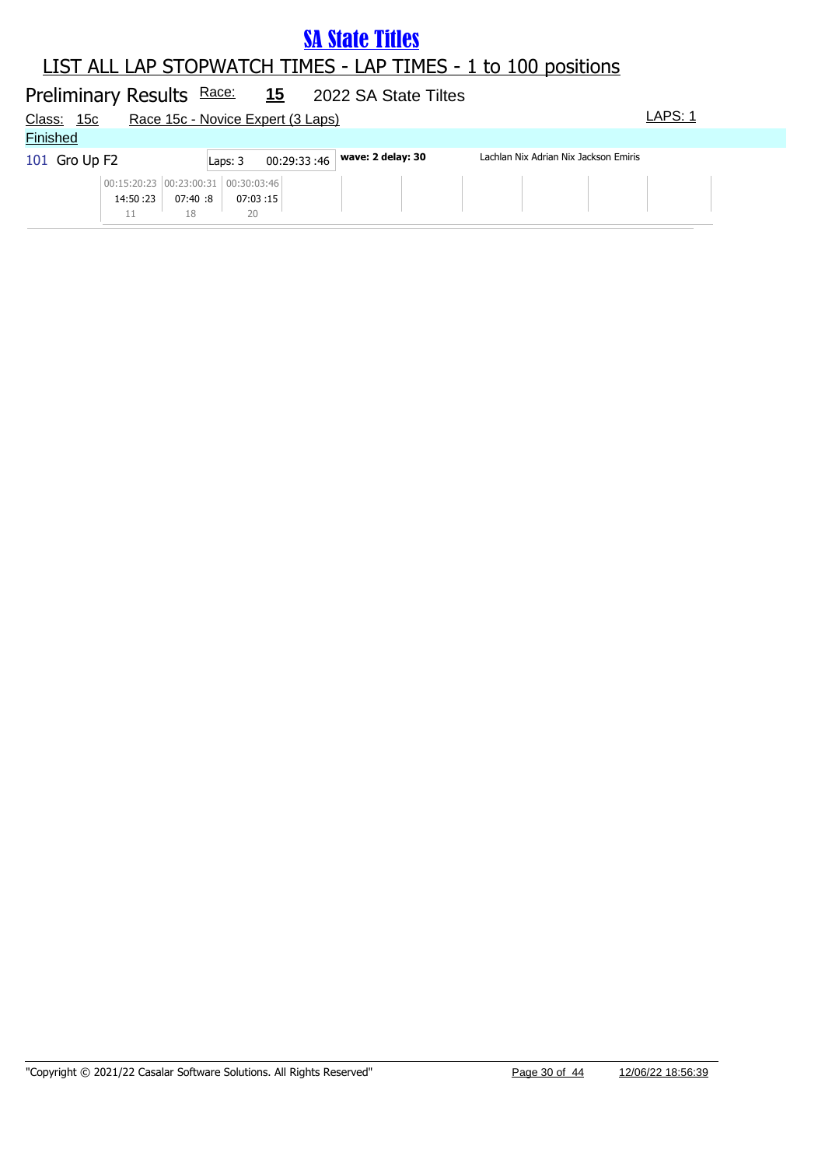#### LIST ALL LAP STOPWATCH TIMES - LAP TIMES - 1 to 100 positions

#### Preliminary Results Race: 15 2022 SA State Tiltes Class: 15c Race 15c - Novice Expert (3 Laps) LAPS: 1 **Finished** 101 Gro Up F2 Laps: 3 00:29:33 :46 **wave: 2 delay: 30** Lachlan Nix Adrian Nix Jackson Emiris 14:50 :23 00:15:20:23 00:23:00:31 00:30:03:46 07:40 :8 07:03 :8 :15 11 18 20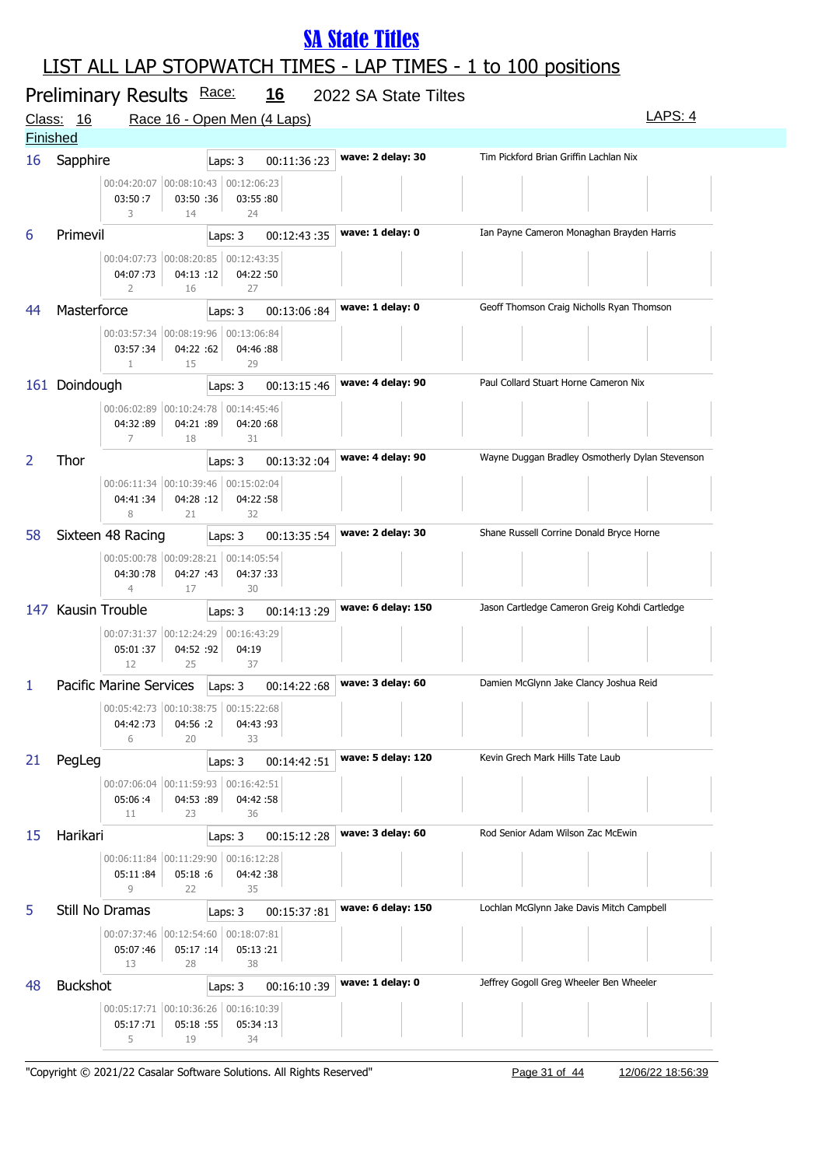### LIST ALL LAP STOPWATCH TIMES - LAP TIMES - 1 to 100 positions

| <u>Class:</u> | Preliminary Results Race:<br>16                                                      | <u>16</u><br>Race 16 - Open Men (4 Laps) | 2022 SA State Tiltes | LAPS: 4                                         |
|---------------|--------------------------------------------------------------------------------------|------------------------------------------|----------------------|-------------------------------------------------|
|               | <b>Finished</b>                                                                      |                                          |                      |                                                 |
| 16            | Sapphire                                                                             | 00:11:36:23<br>Laps: 3                   | wave: 2 delay: 30    | Tim Pickford Brian Griffin Lachlan Nix          |
|               | 00:04:20:07 00:08:10:43 00:12:06:23<br>03:50:7<br>03:50 :36<br>3<br>14               | 03:55:80<br>24                           |                      |                                                 |
| 6             | Primevil                                                                             | 00:12:43:35<br>Laps: 3                   | wave: 1 delay: 0     | Ian Payne Cameron Monaghan Brayden Harris       |
|               | 00:04:07:73 00:08:20:85 00:12:43:35<br>04:07:73<br>04:13:12<br>2<br>16               | 04:22:50<br>27                           |                      |                                                 |
| 44            | Masterforce                                                                          | Laps: 3<br>00:13:06:84                   | wave: 1 delay: 0     | Geoff Thomson Craig Nicholls Ryan Thomson       |
|               | 00:03:57:34 00:08:19:96 00:13:06:84<br>04:22 :62<br>03:57:34<br>$\mathbf{1}$<br>15   | 04:46:88<br>29                           |                      |                                                 |
|               | 161 Doindough                                                                        | 00:13:15:46<br>Laps: 3                   | wave: 4 delay: 90    | Paul Collard Stuart Horne Cameron Nix           |
|               | 00:06:02:89 00:10:24:78 00:14:45:46<br>04:32:89<br>04:21 :89<br>7<br>18              | 04:20:68<br>31                           |                      |                                                 |
| 2             | Thor                                                                                 | Laps: 3<br>00:13:32:04                   | wave: 4 delay: 90    | Wayne Duggan Bradley Osmotherly Dylan Stevenson |
|               | 00:06:11:34 00:10:39:46 00:15:02:04<br>04:41:34<br>04:28 :12<br>8<br>21              | 04:22:58<br>32                           |                      |                                                 |
| 58            | Sixteen 48 Racing                                                                    | 00:13:35:54<br>Laps: 3                   | wave: 2 delay: 30    | Shane Russell Corrine Donald Bryce Horne        |
|               | 00:05:00:78 00:09:28:21 00:14:05:54<br>04:30:78<br>04:27 :43<br>$\overline{4}$<br>17 | 04:37:33<br>30                           |                      |                                                 |
|               | 147 Kausin Trouble                                                                   | Laps: 3<br>00:14:13:29                   | wave: 6 delay: 150   | Jason Cartledge Cameron Greig Kohdi Cartledge   |
|               | 00:07:31:37 00:12:24:29 00:16:43:29<br>05:01:37<br>04:52 :92<br>12<br>25             | 04:19<br>37                              |                      |                                                 |
| 1             | Pacific Marine Services                                                              | 00:14:22:68<br>Laps: 3                   | wave: 3 delay: 60    | Damien McGlynn Jake Clancy Joshua Reid          |
|               | 00:05:42:73 00:10:38:75<br>04:56 :2<br>04:42:73<br>6<br>20                           | 00:15:22:68<br>04:43:93<br>33            |                      | <b>Contract Contract</b>                        |
| 21            | PegLeg                                                                               | 00:14:42:51<br>Laps: 3                   | wave: 5 delay: 120   | Kevin Grech Mark Hills Tate Laub                |
|               | 00:07:06:04 00:11:59:93 00:16:42:51<br>05:06:4<br>04:53 :89<br>11<br>23              | 04:42:58<br>36                           |                      |                                                 |
| 15            | Harikari                                                                             | 00:15:12:28<br>Laps: 3                   | wave: 3 delay: 60    | Rod Senior Adam Wilson Zac McEwin               |
|               | 00:06:11:84 00:11:29:90 00:16:12:28<br>05:11:84<br>05:18:6<br>9<br>22                | 04:42:38<br>35                           |                      |                                                 |
| 5             | Still No Dramas                                                                      | 00:15:37:81<br>Laps: 3                   | wave: 6 delay: 150   | Lochlan McGlynn Jake Davis Mitch Campbell       |
|               | 00:07:37:46 00:12:54:60 00:18:07:81<br>05:17 :14<br>05:07:46<br>13<br>28             | 05:13:21<br>38                           |                      |                                                 |
| 48            | <b>Buckshot</b>                                                                      | 00:16:10:39<br>Laps: 3                   | wave: 1 delay: 0     | Jeffrey Gogoll Greg Wheeler Ben Wheeler         |
|               | 00:05:17:71 00:10:36:26 00:16:10:39<br>05:17:71<br>05:18 :55<br>5<br>19              | 05:34:13<br>34                           |                      |                                                 |

"Copyright © 2021/22 Casalar Software Solutions. All Rights Reserved" Page 31 of 44 12/06/22 18:56:39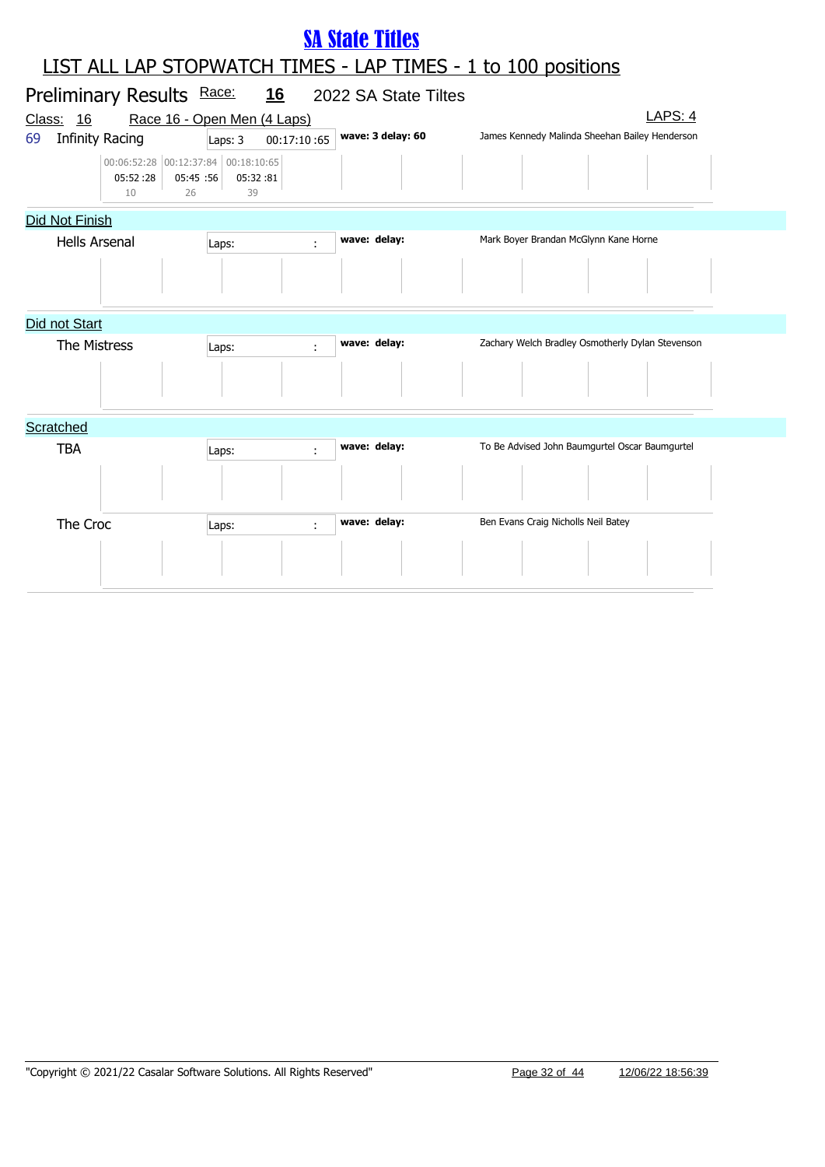# Preliminary Results Race: 16 2022 SA State Tiltes Class: 16 Race 16 - Open Men (4 Laps) Class: 16 LAPS: 4 LIST ALL LAP STOPWATCH TIMES - LAP TIMES - 1 to 100 positions SA State Titles 69 Infinity Racing **wave: 3 delay: 60** James Kennedy Malinda Sheehan Bailey Henderson Laps: 3 00:17:10 :65 05:52 :28 00:06:52:28 00:12:37:84 00:18:10:65 05:45 05:32 :56 :81 10 26 39 Did Not Finish Hells Arsenal **Laps: Wave: delay:** Mark Boyer Brandan McGlynn Kane Horne Laps: Did not Start The Mistress **Laps: Wave: delay:** Zachary Welch Bradley Osmotherly Dylan Stevenson **Scratched** TBA Laps:  $\begin{array}{ccc} \text{Laps:} & \text{wave: delay:} \end{array}$  To Be Advised John Baumgurtel Oscar Baumgurtel The Croc Laps: **Laps: wave: delay:** Ben Evans Craig Nicholls Neil Batey Renewall Batey Laps: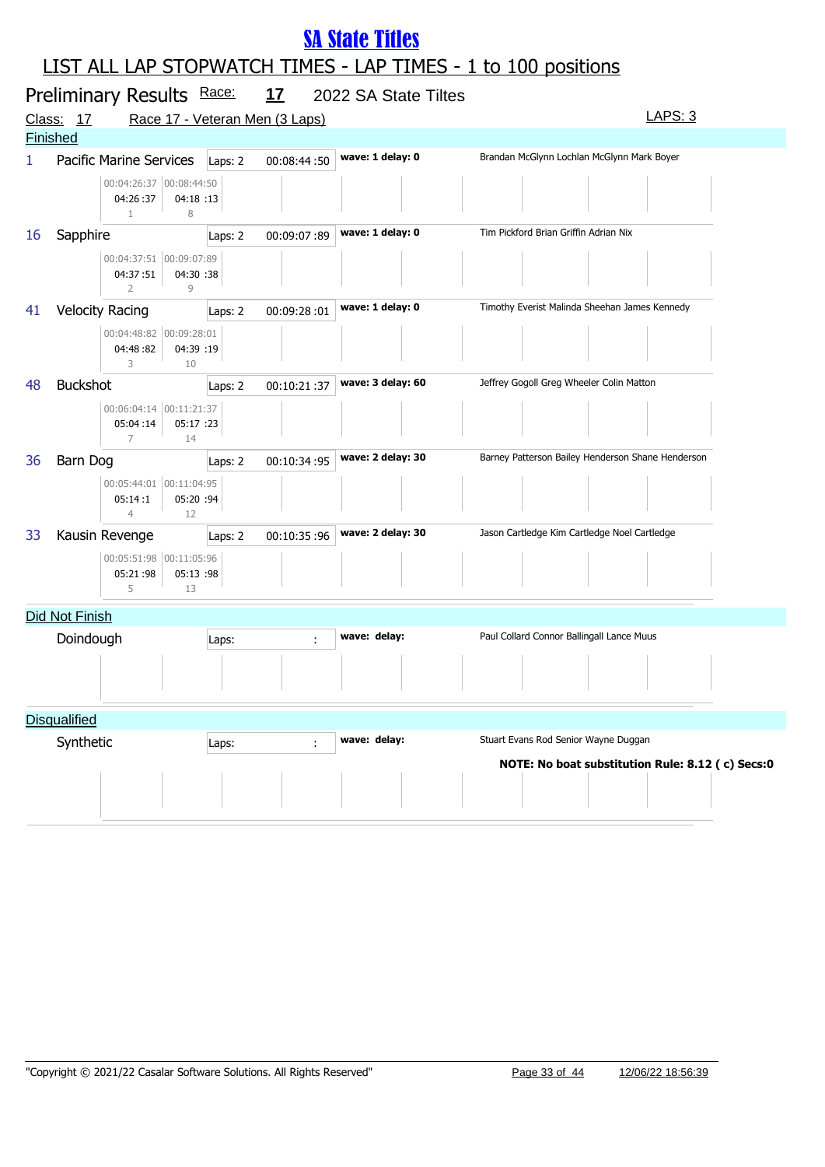|    | Preliminary Results Race:<br>Class: 17<br><b>Finished</b>                | <u>17</u><br>Race 17 - Veteran Men (3 Laps) | 2022 SA State Tiltes | LAPS: 3                                           |  |  |  |  |  |
|----|--------------------------------------------------------------------------|---------------------------------------------|----------------------|---------------------------------------------------|--|--|--|--|--|
| 1  | Pacific Marine Services                                                  | 00:08:44:50<br>Laps: 2                      | wave: 1 delay: 0     | Brandan McGlynn Lochlan McGlynn Mark Boyer        |  |  |  |  |  |
|    | 00:04:26:37 00:08:44:50<br>04:26:37<br>04:18:13<br>$\mathbf{1}$<br>8     |                                             |                      |                                                   |  |  |  |  |  |
| 16 | Sapphire                                                                 | 00:09:07:89<br>Laps: 2                      | wave: 1 delay: 0     | Tim Pickford Brian Griffin Adrian Nix             |  |  |  |  |  |
|    | 00:04:37:51 00:09:07:89<br>04:37:51<br>04:30 :38<br>$\overline{2}$<br>9  |                                             |                      |                                                   |  |  |  |  |  |
| 41 | <b>Velocity Racing</b>                                                   | 00:09:28:01<br>Laps: 2                      | wave: 1 delay: 0     | Timothy Everist Malinda Sheehan James Kennedy     |  |  |  |  |  |
|    | 00:04:48:82 00:09:28:01<br>04:39 :19<br>04:48:82<br>3<br>10              |                                             |                      |                                                   |  |  |  |  |  |
| 48 | <b>Buckshot</b>                                                          | 00:10:21:37<br>Laps: 2                      | wave: 3 delay: 60    | Jeffrey Gogoll Greg Wheeler Colin Matton          |  |  |  |  |  |
|    | 00:06:04:14 00:11:21:37<br>05:04:14<br>05:17 :23<br>$\overline{7}$<br>14 |                                             |                      |                                                   |  |  |  |  |  |
| 36 | Barn Dog                                                                 | 00:10:34:95<br>Laps: 2                      | wave: 2 delay: 30    | Barney Patterson Bailey Henderson Shane Henderson |  |  |  |  |  |
|    | 00:05:44:01 00:11:04:95<br>05:20 :94<br>05:14:1<br>$\overline{4}$<br>12  |                                             |                      |                                                   |  |  |  |  |  |
| 33 | Kausin Revenge                                                           | 00:10:35:96<br>Laps: 2                      | wave: 2 delay: 30    | Jason Cartledge Kim Cartledge Noel Cartledge      |  |  |  |  |  |
|    | 00:05:51:98 00:11:05:96<br>05:21:98<br>05:13 :98<br>5<br>13              |                                             |                      |                                                   |  |  |  |  |  |
|    | Did Not Finish                                                           |                                             |                      |                                                   |  |  |  |  |  |
|    | Doindough                                                                | Laps:<br>÷                                  | wave: delay:         | Paul Collard Connor Ballingall Lance Muus         |  |  |  |  |  |
|    |                                                                          |                                             |                      |                                                   |  |  |  |  |  |
|    | <b>Disqualified</b>                                                      |                                             |                      |                                                   |  |  |  |  |  |
|    | Synthetic                                                                | ÷<br>Laps:                                  | wave: delay:         | Stuart Evans Rod Senior Wayne Duggan              |  |  |  |  |  |
|    |                                                                          |                                             |                      | NOTE: No boat substitution Rule: 8.12 (c) Secs:0  |  |  |  |  |  |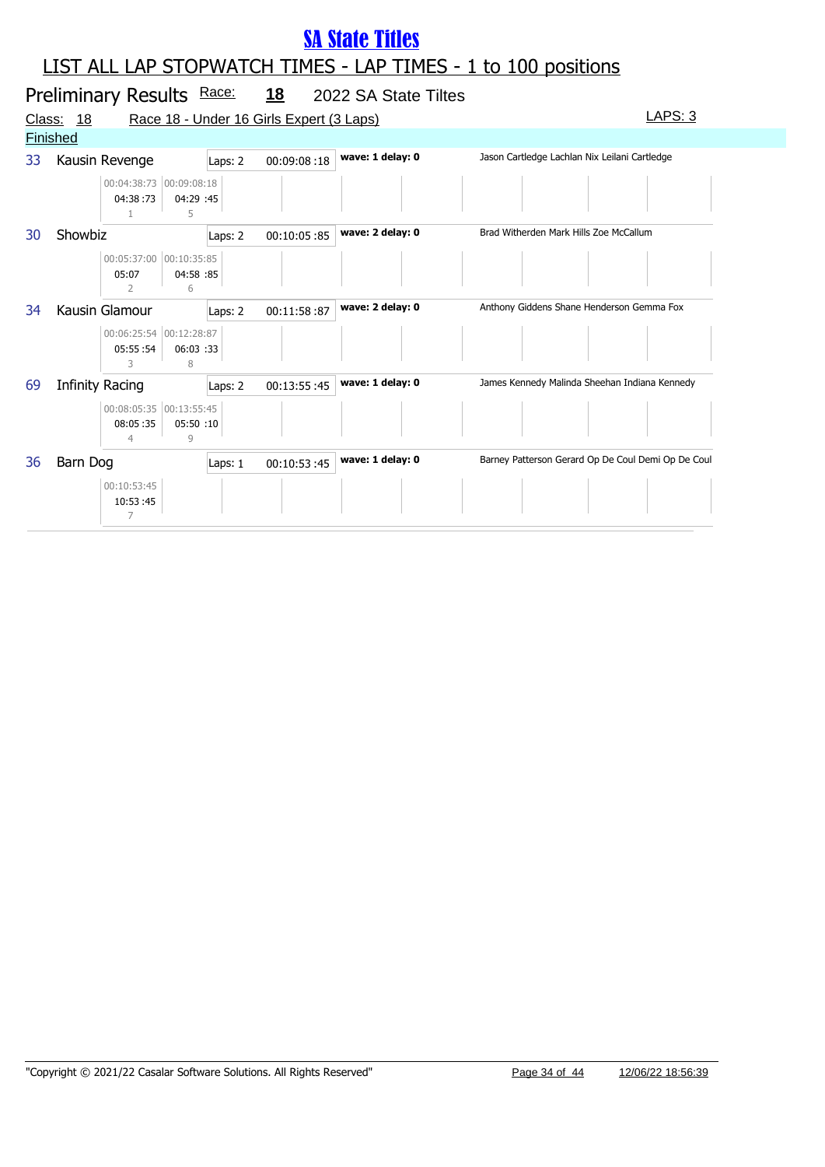|               |                 | Preliminary Results Race:                         |                |                        | <u>18</u>                                | 2022 SA State Tiltes |                                                    |
|---------------|-----------------|---------------------------------------------------|----------------|------------------------|------------------------------------------|----------------------|----------------------------------------------------|
| <u>Class:</u> | <u>18</u>       |                                                   |                |                        | Race 18 - Under 16 Girls Expert (3 Laps) |                      | LAPS: 3                                            |
|               | <b>Finished</b> |                                                   |                |                        |                                          |                      |                                                    |
| 33            |                 | Kausin Revenge                                    |                | 00:09:08:18<br>Laps: 2 |                                          | wave: 1 delay: 0     | Jason Cartledge Lachlan Nix Leilani Cartledge      |
|               |                 | 00:04:38:73 00:09:08:18<br>04:38:73               | 04:29 :45<br>5 |                        |                                          |                      |                                                    |
| 30            | Showbiz         |                                                   |                | 00:10:05:85<br>Laps: 2 |                                          | wave: 2 delay: 0     | Brad Witherden Mark Hills Zoe McCallum             |
|               |                 | 00:05:37:00 00:10:35:85<br>05:07<br>$\mathcal{P}$ | 04:58 :85<br>6 |                        |                                          |                      |                                                    |
| 34            | Kausin Glamour  |                                                   |                | Laps: 2                | 00:11:58:87                              | wave: 2 delay: 0     | Anthony Giddens Shane Henderson Gemma Fox          |
|               |                 | 00:06:25:54 00:12:28:87<br>05:55:54               | 06:03 :33<br>8 |                        |                                          |                      |                                                    |
| 69            | Infinity Racing |                                                   |                | Laps: 2                | 00:13:55:45                              | wave: 1 delay: 0     | James Kennedy Malinda Sheehan Indiana Kennedy      |
|               |                 | 00:08:05:35 00:13:55:45<br>08:05:35               | 05:50 :10<br>Q |                        |                                          |                      |                                                    |
| 36            |                 | Barn Dog                                          |                | Laps: 1                | 00:10:53:45                              | wave: 1 delay: 0     | Barney Patterson Gerard Op De Coul Demi Op De Coul |
|               |                 | 00:10:53:45<br>10:53:45<br>7                      |                |                        |                                          |                      |                                                    |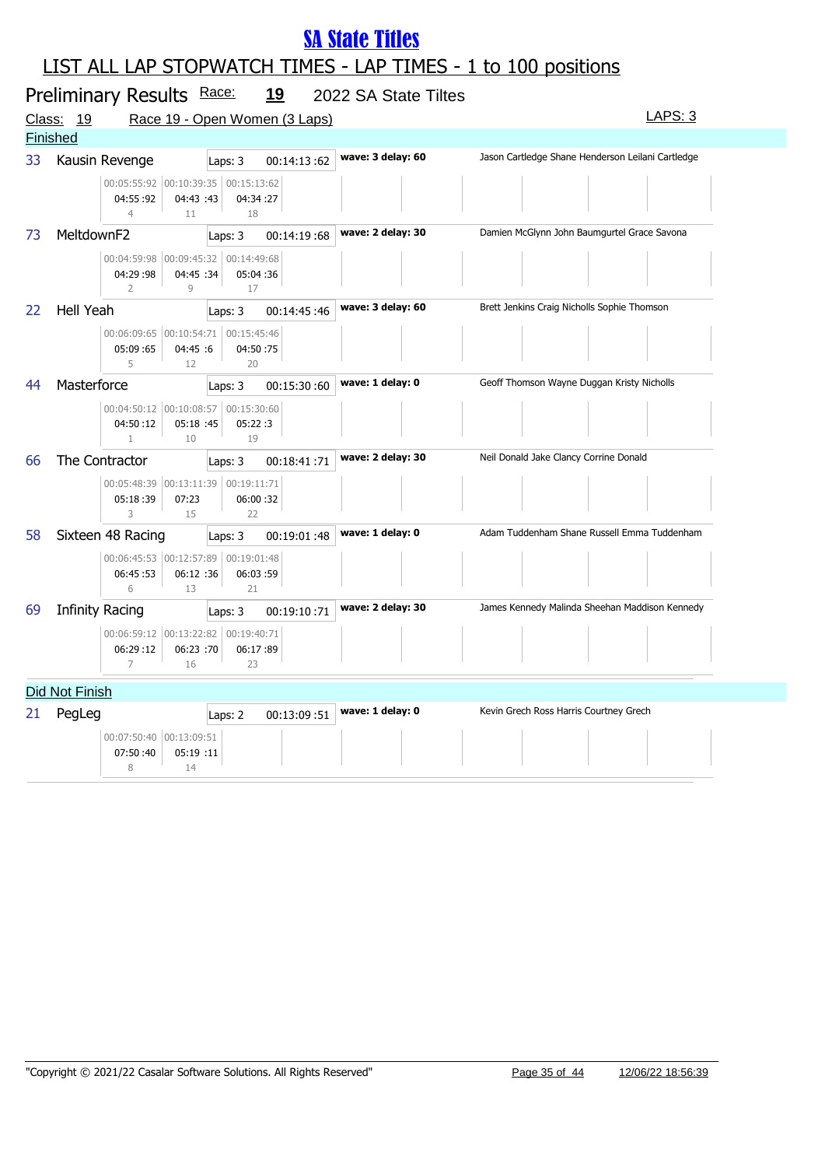|    | Preliminary Results Race:<br><u>19</u><br>2022 SA State Tiltes                       |                               |                   |                                                   |  |  |  |
|----|--------------------------------------------------------------------------------------|-------------------------------|-------------------|---------------------------------------------------|--|--|--|
|    | Class: 19                                                                            | Race 19 - Open Women (3 Laps) |                   | LAPS: 3                                           |  |  |  |
|    | Finished                                                                             |                               |                   |                                                   |  |  |  |
| 33 | Kausin Revenge                                                                       | 00:14:13:62<br>Laps: 3        | wave: 3 delay: 60 | Jason Cartledge Shane Henderson Leilani Cartledge |  |  |  |
|    | 00:05:55:92 00:10:39:35 00:15:13:62<br>04:55:92<br>04:43 :43<br>$\overline{4}$<br>11 | 04:34:27<br>18                |                   |                                                   |  |  |  |
| 73 | MeltdownF2                                                                           | 00:14:19:68<br>Laps: 3        | wave: 2 delay: 30 | Damien McGlynn John Baumgurtel Grace Savona       |  |  |  |
|    | 00:04:59:98 00:09:45:32 00:14:49:68<br>04:29:98<br>04:45 :34<br>$\overline{2}$<br>9  | 05:04:36<br>17                |                   |                                                   |  |  |  |
| 22 | <b>Hell Yeah</b>                                                                     | 00:14:45:46<br>Laps: 3        | wave: 3 delay: 60 | Brett Jenkins Craig Nicholls Sophie Thomson       |  |  |  |
|    | 00:06:09:65 00:10:54:71 00:15:45:46<br>05:09:65<br>04:45 :6<br>5<br>12               | 04:50:75<br>20                |                   |                                                   |  |  |  |
| 44 | Masterforce                                                                          | 00:15:30:60<br>Laps: 3        | wave: 1 delay: 0  | Geoff Thomson Wayne Duggan Kristy Nicholls        |  |  |  |
|    | 00:04:50:12 00:10:08:57 00:15:30:60<br>04:50:12<br>05:18 :45<br>10<br>1              | 05:22:3<br>19                 |                   |                                                   |  |  |  |
| 66 | The Contractor                                                                       | Laps: 3<br>00:18:41:71        | wave: 2 delay: 30 | Neil Donald Jake Clancy Corrine Donald            |  |  |  |
|    | 00:05:48:39 00:13:11:39 00:19:11:71<br>05:18:39<br>07:23<br>3<br>15                  | 06:00:32<br>22                |                   |                                                   |  |  |  |
| 58 | Sixteen 48 Racing                                                                    | 00:19:01:48<br>Laps: 3        | wave: 1 delay: 0  | Adam Tuddenham Shane Russell Emma Tuddenham       |  |  |  |
|    | 00:06:45:53 00:12:57:89<br>06:12 :36<br>06:45:53<br>6<br>13                          | 00:19:01:48<br>06:03:59<br>21 |                   |                                                   |  |  |  |
| 69 | <b>Infinity Racing</b>                                                               | 00:19:10:71<br>Laps: 3        | wave: 2 delay: 30 | James Kennedy Malinda Sheehan Maddison Kennedy    |  |  |  |
|    | 00:06:59:12 00:13:22:82 00:19:40:71<br>06:29:12<br>06:23 :70<br>7<br>16              | 06:17:89<br>23                |                   |                                                   |  |  |  |
|    | Did Not Finish                                                                       |                               |                   |                                                   |  |  |  |
| 21 | PegLeg<br>00:07:50:40 00:13:09:51<br>07:50:40<br>05:19 :11<br>8<br>14                | 00:13:09:51<br>Laps: 2        | wave: 1 delay: 0  | Kevin Grech Ross Harris Courtney Grech            |  |  |  |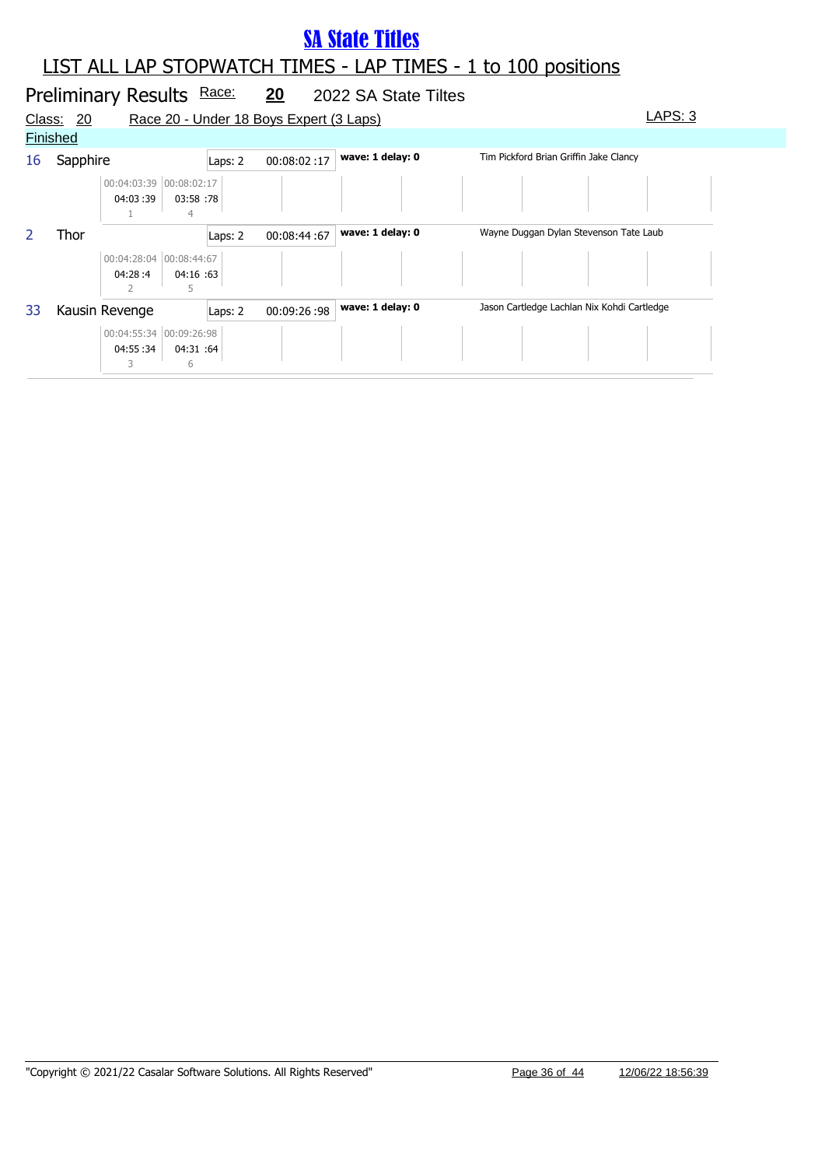#### LIST ALL LAP STOPWATCH TIMES - LAP TIMES - 1 to 100 positions

#### Preliminary Results Race: 20 2022 SA State Tiltes Class: 20 Race 20 - Under 18 Boys Expert (3 Laps) Class: 20 LAPS: 3 **Finished** 16 Sapphire **Laps: 2** 00:08:02 :17 **wave: 1 delay: 0** Tim Pickford Brian Griffin Jake Clancy 04:03 :39 00:04:03:39 00:08:02:17 03:58 :78 1 4 2 Thor **Laps: 2** 00:08:44 :67 **wave: 1 delay: 0** Wayne Duggan Dylan Stevenson Tate Laub 04:28 :4 00:04:28:04 00:08:44:67 04:16 :63 2 5 33 Kausin Revenge Laps: 2 00:09:26 :98 wave: 1 delay: 0 Jason Cartledge Lachlan Nix Kohdi Cartledge 04:55 :34 00:04:55:34 00:09:26:98 04:31 :64 3 6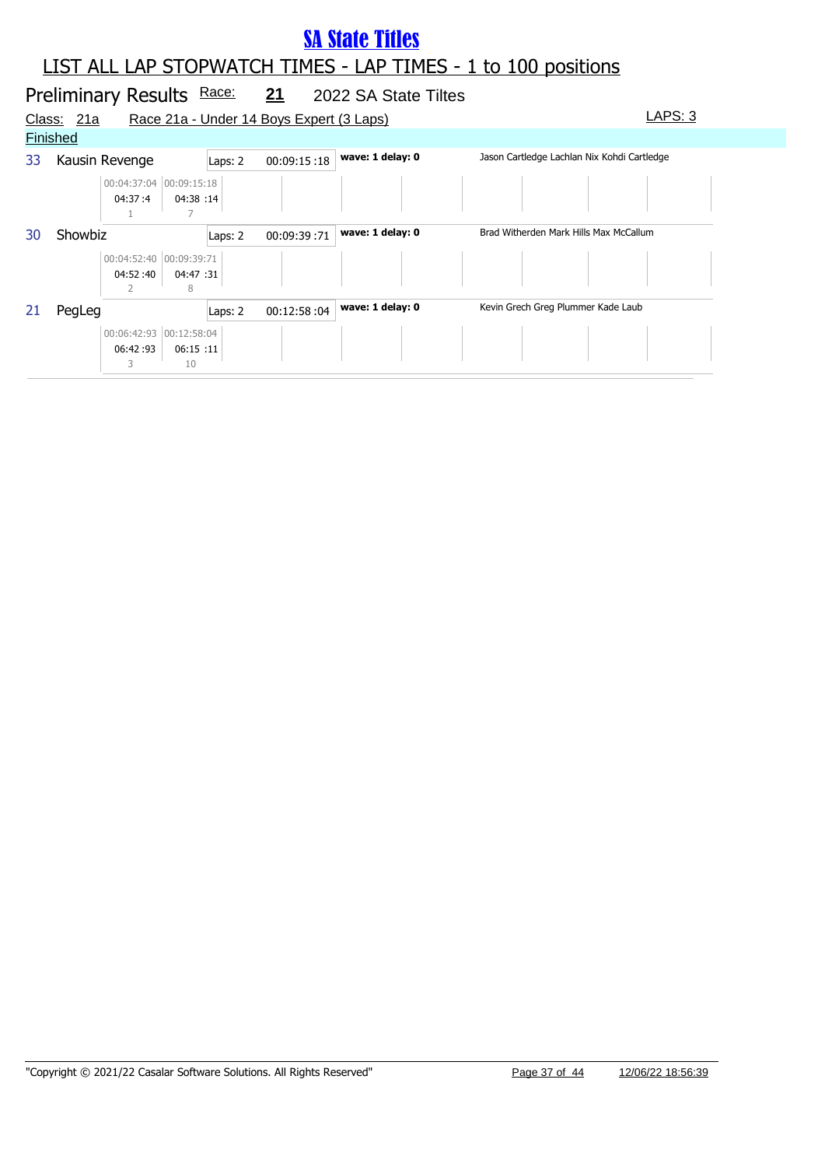|    | Preliminary Results Race:                                  |                        | <u>21</u>                                | 2022 SA State Tiltes |                                             |
|----|------------------------------------------------------------|------------------------|------------------------------------------|----------------------|---------------------------------------------|
|    | Class: 21a                                                 |                        | Race 21a - Under 14 Boys Expert (3 Laps) |                      | LAPS: 3                                     |
|    | <b>Finished</b>                                            |                        |                                          |                      |                                             |
| 33 | Kausin Revenge                                             | Laps: 2                | 00:09:15:18                              | wave: 1 delay: 0     | Jason Cartledge Lachlan Nix Kohdi Cartledge |
|    | 00:04:37:04 00:09:15:18<br>04:38 :14<br>04:37:4            |                        |                                          |                      |                                             |
| 30 | Showbiz                                                    | 00:09:39:71<br>Laps: 2 |                                          | wave: 1 delay: 0     | Brad Witherden Mark Hills Max McCallum      |
|    | 00:04:52:40 00:09:39:71<br>04:47 :31<br>04:52:40<br>8      |                        |                                          |                      |                                             |
| 21 | PegLeg                                                     | Laps: 2                | 00:12:58:04                              | wave: 1 delay: 0     | Kevin Grech Greg Plummer Kade Laub          |
|    | 00:06:42:93 00:12:58:04<br>06:15:11<br>06:42:93<br>10<br>3 |                        |                                          |                      |                                             |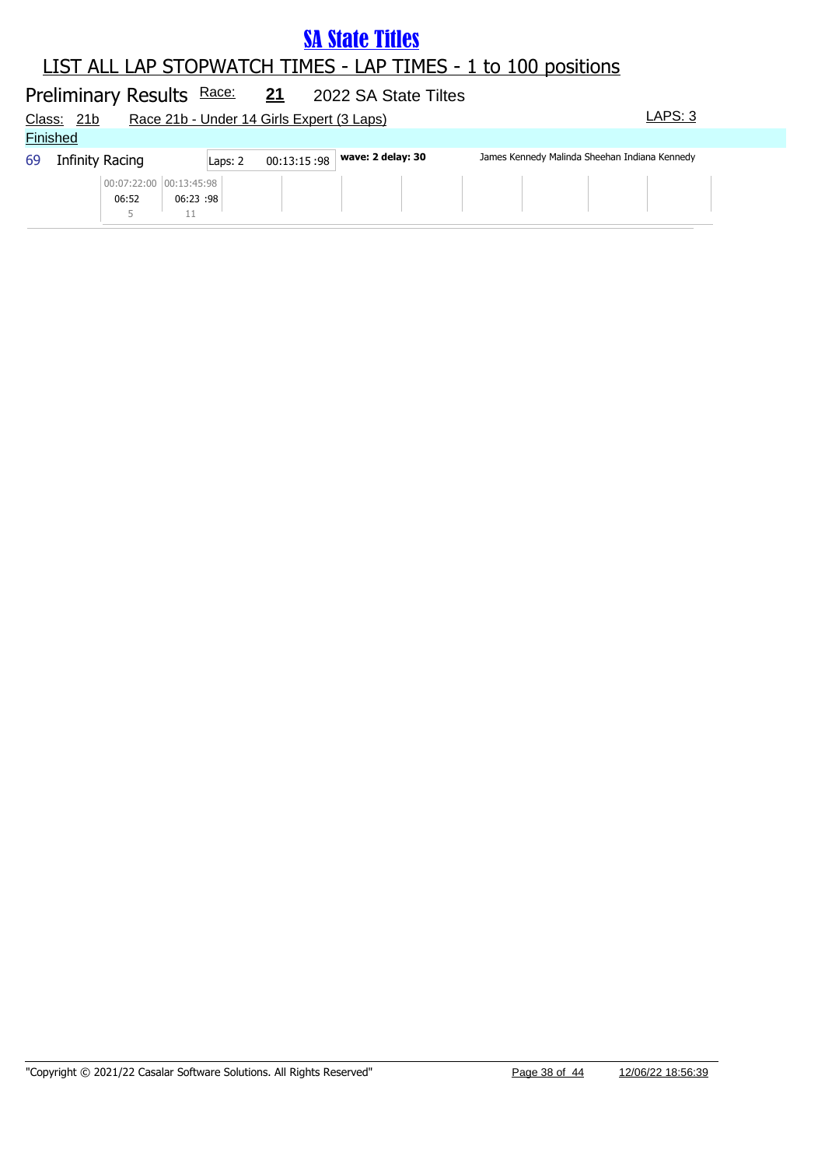#### LIST ALL LAP STOPWATCH TIMES - LAP TIMES - 1 to 100 positions **SA State Titles**

#### Preliminary Results Race: 21 2022 SA State Tiltes Class: 21b Race 21b - Under 14 Girls Expert (3 Laps) Class: 21b LAPS: 3 **Finished** 69 Infinity Racing **wave: 2 delay: 30** James Kennedy Malinda Sheehan Indiana Kennedy Laps: 2 00:13:15 :98 06:52 00:07:22:00 00:13:45:98 06:23 :98 5 11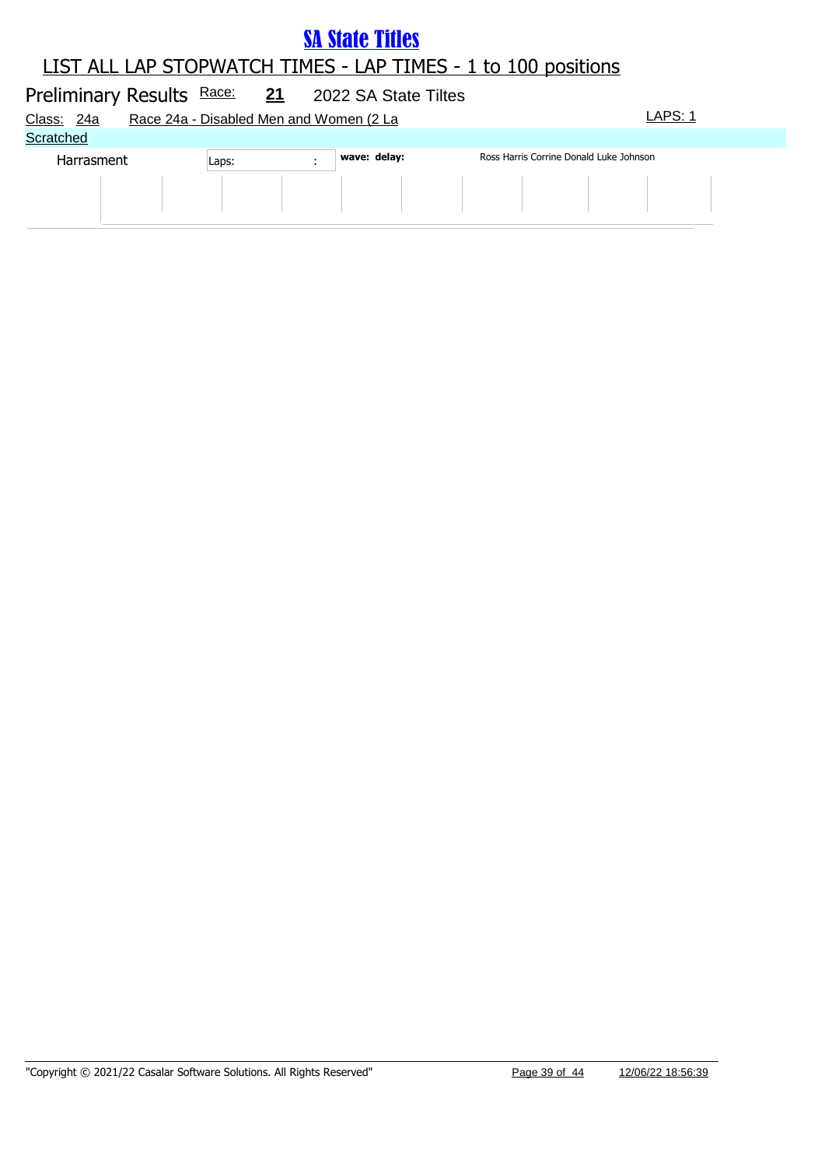### LIST ALL LAP STOPWATCH TIMES - LAP TIMES - 1 to 100 positions

# Preliminary Results Race: 21 2022 SA State Tiltes Class: 24a Race 24a - Disabled Men and Women (2 La LAPS: 1 **Scratched** Harrasment Laps: **Wave: delay:** Ross Harris Corrine Donald Luke Johnson Laps: **1998**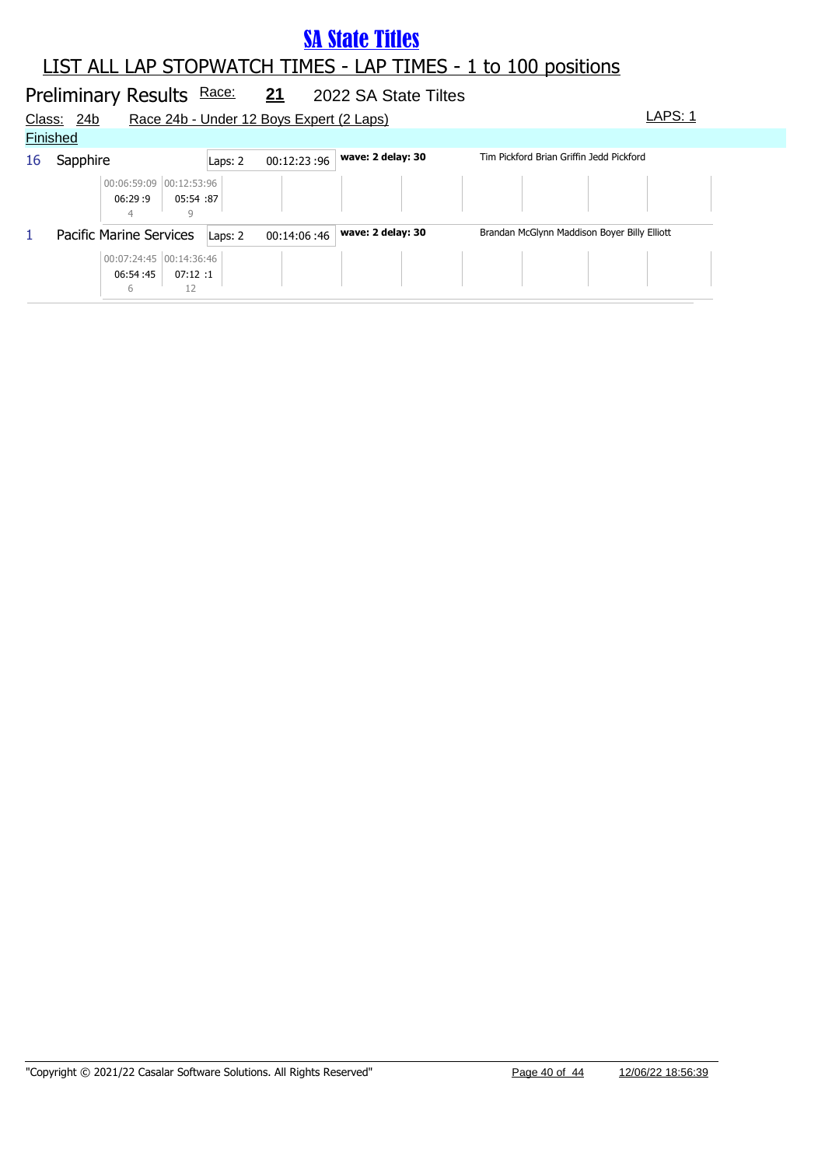|        |                 | Preliminary Results Race:                |           |         | 21                                       | 2022 SA State Tiltes |                                              |  |
|--------|-----------------|------------------------------------------|-----------|---------|------------------------------------------|----------------------|----------------------------------------------|--|
| Class: | 24b             |                                          |           |         | Race 24b - Under 12 Boys Expert (2 Laps) |                      | LAPS: 1                                      |  |
|        | <b>Finished</b> |                                          |           |         |                                          |                      |                                              |  |
| 16     | Sapphire        |                                          |           | Laps: 2 | 00:12:23:96                              | wave: 2 delay: 30    | Tim Pickford Brian Griffin Jedd Pickford     |  |
|        |                 | 00:06:59:09 00:12:53:96<br>06:29:9       | 05:54 :87 |         |                                          |                      |                                              |  |
| 1      |                 | Pacific Marine Services                  |           | Laps: 2 | 00:14:06:46                              | wave: 2 delay: 30    | Brandan McGlynn Maddison Boyer Billy Elliott |  |
|        |                 | 00:07:24:45 00:14:36:46<br>06:54:45<br>6 | 07:12:1   |         |                                          |                      |                                              |  |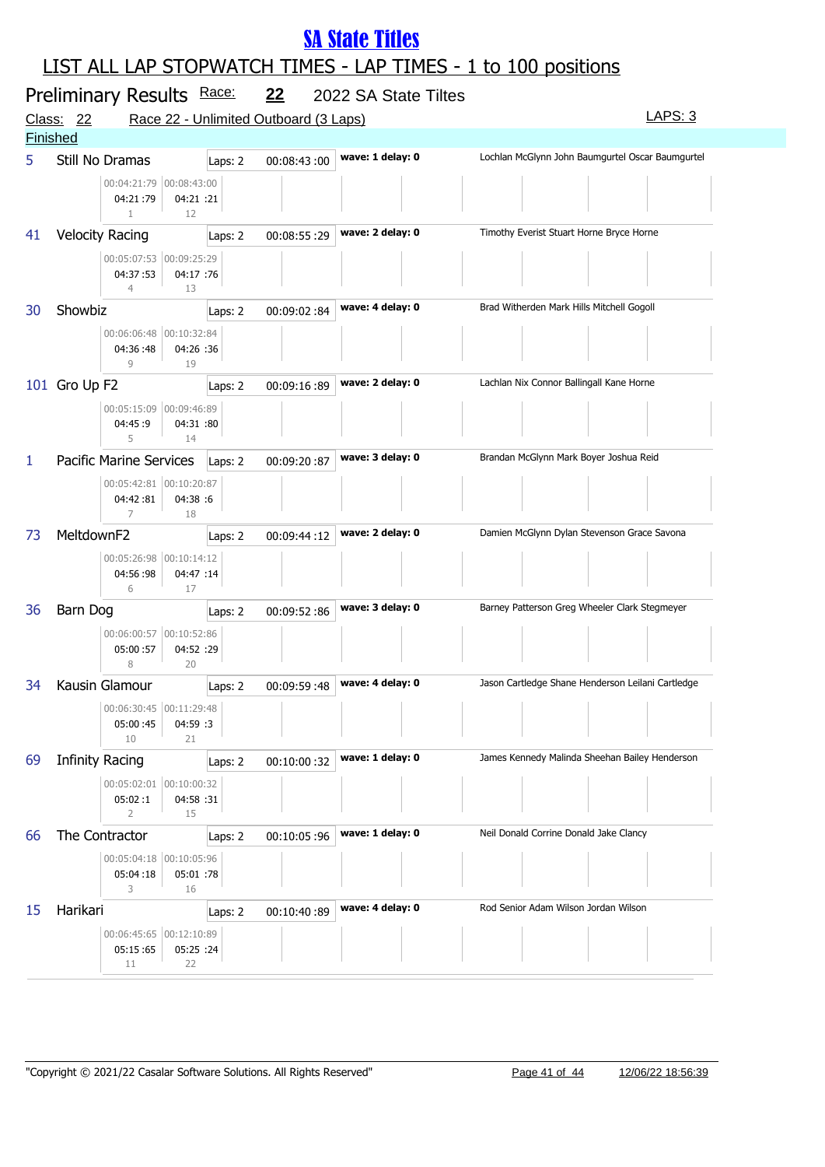| Preliminary Results Race:<br><u>22</u><br>2022 SA State Tiltes |                        |                                                                                           |         |             |                  |                                                   |  |
|----------------------------------------------------------------|------------------------|-------------------------------------------------------------------------------------------|---------|-------------|------------------|---------------------------------------------------|--|
|                                                                | Class: 22              | Race 22 - Unlimited Outboard (3 Laps)                                                     |         |             |                  | LAPS: 3                                           |  |
| <b>Finished</b>                                                |                        |                                                                                           |         |             |                  |                                                   |  |
| 5                                                              |                        | Still No Dramas<br>00:04:21:79 00:08:43:00<br>04:21:79<br>04:21 :21<br>$\mathbf{1}$<br>12 | Laps: 2 | 00:08:43:00 | wave: 1 delay: 0 | Lochlan McGlynn John Baumgurtel Oscar Baumgurtel  |  |
| 41                                                             |                        | <b>Velocity Racing</b>                                                                    | Laps: 2 | 00:08:55:29 | wave: 2 delay: 0 | Timothy Everist Stuart Horne Bryce Horne          |  |
|                                                                |                        | 00:05:07:53 00:09:25:29<br>04:37:53<br>04:17 :76<br>$\overline{4}$<br>13                  |         |             |                  |                                                   |  |
| 30                                                             | Showbiz                |                                                                                           | Laps: 2 | 00:09:02:84 | wave: 4 delay: 0 | Brad Witherden Mark Hills Mitchell Gogoll         |  |
|                                                                |                        | 00:06:06:48 00:10:32:84<br>04:36:48<br>04:26 :36<br>9<br>19                               |         |             |                  |                                                   |  |
|                                                                | 101 Gro Up F2          |                                                                                           | Laps: 2 | 00:09:16:89 | wave: 2 delay: 0 | Lachlan Nix Connor Ballingall Kane Horne          |  |
|                                                                |                        | 00:05:15:09 00:09:46:89<br>04:45:9<br>04:31 :80<br>5<br>14                                |         |             |                  |                                                   |  |
| 1                                                              |                        | Pacific Marine Services                                                                   | Laps: 2 | 00:09:20:87 | wave: 3 delay: 0 | Brandan McGlynn Mark Boyer Joshua Reid            |  |
|                                                                |                        | 00:05:42:81 00:10:20:87<br>04:42:81<br>04:38 :6<br>7<br>18                                |         |             |                  |                                                   |  |
| 73                                                             | MeltdownF2             |                                                                                           | Laps: 2 | 00:09:44:12 | wave: 2 delay: 0 | Damien McGlynn Dylan Stevenson Grace Savona       |  |
|                                                                |                        | 00:05:26:98 00:10:14:12<br>04:56:98<br>04:47 :14<br>6<br>17                               |         |             |                  |                                                   |  |
| 36                                                             | Barn Dog               |                                                                                           | Laps: 2 | 00:09:52:86 | wave: 3 delay: 0 | Barney Patterson Greg Wheeler Clark Stegmeyer     |  |
|                                                                |                        | 00:06:00:57 00:10:52:86<br>04:52 :29<br>05:00:57<br>8<br>20                               |         |             |                  |                                                   |  |
| 34                                                             |                        | Kausin Glamour                                                                            | Laps: 2 | 00:09:59:48 | wave: 4 delay: 0 | Jason Cartledge Shane Henderson Leilani Cartledge |  |
|                                                                |                        | 00:06:30:45   00:11:29:48<br>04:59 :3<br>05:00:45<br>10<br>21                             |         |             |                  |                                                   |  |
| 69                                                             | <b>Infinity Racing</b> |                                                                                           | Laps: 2 | 00:10:00:32 | wave: 1 delay: 0 | James Kennedy Malinda Sheehan Bailey Henderson    |  |
|                                                                |                        | 00:05:02:01 00:10:00:32<br>04:58 :31<br>05:02:1<br>15<br>2                                |         |             |                  |                                                   |  |
| 66                                                             |                        | The Contractor                                                                            | Laps: 2 | 00:10:05:96 | wave: 1 delay: 0 | Neil Donald Corrine Donald Jake Clancy            |  |
|                                                                |                        | 00:05:04:18 00:10:05:96<br>05:01 :78<br>05:04:18<br>3<br>16                               |         |             |                  |                                                   |  |
| 15                                                             | Harikari               |                                                                                           | Laps: 2 | 00:10:40:89 | wave: 4 delay: 0 | Rod Senior Adam Wilson Jordan Wilson              |  |
|                                                                |                        | 00:06:45:65 00:12:10:89<br>05:15:65<br>05:25 :24<br>22<br>11                              |         |             |                  |                                                   |  |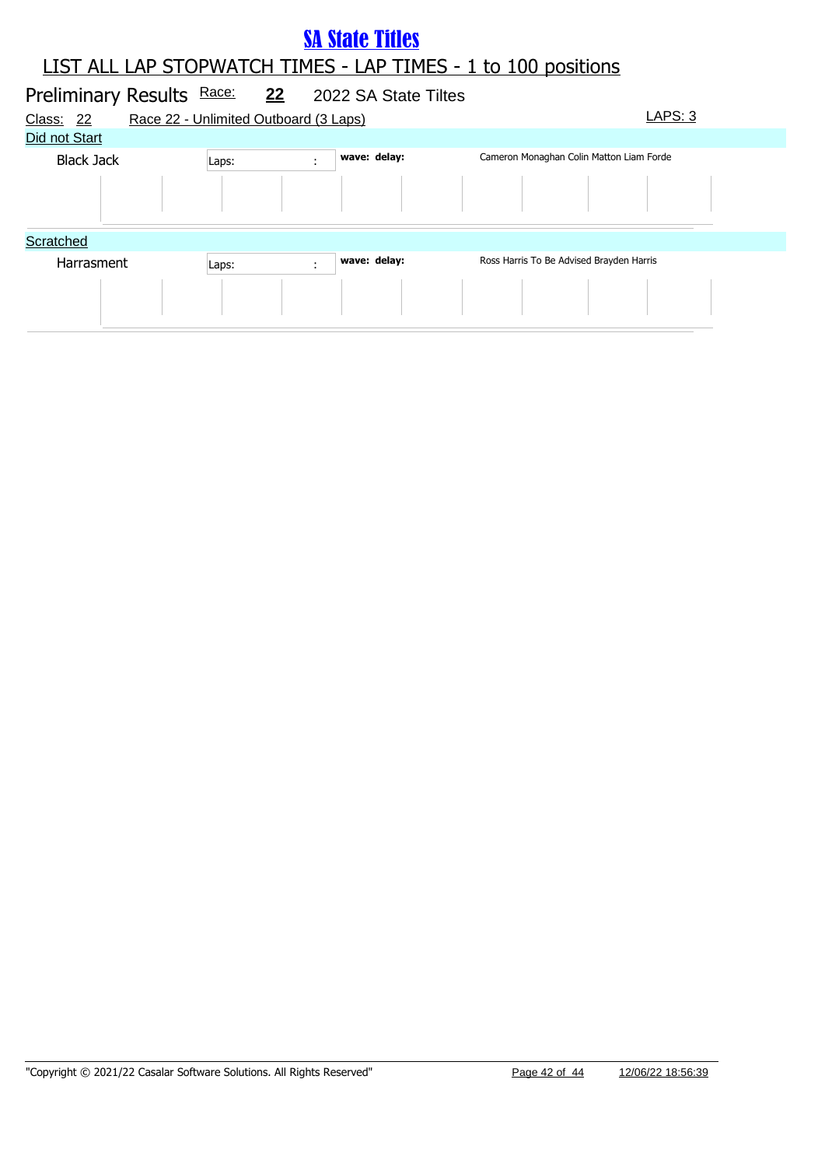| Preliminary Results Race:<br>Class:<br>-22<br>Did not Start | Race 22 - Unlimited Outboard (3 Laps) | <u>22</u> | 2022 SA State Tiltes | LAPS: 3                                  |  |
|-------------------------------------------------------------|---------------------------------------|-----------|----------------------|------------------------------------------|--|
| <b>Black Jack</b>                                           | Laps:                                 | ÷         | wave: delay:         | Cameron Monaghan Colin Matton Liam Forde |  |
| Scratched                                                   |                                       |           |                      |                                          |  |
| Harrasment                                                  | Laps:                                 | ÷         | wave: delay:         | Ross Harris To Be Advised Brayden Harris |  |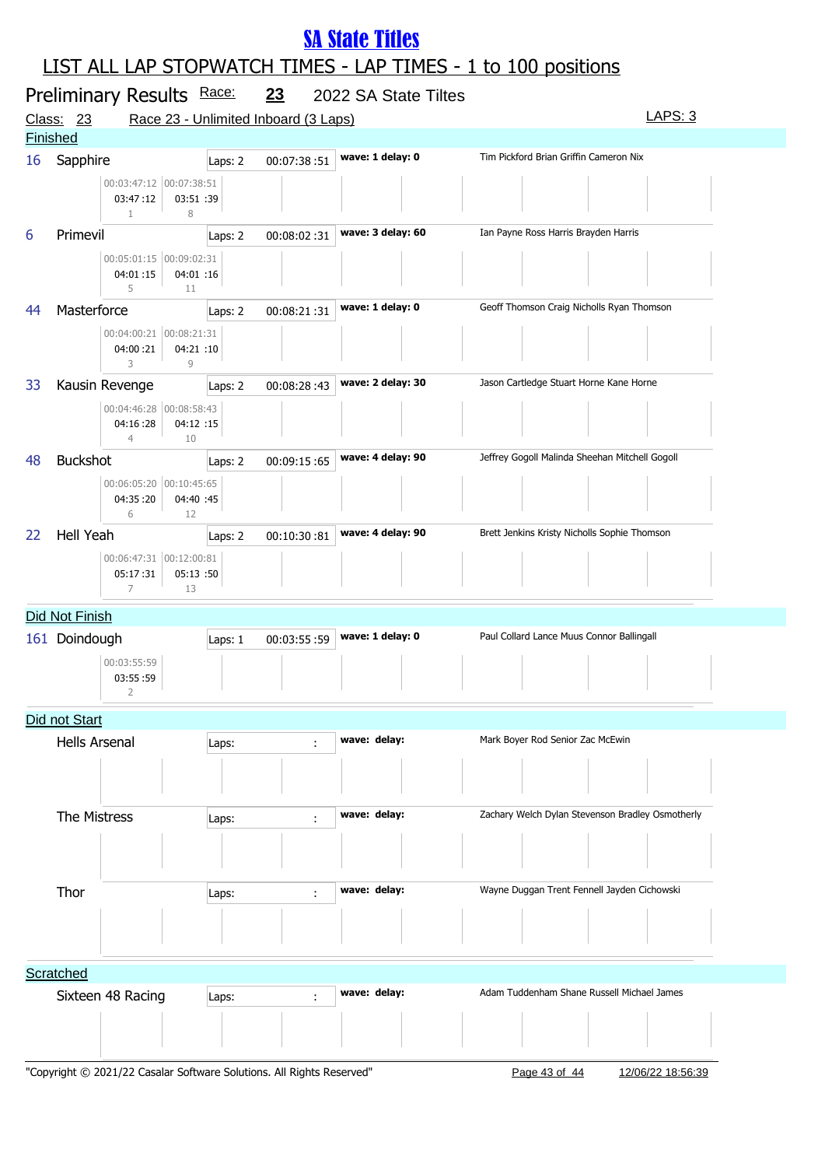| Preliminary Results Race:<br>23<br>2022 SA State Tiltes      |                                           |                                            |             |                   |                                                  |  |  |  |  |
|--------------------------------------------------------------|-------------------------------------------|--------------------------------------------|-------------|-------------------|--------------------------------------------------|--|--|--|--|
| LAPS: 3<br>Race 23 - Unlimited Inboard (3 Laps)<br>Class: 23 |                                           |                                            |             |                   |                                                  |  |  |  |  |
|                                                              | <b>Finished</b>                           |                                            |             |                   |                                                  |  |  |  |  |
| 16                                                           | Sapphire                                  | Laps: 2                                    | 00:07:38:51 | wave: 1 delay: 0  | Tim Pickford Brian Griffin Cameron Nix           |  |  |  |  |
|                                                              | 03:47:12<br>$\mathbf{1}$                  | 00:03:47:12 00:07:38:51<br>03:51 :39<br>8  |             |                   |                                                  |  |  |  |  |
| 6                                                            | Primevil                                  | Laps: 2                                    | 00:08:02:31 | wave: 3 delay: 60 | Ian Payne Ross Harris Brayden Harris             |  |  |  |  |
|                                                              | 04:01:15<br>5                             | 00:05:01:15 00:09:02:31<br>04:01 :16<br>11 |             |                   |                                                  |  |  |  |  |
| 44                                                           | Masterforce                               | Laps: 2                                    | 00:08:21:31 | wave: 1 delay: 0  | Geoff Thomson Craig Nicholls Ryan Thomson        |  |  |  |  |
|                                                              | 04:00:21<br>3                             | 00:04:00:21 00:08:21:31<br>04:21 :10<br>9  |             |                   |                                                  |  |  |  |  |
| 33                                                           | Kausin Revenge                            | Laps: 2                                    | 00:08:28:43 | wave: 2 delay: 30 | Jason Cartledge Stuart Horne Kane Horne          |  |  |  |  |
|                                                              | 04:16:28<br>$\overline{4}$                | 00:04:46:28 00:08:58:43<br>04:12 :15<br>10 |             |                   |                                                  |  |  |  |  |
| 48                                                           | <b>Buckshot</b>                           | Laps: 2                                    | 00:09:15:65 | wave: 4 delay: 90 | Jeffrey Gogoll Malinda Sheehan Mitchell Gogoll   |  |  |  |  |
|                                                              | 04:35:20<br>6                             | 00:06:05:20 00:10:45:65<br>04:40 :45<br>12 |             |                   |                                                  |  |  |  |  |
| 22                                                           | <b>Hell Yeah</b>                          | Laps: 2                                    | 00:10:30:81 | wave: 4 delay: 90 | Brett Jenkins Kristy Nicholls Sophie Thomson     |  |  |  |  |
|                                                              | 05:17:31<br>$\overline{7}$                | 00:06:47:31 00:12:00:81<br>05:13 :50<br>13 |             |                   |                                                  |  |  |  |  |
|                                                              | Did Not Finish                            |                                            |             |                   |                                                  |  |  |  |  |
| 161                                                          | Doindough                                 | Laps: 1                                    | 00:03:55:59 | wave: 1 delay: 0  | Paul Collard Lance Muus Connor Ballingall        |  |  |  |  |
|                                                              | 00:03:55:59<br>03:55:59<br>$\overline{2}$ |                                            |             |                   |                                                  |  |  |  |  |
|                                                              | Did not Start                             |                                            |             |                   |                                                  |  |  |  |  |
|                                                              | <b>Hells Arsenal</b>                      | Laps:                                      | ÷           | wave: delay:      | Mark Boyer Rod Senior Zac McEwin                 |  |  |  |  |
|                                                              |                                           |                                            |             |                   |                                                  |  |  |  |  |
|                                                              | The Mistress                              | Laps:                                      | ÷           | wave: delay:      | Zachary Welch Dylan Stevenson Bradley Osmotherly |  |  |  |  |
|                                                              |                                           |                                            |             |                   |                                                  |  |  |  |  |
|                                                              | Thor                                      | Laps:                                      | ÷           | wave: delay:      | Wayne Duggan Trent Fennell Jayden Cichowski      |  |  |  |  |
|                                                              |                                           |                                            |             |                   |                                                  |  |  |  |  |
|                                                              | Scratched                                 |                                            |             |                   |                                                  |  |  |  |  |
|                                                              | Sixteen 48 Racing                         | Laps:                                      | ÷           | wave: delay:      | Adam Tuddenham Shane Russell Michael James       |  |  |  |  |